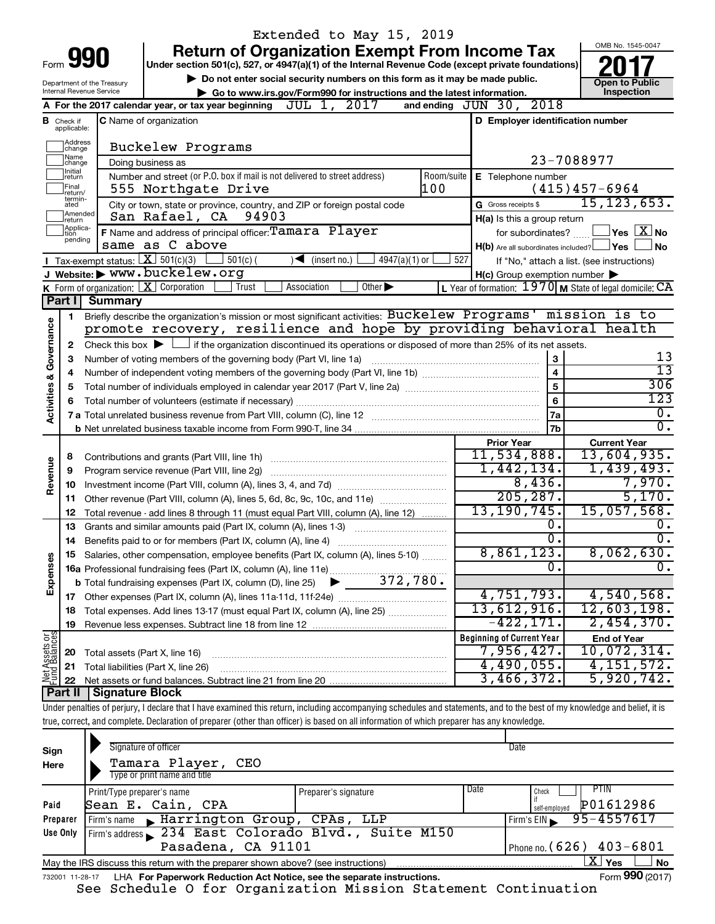|                                                                                                                |                                  |                                        | Extended to May 15, 2019                                                                                                                                                              |                                                           |                                            |
|----------------------------------------------------------------------------------------------------------------|----------------------------------|----------------------------------------|---------------------------------------------------------------------------------------------------------------------------------------------------------------------------------------|-----------------------------------------------------------|--------------------------------------------|
|                                                                                                                |                                  |                                        | <b>Return of Organization Exempt From Income Tax</b>                                                                                                                                  |                                                           | OMB No. 1545-0047                          |
| Form 990<br>Under section 501(c), 527, or 4947(a)(1) of the Internal Revenue Code (except private foundations) |                                  |                                        |                                                                                                                                                                                       |                                                           |                                            |
|                                                                                                                |                                  | Department of the Treasury             | Do not enter social security numbers on this form as it may be made public.                                                                                                           |                                                           | <b>Open to Public</b>                      |
|                                                                                                                |                                  | Internal Revenue Service               | Go to www.irs.gov/Form990 for instructions and the latest information.                                                                                                                | and ending JUN 30, 2018                                   | <b>Inspection</b>                          |
|                                                                                                                |                                  |                                        | JUL 1, 2017<br>A For the 2017 calendar year, or tax year beginning                                                                                                                    |                                                           |                                            |
|                                                                                                                | <b>B</b> Check if<br>applicable: |                                        | C Name of organization                                                                                                                                                                | D Employer identification number                          |                                            |
|                                                                                                                | Address<br>change                |                                        | Buckelew Programs                                                                                                                                                                     |                                                           |                                            |
|                                                                                                                | Name<br>change<br>Initial        |                                        | Doing business as                                                                                                                                                                     |                                                           | 23-7088977                                 |
|                                                                                                                | return<br>Final<br>return/       |                                        | Number and street (or P.O. box if mail is not delivered to street address)<br>Room/suite<br>100<br>555 Northgate Drive                                                                | E Telephone number                                        | $(415)457-6964$                            |
|                                                                                                                | termin-<br>ated                  |                                        | City or town, state or province, country, and ZIP or foreign postal code                                                                                                              | G Gross receipts \$                                       | 15, 123, 653.                              |
|                                                                                                                | Amended<br>return                |                                        | San Rafael, CA 94903                                                                                                                                                                  | H(a) Is this a group return                               |                                            |
|                                                                                                                | Applica-<br>tion                 |                                        | F Name and address of principal officer: Tamara Player                                                                                                                                | for subordinates?                                         | $\Box$ Yes $[\overline{\mathrm{X}}]$ No    |
|                                                                                                                | pending                          |                                        | same as C above                                                                                                                                                                       | H(b) Are all subordinates included? Ves                   | No                                         |
|                                                                                                                |                                  | Tax-exempt status: $X \over 301(c)(3)$ | $501(c)$ (<br>$4947(a)(1)$ or<br>$\sqrt{\frac{1}{1}}$ (insert no.)                                                                                                                    | 527                                                       | If "No," attach a list. (see instructions) |
|                                                                                                                |                                  |                                        | J Website: WWW.buckelew.org                                                                                                                                                           | $H(c)$ Group exemption number $\blacktriangleright$       |                                            |
|                                                                                                                |                                  |                                        | K Form of organization: $X$ Corporation<br>Association<br>Other $\blacktriangleright$<br>Trust                                                                                        | L Year of formation: $1970$ M State of legal domicile: CA |                                            |
|                                                                                                                | Part II                          | <b>Summary</b>                         |                                                                                                                                                                                       |                                                           |                                            |
|                                                                                                                | 1                                |                                        | Briefly describe the organization's mission or most significant activities: Buckelew Programs' mission is to                                                                          |                                                           |                                            |
| <b>Activities &amp; Governance</b>                                                                             |                                  |                                        | promote recovery, resilience and hope by providing behavioral health                                                                                                                  |                                                           |                                            |
|                                                                                                                | 2                                |                                        | Check this box $\blacktriangleright$ $\Box$ if the organization discontinued its operations or disposed of more than 25% of its net assets.                                           |                                                           |                                            |
|                                                                                                                | з                                |                                        | Number of voting members of the governing body (Part VI, line 1a)                                                                                                                     | 3                                                         | 13<br>$\overline{13}$                      |
|                                                                                                                | 4                                |                                        |                                                                                                                                                                                       | $\overline{\mathbf{4}}$                                   |                                            |
|                                                                                                                | 5                                |                                        |                                                                                                                                                                                       | 5                                                         | 306                                        |
|                                                                                                                | 6                                |                                        |                                                                                                                                                                                       | 6                                                         | 123                                        |
|                                                                                                                |                                  |                                        |                                                                                                                                                                                       | 7a                                                        | 0.<br>$\overline{0}$ .                     |
|                                                                                                                |                                  |                                        |                                                                                                                                                                                       | 7b                                                        |                                            |
|                                                                                                                |                                  |                                        |                                                                                                                                                                                       | <b>Prior Year</b><br>11,534,888.                          | <b>Current Year</b><br>13,604,935.         |
|                                                                                                                | 8                                |                                        |                                                                                                                                                                                       | 1,442,134.                                                | 1,439,493.                                 |
| Revenue                                                                                                        | 9                                |                                        | Program service revenue (Part VIII, line 2g)                                                                                                                                          | 8,436.                                                    | 7,970.                                     |
|                                                                                                                | 10                               |                                        |                                                                                                                                                                                       | 205, 287.                                                 | 5,170.                                     |
|                                                                                                                | 11                               |                                        | Other revenue (Part VIII, column (A), lines 5, 6d, 8c, 9c, 10c, and 11e)                                                                                                              | 13, 190, 745.                                             | 15,057,568.                                |
|                                                                                                                | 12<br>13                         |                                        | Total revenue - add lines 8 through 11 (must equal Part VIII, column (A), line 12)<br>Grants and similar amounts paid (Part IX, column (A), lines 1-3)                                | О.                                                        | υ.                                         |
|                                                                                                                | 14                               |                                        | <u> 1986 - Jan Stein Stein Stein Stein Stein Stein Stein Stein Stein Stein Stein Stein Stein Stein Stein Stein S</u><br>Benefits paid to or for members (Part IX, column (A), line 4) | σ.                                                        | σ.                                         |
|                                                                                                                | 15                               |                                        | Salaries, other compensation, employee benefits (Part IX, column (A), lines 5-10)                                                                                                     | 8,861,123.                                                | 8,062,630.                                 |
|                                                                                                                |                                  |                                        |                                                                                                                                                                                       | 0                                                         | 0.                                         |
| Expenses                                                                                                       |                                  |                                        |                                                                                                                                                                                       |                                                           |                                            |
|                                                                                                                | 17                               |                                        |                                                                                                                                                                                       | 4,751,793.                                                | 4,540,568.                                 |
|                                                                                                                | 18                               |                                        | Total expenses. Add lines 13-17 (must equal Part IX, column (A), line 25)                                                                                                             | 13,612,916.                                               | 12,603,198.                                |
|                                                                                                                | 19                               |                                        |                                                                                                                                                                                       | $-422,171.$                                               | 2,454,370.                                 |
|                                                                                                                |                                  |                                        |                                                                                                                                                                                       | <b>Beginning of Current Year</b>                          | <b>End of Year</b>                         |
| Net Assets or<br>Fund Balances                                                                                 | 20                               | Total assets (Part X, line 16)         |                                                                                                                                                                                       | 7,956,427.                                                | 10,072,314.                                |
|                                                                                                                | 21                               |                                        | Total liabilities (Part X, line 26)                                                                                                                                                   | 4,490,055.                                                | 4,151,572.                                 |
|                                                                                                                | 22                               |                                        |                                                                                                                                                                                       | 3,466,372.                                                | 5,920,742.                                 |
|                                                                                                                | Part II                          | <b>Signature Block</b>                 |                                                                                                                                                                                       |                                                           |                                            |
|                                                                                                                |                                  |                                        | Under penalties of perjury, I declare that I have examined this return, including accompanying schedules and statements, and to the best of my knowledge and belief, it is            |                                                           |                                            |
|                                                                                                                |                                  |                                        | true, correct, and complete. Declaration of preparer (other than officer) is based on all information of which preparer has any knowledge.                                            |                                                           |                                            |
|                                                                                                                |                                  |                                        |                                                                                                                                                                                       |                                                           |                                            |

| Sign<br>Here                                                                                                 | Signature of officer<br>Date<br>Tamara Player, CEO<br>Type or print name and title                          |                      |      |                            |  |  |  |  |  |  |
|--------------------------------------------------------------------------------------------------------------|-------------------------------------------------------------------------------------------------------------|----------------------|------|----------------------------|--|--|--|--|--|--|
|                                                                                                              | Print/Type preparer's name                                                                                  | Preparer's signature | Date | PTIN<br>Check              |  |  |  |  |  |  |
| Paid                                                                                                         | Sean E. Cain, CPA                                                                                           |                      |      | P01612986<br>self-employed |  |  |  |  |  |  |
| Preparer                                                                                                     | Firm's name Firm's name Fig. That Tington Group, CPAs, LLP                                                  |                      |      | 95-4557617<br>Firm's EIN   |  |  |  |  |  |  |
| Use Only                                                                                                     | Firm's address 234 East Colorado Blvd., Suite M150                                                          |                      |      |                            |  |  |  |  |  |  |
|                                                                                                              | Pasadena, CA 91101<br>Phone no. (626) $403 - 6801$                                                          |                      |      |                            |  |  |  |  |  |  |
|                                                                                                              | $\mathbf{X}$ Yes<br>No<br>May the IRS discuss this return with the preparer shown above? (see instructions) |                      |      |                            |  |  |  |  |  |  |
| Form 990 (2017)<br>LHA For Paperwork Reduction Act Notice, see the separate instructions.<br>732001 11-28-17 |                                                                                                             |                      |      |                            |  |  |  |  |  |  |

See Schedule O for Organization Mission Statement Continuation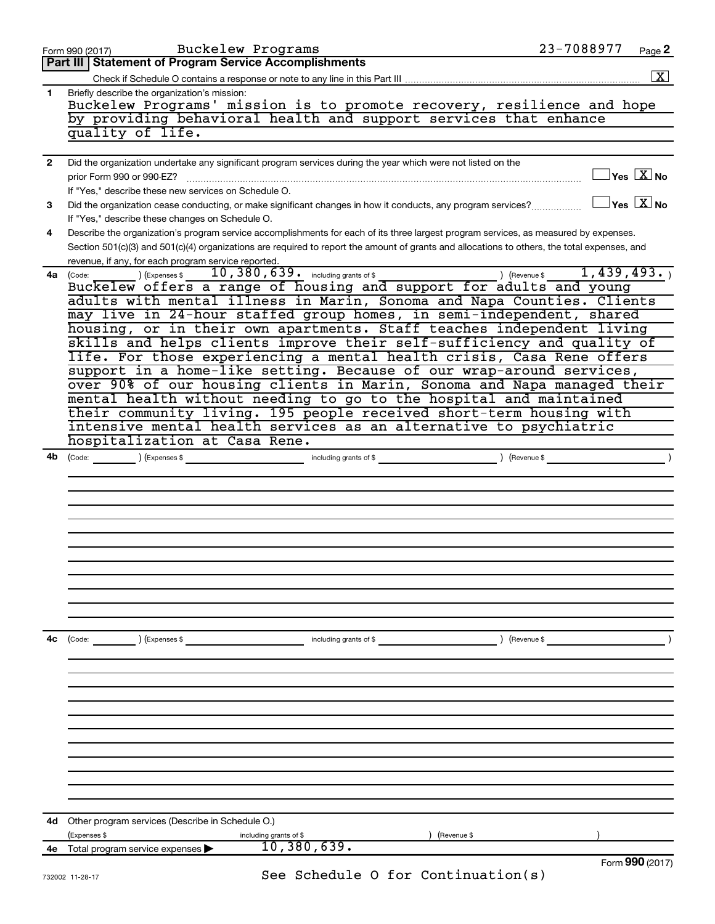|                | Buckelew Programs<br>Form 990 (2017)                                                                                                                                                                                                                 | 23-7088977                                      | Page 2               |
|----------------|------------------------------------------------------------------------------------------------------------------------------------------------------------------------------------------------------------------------------------------------------|-------------------------------------------------|----------------------|
|                | <b>Part III Statement of Program Service Accomplishments</b>                                                                                                                                                                                         |                                                 |                      |
|                |                                                                                                                                                                                                                                                      |                                                 | $\boxed{\textbf{X}}$ |
| 1              | Briefly describe the organization's mission:                                                                                                                                                                                                         |                                                 |                      |
|                | Buckelew Programs' mission is to promote recovery, resilience and hope                                                                                                                                                                               |                                                 |                      |
|                | by providing behavioral health and support services that enhance                                                                                                                                                                                     |                                                 |                      |
|                | quality of life.                                                                                                                                                                                                                                     |                                                 |                      |
|                |                                                                                                                                                                                                                                                      |                                                 |                      |
| $\overline{2}$ | Did the organization undertake any significant program services during the year which were not listed on the                                                                                                                                         |                                                 |                      |
|                | prior Form 990 or 990-EZ?                                                                                                                                                                                                                            | $\Box$ Yes $[\overline{X}]$ No                  |                      |
|                | If "Yes," describe these new services on Schedule O.                                                                                                                                                                                                 |                                                 |                      |
| 3              | Did the organization cease conducting, or make significant changes in how it conducts, any program services?                                                                                                                                         | $\boxed{\phantom{1}}$ Yes $\boxed{\text{X}}$ No |                      |
|                | If "Yes," describe these changes on Schedule O.                                                                                                                                                                                                      |                                                 |                      |
| 4              | Describe the organization's program service accomplishments for each of its three largest program services, as measured by expenses.                                                                                                                 |                                                 |                      |
|                | Section 501(c)(3) and 501(c)(4) organizations are required to report the amount of grants and allocations to others, the total expenses, and                                                                                                         |                                                 |                      |
|                | revenue, if any, for each program service reported.                                                                                                                                                                                                  |                                                 |                      |
|                | (Code: ) (Expenses \$ 10,380,639. including grants of \$ ) (Revenue \$ 1,439, 4 ) (Revenue \$ 1,439, 4 ) (Revenue \$ 1,439, 4 ) (Revenue \$ 1,439, 4 ) (Revenue \$ 1,439, 4 ) (Revenue \$ 1,439, 4 ) (Revenue \$ 1,439, 4 ) (Revenue \$<br>4a (Code: | 1,439,493.                                      |                      |
|                | adults with mental illness in Marin, Sonoma and Napa Counties. Clients                                                                                                                                                                               |                                                 |                      |
|                | may live in 24-hour staffed group homes, in semi-independent, shared                                                                                                                                                                                 |                                                 |                      |
|                | housing, or in their own apartments. Staff teaches independent living                                                                                                                                                                                |                                                 |                      |
|                | skills and helps clients improve their self-sufficiency and quality of                                                                                                                                                                               |                                                 |                      |
|                | life. For those experiencing a mental health crisis, Casa Rene offers                                                                                                                                                                                |                                                 |                      |
|                | support in a home-like setting. Because of our wrap-around services,                                                                                                                                                                                 |                                                 |                      |
|                | over 90% of our housing clients in Marin, Sonoma and Napa managed their                                                                                                                                                                              |                                                 |                      |
|                | mental health without needing to go to the hospital and maintained                                                                                                                                                                                   |                                                 |                      |
|                | their community living. 195 people received short-term housing with                                                                                                                                                                                  |                                                 |                      |
|                | intensive mental health services as an alternative to psychiatric                                                                                                                                                                                    |                                                 |                      |
|                | hospitalization at Casa Rene.                                                                                                                                                                                                                        |                                                 |                      |
| 4b             | (Code: ) (Expenses \$ contains a modulating grants of \$ code: ) (Revenue \$ code:                                                                                                                                                                   |                                                 |                      |
|                |                                                                                                                                                                                                                                                      |                                                 |                      |
|                |                                                                                                                                                                                                                                                      |                                                 |                      |
|                |                                                                                                                                                                                                                                                      |                                                 |                      |
|                |                                                                                                                                                                                                                                                      |                                                 |                      |
|                |                                                                                                                                                                                                                                                      |                                                 |                      |
|                |                                                                                                                                                                                                                                                      |                                                 |                      |
|                |                                                                                                                                                                                                                                                      |                                                 |                      |
|                |                                                                                                                                                                                                                                                      |                                                 |                      |
|                |                                                                                                                                                                                                                                                      |                                                 |                      |
|                |                                                                                                                                                                                                                                                      |                                                 |                      |
|                |                                                                                                                                                                                                                                                      |                                                 |                      |
|                |                                                                                                                                                                                                                                                      |                                                 |                      |
| 4с             | $\left(\text{Code:}\right)$ $\left(\text{Expenses $}\right)$<br>) (Revenue \$<br>including grants of \$                                                                                                                                              |                                                 |                      |
|                |                                                                                                                                                                                                                                                      |                                                 |                      |
|                |                                                                                                                                                                                                                                                      |                                                 |                      |
|                |                                                                                                                                                                                                                                                      |                                                 |                      |
|                |                                                                                                                                                                                                                                                      |                                                 |                      |
|                |                                                                                                                                                                                                                                                      |                                                 |                      |
|                |                                                                                                                                                                                                                                                      |                                                 |                      |
|                |                                                                                                                                                                                                                                                      |                                                 |                      |
|                |                                                                                                                                                                                                                                                      |                                                 |                      |
|                |                                                                                                                                                                                                                                                      |                                                 |                      |
|                |                                                                                                                                                                                                                                                      |                                                 |                      |
|                |                                                                                                                                                                                                                                                      |                                                 |                      |
|                |                                                                                                                                                                                                                                                      |                                                 |                      |
| 4d             | Other program services (Describe in Schedule O.)                                                                                                                                                                                                     |                                                 |                      |
|                | (Expenses \$<br>(Revenue \$<br>including grants of \$<br>10, 380, 639.                                                                                                                                                                               |                                                 |                      |
| 4е             | Total program service expenses                                                                                                                                                                                                                       |                                                 | Form 990 (2017)      |
|                |                                                                                                                                                                                                                                                      |                                                 |                      |

See Schedule O for Continuation(s)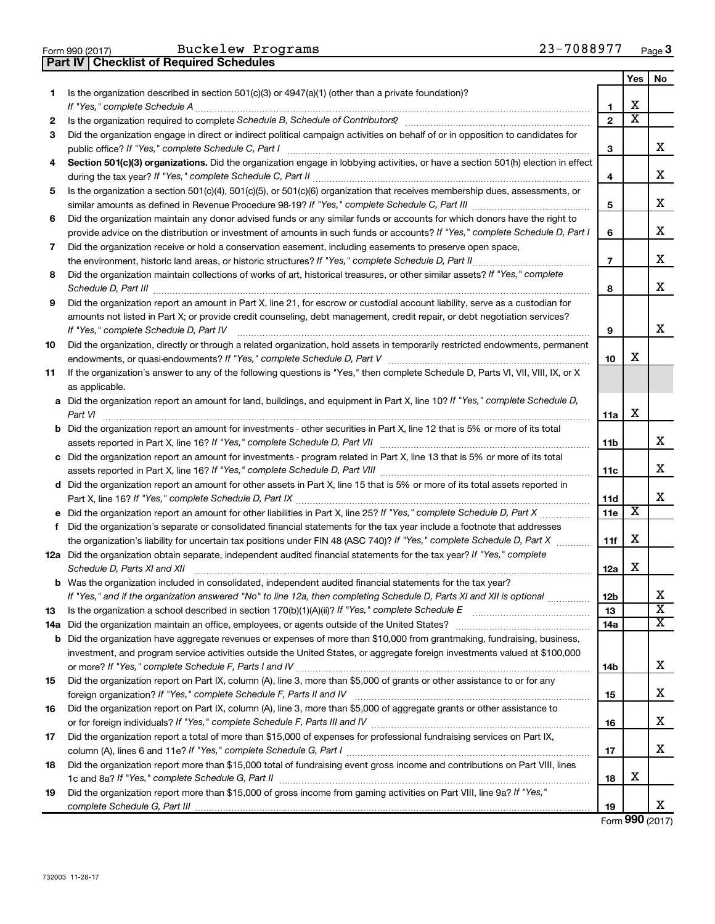|  | Form 990 (2017) |
|--|-----------------|

Buckelew Programs 23-7088977

**Part IV Checklist of Required Schedules**

|    |                                                                                                                                                                                         |                | Yes                     | No                      |
|----|-----------------------------------------------------------------------------------------------------------------------------------------------------------------------------------------|----------------|-------------------------|-------------------------|
| 1  | Is the organization described in section 501(c)(3) or $4947(a)(1)$ (other than a private foundation)?                                                                                   |                |                         |                         |
|    |                                                                                                                                                                                         | 1              | х                       |                         |
| 2  | Is the organization required to complete Schedule B, Schedule of Contributors? [11] The organization required to complete Schedule B, Schedule of Contributors?                         | $\mathbf{2}$   | $\overline{\text{x}}$   |                         |
| 3  | Did the organization engage in direct or indirect political campaign activities on behalf of or in opposition to candidates for<br>public office? If "Yes," complete Schedule C, Part I | 3              |                         | х                       |
| 4  | Section 501(c)(3) organizations. Did the organization engage in lobbying activities, or have a section 501(h) election in effect                                                        | 4              |                         | х                       |
| 5  | Is the organization a section 501(c)(4), 501(c)(5), or 501(c)(6) organization that receives membership dues, assessments, or                                                            |                |                         |                         |
|    |                                                                                                                                                                                         | 5              |                         | х                       |
| 6  | Did the organization maintain any donor advised funds or any similar funds or accounts for which donors have the right to                                                               |                |                         |                         |
|    | provide advice on the distribution or investment of amounts in such funds or accounts? If "Yes," complete Schedule D, Part I                                                            | 6              |                         | х                       |
| 7  | Did the organization receive or hold a conservation easement, including easements to preserve open space,                                                                               |                |                         |                         |
|    |                                                                                                                                                                                         | $\overline{7}$ |                         | х                       |
| 8  | Did the organization maintain collections of works of art, historical treasures, or other similar assets? If "Yes," complete                                                            | 8              |                         | х                       |
| 9  | Did the organization report an amount in Part X, line 21, for escrow or custodial account liability, serve as a custodian for                                                           |                |                         |                         |
|    | amounts not listed in Part X; or provide credit counseling, debt management, credit repair, or debt negotiation services?                                                               |                |                         |                         |
|    | If "Yes," complete Schedule D, Part IV                                                                                                                                                  | 9              |                         | х                       |
| 10 | Did the organization, directly or through a related organization, hold assets in temporarily restricted endowments, permanent                                                           |                | х                       |                         |
|    | If the organization's answer to any of the following questions is "Yes," then complete Schedule D, Parts VI, VII, VIII, IX, or X                                                        | 10             |                         |                         |
| 11 | as applicable.                                                                                                                                                                          |                |                         |                         |
|    | a Did the organization report an amount for land, buildings, and equipment in Part X, line 10? If "Yes," complete Schedule D,                                                           |                |                         |                         |
|    | Part VI                                                                                                                                                                                 | 11a            | х                       |                         |
|    | <b>b</b> Did the organization report an amount for investments - other securities in Part X, line 12 that is 5% or more of its total                                                    |                |                         |                         |
|    |                                                                                                                                                                                         | 11b            |                         | х                       |
|    | c Did the organization report an amount for investments - program related in Part X, line 13 that is 5% or more of its total                                                            |                |                         |                         |
|    |                                                                                                                                                                                         | 11c            |                         | х                       |
|    | d Did the organization report an amount for other assets in Part X, line 15 that is 5% or more of its total assets reported in                                                          |                |                         |                         |
|    |                                                                                                                                                                                         | 11d            |                         | х                       |
|    | e Did the organization report an amount for other liabilities in Part X, line 25? If "Yes," complete Schedule D, Part X                                                                 | 11e            | $\overline{\textbf{x}}$ |                         |
| f  | Did the organization's separate or consolidated financial statements for the tax year include a footnote that addresses                                                                 |                | х                       |                         |
|    | the organization's liability for uncertain tax positions under FIN 48 (ASC 740)? If "Yes," complete Schedule D, Part X                                                                  | 11f            |                         |                         |
|    | 12a Did the organization obtain separate, independent audited financial statements for the tax year? If "Yes," complete<br>Schedule D, Parts XI and XII                                 | 12a            | х                       |                         |
|    | <b>b</b> Was the organization included in consolidated, independent audited financial statements for the tax year?                                                                      |                |                         |                         |
|    | If "Yes," and if the organization answered "No" to line 12a, then completing Schedule D, Parts XI and XII is optional                                                                   | 12b            |                         | ▵                       |
| 13 |                                                                                                                                                                                         | 13             |                         | $\overline{\mathbf{X}}$ |
|    |                                                                                                                                                                                         | 14a            |                         | х                       |
|    | <b>b</b> Did the organization have aggregate revenues or expenses of more than \$10,000 from grantmaking, fundraising, business,                                                        |                |                         |                         |
|    | investment, and program service activities outside the United States, or aggregate foreign investments valued at \$100,000                                                              |                |                         | х                       |
| 15 | Did the organization report on Part IX, column (A), line 3, more than \$5,000 of grants or other assistance to or for any                                                               | 14b            |                         |                         |
|    |                                                                                                                                                                                         | 15             |                         | x                       |
| 16 | Did the organization report on Part IX, column (A), line 3, more than \$5,000 of aggregate grants or other assistance to                                                                |                |                         |                         |
|    |                                                                                                                                                                                         | 16             |                         | х                       |
| 17 | Did the organization report a total of more than \$15,000 of expenses for professional fundraising services on Part IX,                                                                 |                |                         |                         |
|    |                                                                                                                                                                                         | 17             |                         | х                       |
| 18 | Did the organization report more than \$15,000 total of fundraising event gross income and contributions on Part VIII, lines                                                            |                |                         |                         |
|    |                                                                                                                                                                                         | 18             | х                       |                         |
| 19 | Did the organization report more than \$15,000 of gross income from gaming activities on Part VIII, line 9a? If "Yes,"                                                                  |                |                         |                         |
|    |                                                                                                                                                                                         | 19             |                         | х                       |

Form (2017) **990**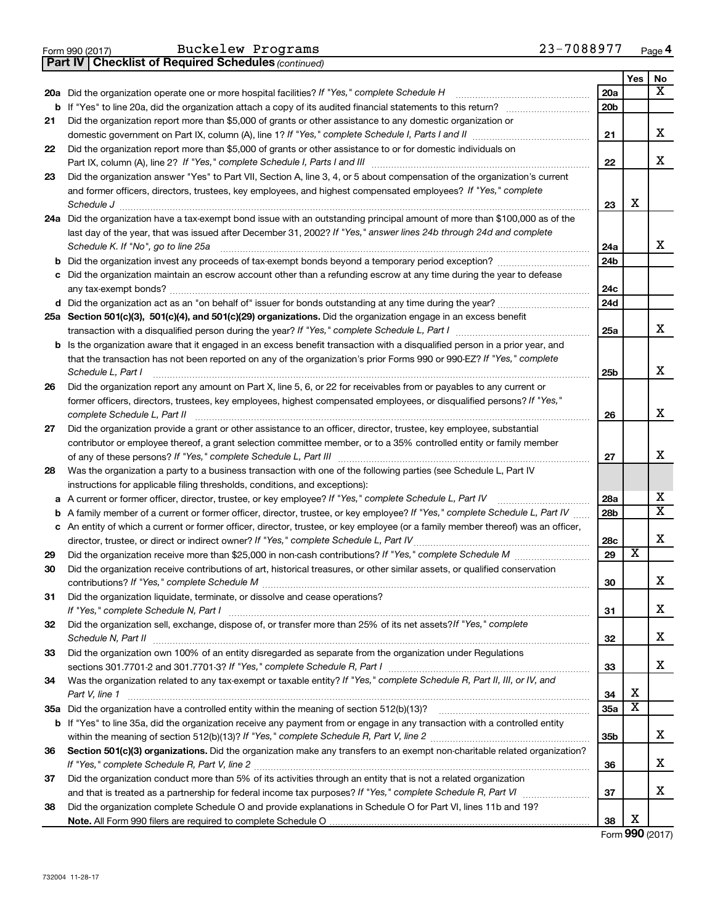|  | Form 990 (2017) |
|--|-----------------|
|  |                 |

**Part IV Checklist of Required Schedules**

Buckelew Programs 23-7088977

*(continued)*

|     |                                                                                                                                                                                                                                                                                                                                                    |                 | Yes                     | No                      |
|-----|----------------------------------------------------------------------------------------------------------------------------------------------------------------------------------------------------------------------------------------------------------------------------------------------------------------------------------------------------|-----------------|-------------------------|-------------------------|
| 20a | Did the organization operate one or more hospital facilities? If "Yes," complete Schedule H                                                                                                                                                                                                                                                        | 20a             |                         | x                       |
|     | <b>b</b> If "Yes" to line 20a, did the organization attach a copy of its audited financial statements to this return?                                                                                                                                                                                                                              | 20 <sub>b</sub> |                         |                         |
| 21  | Did the organization report more than \$5,000 of grants or other assistance to any domestic organization or                                                                                                                                                                                                                                        |                 |                         |                         |
|     |                                                                                                                                                                                                                                                                                                                                                    | 21              |                         | x                       |
| 22  | Did the organization report more than \$5,000 of grants or other assistance to or for domestic individuals on                                                                                                                                                                                                                                      |                 |                         |                         |
|     | Part IX, column (A), line 2? If "Yes," complete Schedule I, Parts I and III [11]] [11]] [11] [11] [11] [11] [1                                                                                                                                                                                                                                     | 22              |                         | x                       |
| 23  | Did the organization answer "Yes" to Part VII, Section A, line 3, 4, or 5 about compensation of the organization's current                                                                                                                                                                                                                         |                 |                         |                         |
|     | and former officers, directors, trustees, key employees, and highest compensated employees? If "Yes," complete                                                                                                                                                                                                                                     |                 | X                       |                         |
|     | Schedule J                                                                                                                                                                                                                                                                                                                                         | 23              |                         |                         |
|     | 24a Did the organization have a tax-exempt bond issue with an outstanding principal amount of more than \$100,000 as of the<br>last day of the year, that was issued after December 31, 2002? If "Yes," answer lines 24b through 24d and complete                                                                                                  |                 |                         |                         |
|     | Schedule K. If "No", go to line 25a                                                                                                                                                                                                                                                                                                                | 24a             |                         | x                       |
| b   | Did the organization invest any proceeds of tax-exempt bonds beyond a temporary period exception?                                                                                                                                                                                                                                                  | 24 <sub>b</sub> |                         |                         |
| с   | Did the organization maintain an escrow account other than a refunding escrow at any time during the year to defease                                                                                                                                                                                                                               |                 |                         |                         |
|     |                                                                                                                                                                                                                                                                                                                                                    | 24c             |                         |                         |
|     | d Did the organization act as an "on behalf of" issuer for bonds outstanding at any time during the year?                                                                                                                                                                                                                                          | 24d             |                         |                         |
|     | 25a Section 501(c)(3), 501(c)(4), and 501(c)(29) organizations. Did the organization engage in an excess benefit                                                                                                                                                                                                                                   |                 |                         |                         |
|     |                                                                                                                                                                                                                                                                                                                                                    | 25a             |                         | x                       |
| b   | Is the organization aware that it engaged in an excess benefit transaction with a disqualified person in a prior year, and                                                                                                                                                                                                                         |                 |                         |                         |
|     | that the transaction has not been reported on any of the organization's prior Forms 990 or 990-EZ? If "Yes," complete                                                                                                                                                                                                                              |                 |                         |                         |
|     | Schedule L, Part I                                                                                                                                                                                                                                                                                                                                 | 25b             |                         | x                       |
| 26  | Did the organization report any amount on Part X, line 5, 6, or 22 for receivables from or payables to any current or                                                                                                                                                                                                                              |                 |                         |                         |
|     | former officers, directors, trustees, key employees, highest compensated employees, or disqualified persons? If "Yes,"                                                                                                                                                                                                                             |                 |                         | x                       |
|     | complete Schedule L, Part II<br>Did the organization provide a grant or other assistance to an officer, director, trustee, key employee, substantial                                                                                                                                                                                               | 26              |                         |                         |
| 27  | contributor or employee thereof, a grant selection committee member, or to a 35% controlled entity or family member                                                                                                                                                                                                                                |                 |                         |                         |
|     |                                                                                                                                                                                                                                                                                                                                                    | 27              |                         | х                       |
| 28  | Was the organization a party to a business transaction with one of the following parties (see Schedule L, Part IV                                                                                                                                                                                                                                  |                 |                         |                         |
|     | instructions for applicable filing thresholds, conditions, and exceptions):                                                                                                                                                                                                                                                                        |                 |                         |                         |
| а   | A current or former officer, director, trustee, or key employee? If "Yes," complete Schedule L, Part IV                                                                                                                                                                                                                                            | 28a             |                         | x                       |
| b   | A family member of a current or former officer, director, trustee, or key employee? If "Yes," complete Schedule L, Part IV                                                                                                                                                                                                                         | 28 <sub>b</sub> |                         | $\overline{\mathbf{x}}$ |
|     | c An entity of which a current or former officer, director, trustee, or key employee (or a family member thereof) was an officer,                                                                                                                                                                                                                  |                 |                         |                         |
|     | director, trustee, or direct or indirect owner? If "Yes," complete Schedule L, Part IV.                                                                                                                                                                                                                                                            | 28c             |                         | X                       |
| 29  |                                                                                                                                                                                                                                                                                                                                                    | 29              | $\overline{\textbf{x}}$ |                         |
| 30  | Did the organization receive contributions of art, historical treasures, or other similar assets, or qualified conservation                                                                                                                                                                                                                        |                 |                         |                         |
|     |                                                                                                                                                                                                                                                                                                                                                    | 30              |                         | x                       |
| 31  | Did the organization liquidate, terminate, or dissolve and cease operations?                                                                                                                                                                                                                                                                       |                 |                         | х                       |
| 32  | If "Yes," complete Schedule N, Part I manufactured and all content of the set of the set of the set of the set of the set of the set of the set of the set of the set of the set of the set of the set of the set of the set o<br>Did the organization sell, exchange, dispose of, or transfer more than 25% of its net assets? If "Yes," complete | 31              |                         |                         |
|     | Schedule N, Part II                                                                                                                                                                                                                                                                                                                                | 32              |                         | x                       |
| 33  | Did the organization own 100% of an entity disregarded as separate from the organization under Regulations                                                                                                                                                                                                                                         |                 |                         |                         |
|     |                                                                                                                                                                                                                                                                                                                                                    | 33              |                         | x                       |
| 34  | Was the organization related to any tax-exempt or taxable entity? If "Yes," complete Schedule R, Part II, III, or IV, and                                                                                                                                                                                                                          |                 |                         |                         |
|     | Part V, line 1                                                                                                                                                                                                                                                                                                                                     | 34              | х                       |                         |
|     |                                                                                                                                                                                                                                                                                                                                                    | 35a             | $\overline{\textbf{X}}$ |                         |
|     | b If "Yes" to line 35a, did the organization receive any payment from or engage in any transaction with a controlled entity                                                                                                                                                                                                                        |                 |                         |                         |
|     |                                                                                                                                                                                                                                                                                                                                                    | 35 <sub>b</sub> |                         | х                       |
| 36  | Section 501(c)(3) organizations. Did the organization make any transfers to an exempt non-charitable related organization?                                                                                                                                                                                                                         |                 |                         |                         |
|     |                                                                                                                                                                                                                                                                                                                                                    | 36              |                         | x                       |
| 37  | Did the organization conduct more than 5% of its activities through an entity that is not a related organization                                                                                                                                                                                                                                   |                 |                         | х                       |
| 38  | Did the organization complete Schedule O and provide explanations in Schedule O for Part VI, lines 11b and 19?                                                                                                                                                                                                                                     | 37              |                         |                         |
|     |                                                                                                                                                                                                                                                                                                                                                    | 38              | X                       |                         |
|     |                                                                                                                                                                                                                                                                                                                                                    |                 |                         |                         |

Form (2017) **990**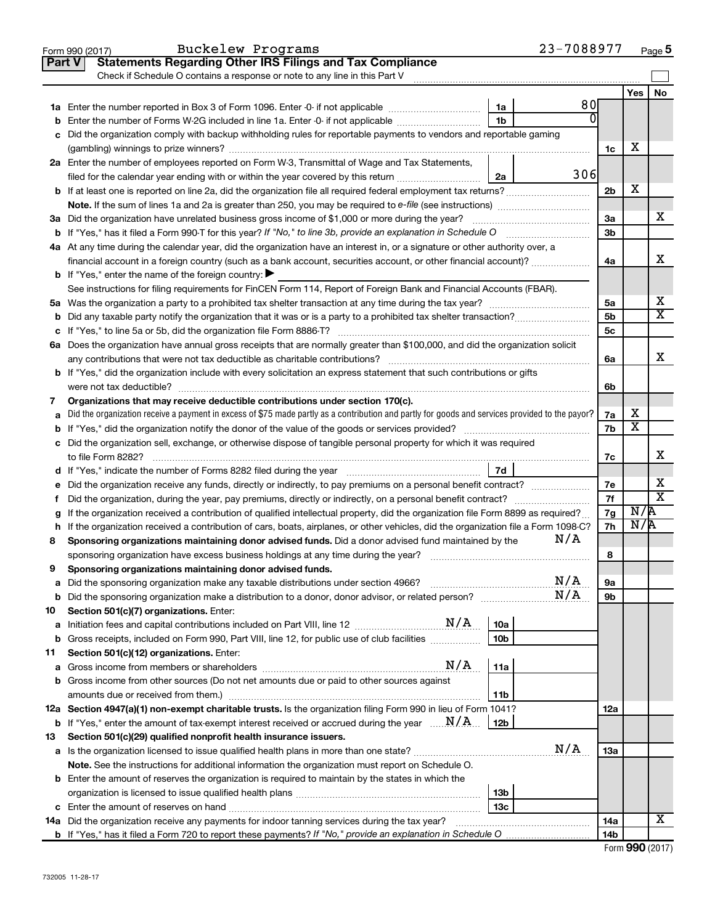|               | Buckelew Programs<br>Form 990 (2017)                                                                                                                                                                                                             |                 | 23-7088977 |                |        | Page 5                  |
|---------------|--------------------------------------------------------------------------------------------------------------------------------------------------------------------------------------------------------------------------------------------------|-----------------|------------|----------------|--------|-------------------------|
| <b>Part V</b> | <b>Statements Regarding Other IRS Filings and Tax Compliance</b>                                                                                                                                                                                 |                 |            |                |        |                         |
|               | Check if Schedule O contains a response or note to any line in this Part V                                                                                                                                                                       |                 |            |                |        |                         |
|               |                                                                                                                                                                                                                                                  |                 |            |                | Yes    | No                      |
|               |                                                                                                                                                                                                                                                  | 1a              | 80         |                |        |                         |
| b             | Enter the number of Forms W-2G included in line 1a. Enter -0- if not applicable                                                                                                                                                                  | 1 <sub>b</sub>  | $\Omega$   |                |        |                         |
| с             | Did the organization comply with backup withholding rules for reportable payments to vendors and reportable gaming                                                                                                                               |                 |            |                |        |                         |
|               |                                                                                                                                                                                                                                                  |                 |            | 1c             | х      |                         |
|               | 2a Enter the number of employees reported on Form W-3, Transmittal of Wage and Tax Statements,                                                                                                                                                   |                 |            |                |        |                         |
|               | filed for the calendar year ending with or within the year covered by this return                                                                                                                                                                | 2a              | 306        |                |        |                         |
|               | <b>b</b> If at least one is reported on line 2a, did the organization file all required federal employment tax returns?                                                                                                                          |                 |            | 2 <sub>b</sub> | X      |                         |
|               |                                                                                                                                                                                                                                                  |                 |            |                |        |                         |
|               | 3a Did the organization have unrelated business gross income of \$1,000 or more during the year?                                                                                                                                                 |                 |            | За             |        | х                       |
|               |                                                                                                                                                                                                                                                  |                 |            | 3b             |        |                         |
|               | 4a At any time during the calendar year, did the organization have an interest in, or a signature or other authority over, a                                                                                                                     |                 |            |                |        |                         |
|               | financial account in a foreign country (such as a bank account, securities account, or other financial account)?                                                                                                                                 |                 |            | 4a             |        | x                       |
|               | <b>b</b> If "Yes," enter the name of the foreign country: $\blacktriangleright$                                                                                                                                                                  |                 |            |                |        |                         |
|               | See instructions for filing requirements for FinCEN Form 114, Report of Foreign Bank and Financial Accounts (FBAR).                                                                                                                              |                 |            |                |        |                         |
|               |                                                                                                                                                                                                                                                  |                 |            | 5a             |        | х                       |
| b             |                                                                                                                                                                                                                                                  |                 |            | 5b             |        | $\overline{\text{X}}$   |
| с             |                                                                                                                                                                                                                                                  |                 |            | 5c             |        |                         |
|               | 6a Does the organization have annual gross receipts that are normally greater than \$100,000, and did the organization solicit                                                                                                                   |                 |            |                |        |                         |
|               |                                                                                                                                                                                                                                                  |                 |            | 6a             |        | x                       |
|               | <b>b</b> If "Yes," did the organization include with every solicitation an express statement that such contributions or gifts                                                                                                                    |                 |            |                |        |                         |
|               |                                                                                                                                                                                                                                                  |                 |            | 6b             |        |                         |
| 7             | Organizations that may receive deductible contributions under section 170(c).                                                                                                                                                                    |                 |            |                |        |                         |
| а             | Did the organization receive a payment in excess of \$75 made partly as a contribution and partly for goods and services provided to the payor?                                                                                                  |                 |            | 7a             | х<br>X |                         |
| b             |                                                                                                                                                                                                                                                  |                 |            | 7b             |        |                         |
|               | c Did the organization sell, exchange, or otherwise dispose of tangible personal property for which it was required                                                                                                                              |                 |            |                |        | х                       |
|               |                                                                                                                                                                                                                                                  |                 |            | 7c             |        |                         |
|               |                                                                                                                                                                                                                                                  |                 |            |                |        | х                       |
| е             | Did the organization receive any funds, directly or indirectly, to pay premiums on a personal benefit contract?                                                                                                                                  |                 |            | 7e<br>7f       |        | $\overline{\mathtt{x}}$ |
| f.            | Did the organization, during the year, pay premiums, directly or indirectly, on a personal benefit contract?<br>If the organization received a contribution of qualified intellectual property, did the organization file Form 8899 as required? |                 |            | 7g             | N/A    |                         |
|               | h If the organization received a contribution of cars, boats, airplanes, or other vehicles, did the organization file a Form 1098-C?                                                                                                             |                 |            | 7h             | N/R    |                         |
| 8             | Sponsoring organizations maintaining donor advised funds. Did a donor advised fund maintained by the                                                                                                                                             |                 | N/A        |                |        |                         |
|               |                                                                                                                                                                                                                                                  |                 |            | 8              |        |                         |
|               | Sponsoring organizations maintaining donor advised funds.                                                                                                                                                                                        |                 |            |                |        |                         |
| а             | Did the sponsoring organization make any taxable distributions under section 4966?                                                                                                                                                               |                 | N/A        | 9а             |        |                         |
| b             | Did the sponsoring organization make a distribution to a donor, donor advisor, or related person?                                                                                                                                                |                 | N/A        | 9b             |        |                         |
| 10            | Section 501(c)(7) organizations. Enter:                                                                                                                                                                                                          |                 |            |                |        |                         |
| а             | N/A<br>Initiation fees and capital contributions included on Part VIII, line 12 <i></i>                                                                                                                                                          | 10a             |            |                |        |                         |
| b             | Gross receipts, included on Form 990, Part VIII, line 12, for public use of club facilities                                                                                                                                                      | 10 <sub>b</sub> |            |                |        |                         |
| 11            | Section 501(c)(12) organizations. Enter:                                                                                                                                                                                                         |                 |            |                |        |                         |
| а             | N/A                                                                                                                                                                                                                                              | 11a             |            |                |        |                         |
| b             | Gross income from other sources (Do not net amounts due or paid to other sources against                                                                                                                                                         |                 |            |                |        |                         |
|               | amounts due or received from them.)                                                                                                                                                                                                              | 11b             |            |                |        |                         |
|               | 12a Section 4947(a)(1) non-exempt charitable trusts. Is the organization filing Form 990 in lieu of Form 1041?                                                                                                                                   |                 |            | 12a            |        |                         |
|               | <b>b</b> If "Yes," enter the amount of tax-exempt interest received or accrued during the year $\ldots$ $\mathbf{N}/\mathbf{A}$ .                                                                                                                | 12b             |            |                |        |                         |
| 13            | Section 501(c)(29) qualified nonprofit health insurance issuers.                                                                                                                                                                                 |                 |            |                |        |                         |
|               |                                                                                                                                                                                                                                                  |                 | N/A        | 13a            |        |                         |
|               | Note. See the instructions for additional information the organization must report on Schedule O.                                                                                                                                                |                 |            |                |        |                         |
|               | <b>b</b> Enter the amount of reserves the organization is required to maintain by the states in which the                                                                                                                                        |                 |            |                |        |                         |
|               |                                                                                                                                                                                                                                                  | 13b             |            |                |        |                         |
|               |                                                                                                                                                                                                                                                  | 13 <sub>c</sub> |            |                |        |                         |
|               | 14a Did the organization receive any payments for indoor tanning services during the tax year?                                                                                                                                                   |                 |            | 14a            |        | x                       |
|               |                                                                                                                                                                                                                                                  |                 |            | 14b            |        |                         |

|  |  | Form 990 (2017) |
|--|--|-----------------|
|--|--|-----------------|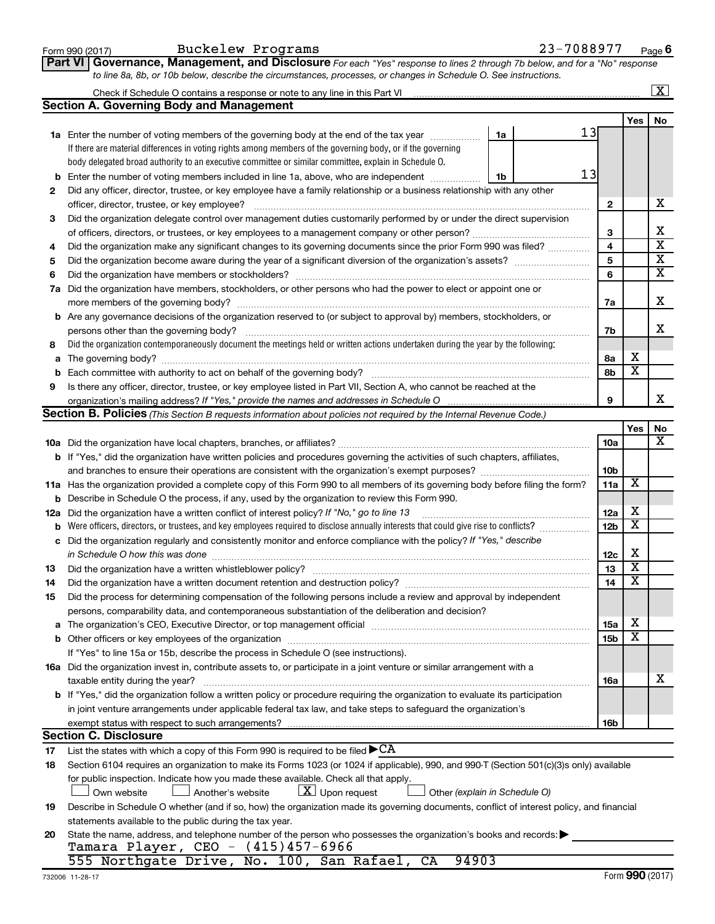|             | to line 8a, 8b, or 10b below, describe the circumstances, processes, or changes in Schedule O. See instructions.                                      |    |  |    |                 |                              |                              |  |
|-------------|-------------------------------------------------------------------------------------------------------------------------------------------------------|----|--|----|-----------------|------------------------------|------------------------------|--|
|             | Check if Schedule O contains a response or note to any line in this Part VI                                                                           |    |  |    |                 |                              | $\overline{\mathbf{x}}$      |  |
|             | <b>Section A. Governing Body and Management</b>                                                                                                       |    |  |    |                 |                              |                              |  |
|             |                                                                                                                                                       |    |  |    |                 | Yes                          | No                           |  |
|             | 1a Enter the number of voting members of the governing body at the end of the tax year                                                                | 1a |  | 13 |                 |                              |                              |  |
|             | If there are material differences in voting rights among members of the governing body, or if the governing                                           |    |  |    |                 |                              |                              |  |
|             | body delegated broad authority to an executive committee or similar committee, explain in Schedule O.                                                 |    |  |    |                 |                              |                              |  |
| b           | Enter the number of voting members included in line 1a, above, who are independent                                                                    | 1b |  | 13 |                 |                              |                              |  |
| 2           | Did any officer, director, trustee, or key employee have a family relationship or a business relationship with any other                              |    |  |    |                 |                              |                              |  |
|             |                                                                                                                                                       |    |  |    | $\mathbf{2}$    |                              | х                            |  |
| 3           | Did the organization delegate control over management duties customarily performed by or under the direct supervision                                 |    |  |    |                 |                              |                              |  |
|             |                                                                                                                                                       |    |  |    | 3               |                              | х<br>$\overline{\mathbf{x}}$ |  |
| 4           | Did the organization make any significant changes to its governing documents since the prior Form 990 was filed?                                      |    |  |    |                 |                              |                              |  |
| 5           |                                                                                                                                                       |    |  |    | 5               |                              | $\overline{\mathbf{X}}$      |  |
| 6           |                                                                                                                                                       |    |  |    | 6               |                              | $\overline{\mathbf{X}}$      |  |
| 7a          | Did the organization have members, stockholders, or other persons who had the power to elect or appoint one or                                        |    |  |    |                 |                              |                              |  |
|             |                                                                                                                                                       |    |  |    | 7a              |                              | х                            |  |
| b           | Are any governance decisions of the organization reserved to (or subject to approval by) members, stockholders, or                                    |    |  |    |                 |                              |                              |  |
|             |                                                                                                                                                       |    |  |    | 7b              |                              | х                            |  |
| 8           | Did the organization contemporaneously document the meetings held or written actions undertaken during the year by the following:                     |    |  |    |                 |                              |                              |  |
| a           |                                                                                                                                                       |    |  |    | 8a              | x                            |                              |  |
| $\mathbf b$ |                                                                                                                                                       |    |  |    | 8b              | $\overline{\textbf{x}}$      |                              |  |
| 9           | Is there any officer, director, trustee, or key employee listed in Part VII, Section A, who cannot be reached at the                                  |    |  |    |                 |                              |                              |  |
|             | organization's mailing address? If "Yes," provide the names and addresses in Schedule O                                                               |    |  |    | 9               |                              | x                            |  |
|             | <b>Section B. Policies</b> (This Section B requests information about policies not required by the Internal Revenue Code.)                            |    |  |    |                 |                              |                              |  |
|             |                                                                                                                                                       |    |  |    |                 | Yes                          | No                           |  |
|             |                                                                                                                                                       |    |  |    | 10a             |                              | х                            |  |
| b           | If "Yes," did the organization have written policies and procedures governing the activities of such chapters, affiliates,                            |    |  |    |                 |                              |                              |  |
|             |                                                                                                                                                       |    |  |    | 10 <sub>b</sub> |                              |                              |  |
|             | 11a Has the organization provided a complete copy of this Form 990 to all members of its governing body before filing the form?                       |    |  |    | 11a             | $\overline{\mathbf{X}}$      |                              |  |
| b           | Describe in Schedule O the process, if any, used by the organization to review this Form 990.                                                         |    |  |    |                 |                              |                              |  |
| 12a         | Did the organization have a written conflict of interest policy? If "No," go to line 13                                                               |    |  |    | 12a             | х                            |                              |  |
| b           | Were officers, directors, or trustees, and key employees required to disclose annually interests that could give rise to conflicts?                   |    |  |    | 12 <sub>b</sub> | $\overline{\textbf{x}}$      |                              |  |
| c           | Did the organization regularly and consistently monitor and enforce compliance with the policy? If "Yes," describe                                    |    |  |    |                 |                              |                              |  |
|             | in Schedule O how this was done                                                                                                                       |    |  |    | 12c             | х                            |                              |  |
| 13          |                                                                                                                                                       |    |  |    | 13              | $\overline{\textbf{X}}$      |                              |  |
| 14          |                                                                                                                                                       |    |  |    | 14              | $\overline{\textbf{x}}$      |                              |  |
| 15          | Did the process for determining compensation of the following persons include a review and approval by independent                                    |    |  |    |                 |                              |                              |  |
|             | persons, comparability data, and contemporaneous substantiation of the deliberation and decision?                                                     |    |  |    |                 |                              |                              |  |
|             |                                                                                                                                                       |    |  |    | 15a             | х<br>$\overline{\textbf{x}}$ |                              |  |
|             |                                                                                                                                                       |    |  |    | 15 <sub>b</sub> |                              |                              |  |
|             | If "Yes" to line 15a or 15b, describe the process in Schedule O (see instructions).                                                                   |    |  |    |                 |                              |                              |  |
|             | 16a Did the organization invest in, contribute assets to, or participate in a joint venture or similar arrangement with a                             |    |  |    |                 |                              |                              |  |
|             | taxable entity during the year?                                                                                                                       |    |  |    | 16a             |                              | х                            |  |
|             | <b>b</b> If "Yes," did the organization follow a written policy or procedure requiring the organization to evaluate its participation                 |    |  |    |                 |                              |                              |  |
|             | in joint venture arrangements under applicable federal tax law, and take steps to safeguard the organization's                                        |    |  |    |                 |                              |                              |  |
|             | exempt status with respect to such arrangements?                                                                                                      |    |  |    | 16b             |                              |                              |  |
|             | <b>Section C. Disclosure</b>                                                                                                                          |    |  |    |                 |                              |                              |  |
| 17          | List the states with which a copy of this Form 990 is required to be filed $\blacktriangleright$ CA                                                   |    |  |    |                 |                              |                              |  |
| 18          | Section 6104 requires an organization to make its Forms 1023 (or 1024 if applicable), 990, and 990-T (Section 501(c)(3)s only) available              |    |  |    |                 |                              |                              |  |
|             | for public inspection. Indicate how you made these available. Check all that apply.                                                                   |    |  |    |                 |                              |                              |  |
|             | $ \underline{X} $ Upon request<br>Another's website<br>Other (explain in Schedule O)<br>Own website                                                   |    |  |    |                 |                              |                              |  |
| 19          | Describe in Schedule O whether (and if so, how) the organization made its governing documents, conflict of interest policy, and financial             |    |  |    |                 |                              |                              |  |
|             | statements available to the public during the tax year.                                                                                               |    |  |    |                 |                              |                              |  |
| 20          | State the name, address, and telephone number of the person who possesses the organization's books and records:<br>Tamara Player, CEO - (415)457-6966 |    |  |    |                 |                              |                              |  |
|             | 555 Northgate Drive, No. 100, San Rafael, CA<br>94903                                                                                                 |    |  |    |                 |                              |                              |  |

**Part VI** Governance, Management, and Disclosure For each "Yes" response to lines 2 through 7b below, and for a "No" response

Form 990 (2017) Page Buckelew Programs 23-7088977

**6**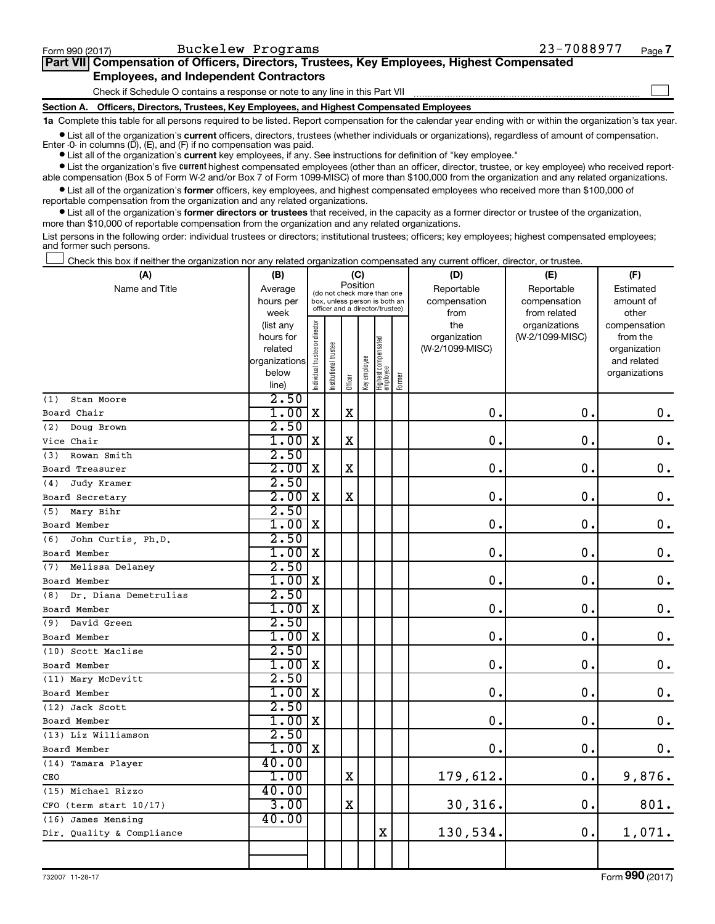| Form 990 (2017)                               | Buckelew Programs                                                                          | 23-7088977 | Page 7 |  |  |  |  |  |
|-----------------------------------------------|--------------------------------------------------------------------------------------------|------------|--------|--|--|--|--|--|
|                                               | Part VII Compensation of Officers, Directors, Trustees, Key Employees, Highest Compensated |            |        |  |  |  |  |  |
| <b>Employees, and Independent Contractors</b> |                                                                                            |            |        |  |  |  |  |  |
|                                               | Check if Schedule O contains a response or note to any line in this Part VII               |            |        |  |  |  |  |  |
| Section A.                                    | Officers, Directors, Trustees, Key Employees, and Highest Compensated Employees            |            |        |  |  |  |  |  |

**1a**  Complete this table for all persons required to be listed. Report compensation for the calendar year ending with or within the organization's tax year.

**•** List all of the organization's current officers, directors, trustees (whether individuals or organizations), regardless of amount of compensation.

**•** List all of the organization's **current** key employees, if any. See instructions for definition of "key employee." Enter  $-0$ - in columns  $(D)$ ,  $(E)$ , and  $(F)$  if no compensation was paid.

**•** List the organization's five current highest compensated employees (other than an officer, director, trustee, or key employee) who received reportable compensation (Box 5 of Form W-2 and/or Box 7 of Form 1099-MISC) of more than \$100,000 from the organization and any related organizations.

**•** List all of the organization's former officers, key employees, and highest compensated employees who received more than \$100,000 of reportable compensation from the organization and any related organizations.

**•** List all of the organization's former directors or trustees that received, in the capacity as a former director or trustee of the organization, more than \$10,000 of reportable compensation from the organization and any related organizations.

List persons in the following order: individual trustees or directors; institutional trustees; officers; key employees; highest compensated employees; and former such persons.

Check this box if neither the organization nor any related organization compensated any current officer, director, or trustee. †

| (A)                          | (B)           |                               |                                                              | (C)         |              |                                 |        | (D)             | (E)             | (F)           |
|------------------------------|---------------|-------------------------------|--------------------------------------------------------------|-------------|--------------|---------------------------------|--------|-----------------|-----------------|---------------|
| Name and Title               | Average       |                               |                                                              | Position    |              |                                 |        | Reportable      | Reportable      | Estimated     |
|                              | hours per     |                               | (do not check more than one<br>box, unless person is both an |             |              |                                 |        | compensation    | compensation    | amount of     |
|                              | week          |                               | officer and a director/trustee)                              |             |              |                                 |        | from            | from related    | other         |
|                              | (list any     |                               |                                                              |             |              |                                 |        | the             | organizations   | compensation  |
|                              | hours for     |                               |                                                              |             |              |                                 |        | organization    | (W-2/1099-MISC) | from the      |
|                              | related       |                               |                                                              |             |              |                                 |        | (W-2/1099-MISC) |                 | organization  |
|                              | organizations |                               |                                                              |             |              |                                 |        |                 |                 | and related   |
|                              | below         | ndividual trustee or director | nstitutional trustee                                         | Officer     | Key employee | Highest compensated<br>employee | Former |                 |                 | organizations |
|                              | line)<br>2.50 |                               |                                                              |             |              |                                 |        |                 |                 |               |
| Stan Moore<br>(1)            | 1.00          | X                             |                                                              | $\mathbf X$ |              |                                 |        | $\mathbf 0$ .   | $\mathbf 0$     | $\mathbf 0$ . |
| Board Chair                  |               |                               |                                                              |             |              |                                 |        |                 |                 |               |
| Doug Brown<br>(2)            | 2.50          |                               |                                                              |             |              |                                 |        |                 |                 |               |
| Vice Chair                   | 1.00          | X                             |                                                              | $\mathbf X$ |              |                                 |        | $\mathbf 0$ .   | $\mathbf 0$     | $\mathbf 0$ . |
| Rowan Smith<br>(3)           | 2.50          |                               |                                                              |             |              |                                 |        |                 |                 |               |
| Board Treasurer              | 2.00          | X                             |                                                              | $\mathbf X$ |              |                                 |        | $\mathbf 0$ .   | $\mathbf 0$     | $\mathbf 0$ . |
| Judy Kramer<br>(4)           | 2.50          |                               |                                                              |             |              |                                 |        |                 |                 |               |
| Board Secretary              | 2.00          | X                             |                                                              | $\mathbf X$ |              |                                 |        | 0.              | $\mathbf 0$     | $\mathbf 0$ . |
| Mary Bihr<br>(5)             | 2.50          |                               |                                                              |             |              |                                 |        |                 |                 |               |
| Board Member                 | 1.00          | X                             |                                                              |             |              |                                 |        | 0.              | $\mathbf 0$     | $\mathbf 0$ . |
| John Curtis, Ph.D.<br>(6)    | 2.50          |                               |                                                              |             |              |                                 |        |                 |                 |               |
| Board Member                 | 1.00          | X                             |                                                              |             |              |                                 |        | 0.              | $\mathbf 0$     | $\mathbf 0$ . |
| Melissa Delaney<br>(7)       | 2.50          |                               |                                                              |             |              |                                 |        |                 |                 |               |
| Board Member                 | 1.00          | $\mathbf X$                   |                                                              |             |              |                                 |        | 0.              | $\mathbf 0$     | $\mathbf 0$ . |
| Dr. Diana Demetrulias<br>(8) | 2.50          |                               |                                                              |             |              |                                 |        |                 |                 |               |
| Board Member                 | 1.00          | X                             |                                                              |             |              |                                 |        | 0.              | $\mathbf 0$     | $\mathbf 0$ . |
| David Green<br>(9)           | 2.50          |                               |                                                              |             |              |                                 |        |                 |                 |               |
| Board Member                 | 1.00          | X                             |                                                              |             |              |                                 |        | 0.              | $\mathbf 0$ .   | $\mathbf 0$ . |
| (10) Scott Maclise           | 2.50          |                               |                                                              |             |              |                                 |        |                 |                 |               |
| Board Member                 | 1.00          | X                             |                                                              |             |              |                                 |        | 0.              | $\mathbf 0$ .   | $\mathbf 0$ . |
| (11) Mary McDevitt           | 2.50          |                               |                                                              |             |              |                                 |        |                 |                 |               |
| Board Member                 | 1.00          | X                             |                                                              |             |              |                                 |        | 0.              | 0.              | $\mathbf 0$ . |
| (12) Jack Scott              | 2.50          |                               |                                                              |             |              |                                 |        |                 |                 |               |
| Board Member                 | 1.00          | X                             |                                                              |             |              |                                 |        | 0.              | $\mathbf 0$ .   | $\mathbf 0$ . |
| (13) Liz Williamson          | 2.50          |                               |                                                              |             |              |                                 |        |                 |                 |               |
| Board Member                 | 1.00          | X                             |                                                              |             |              |                                 |        | 0.              | 0.              | $\mathbf 0$ . |
| (14) Tamara Player           | 40.00         |                               |                                                              |             |              |                                 |        |                 |                 |               |
| CEO                          | 1.00          |                               |                                                              | $\mathbf X$ |              |                                 |        | 179,612.        | 0.              | 9,876.        |
| (15) Michael Rizzo           | 40.00         |                               |                                                              |             |              |                                 |        |                 |                 |               |
| CFO (term start 10/17)       | 3.00          |                               |                                                              | $\mathbf X$ |              |                                 |        | 30,316.         | 0.              | 801.          |
| (16) James Mensing           | 40.00         |                               |                                                              |             |              |                                 |        |                 |                 |               |
| Dir. Quality & Compliance    |               |                               |                                                              |             |              | $\mathbf X$                     |        | 130,534.        | 0.              | 1,071.        |
|                              |               |                               |                                                              |             |              |                                 |        |                 |                 |               |
|                              |               |                               |                                                              |             |              |                                 |        |                 |                 |               |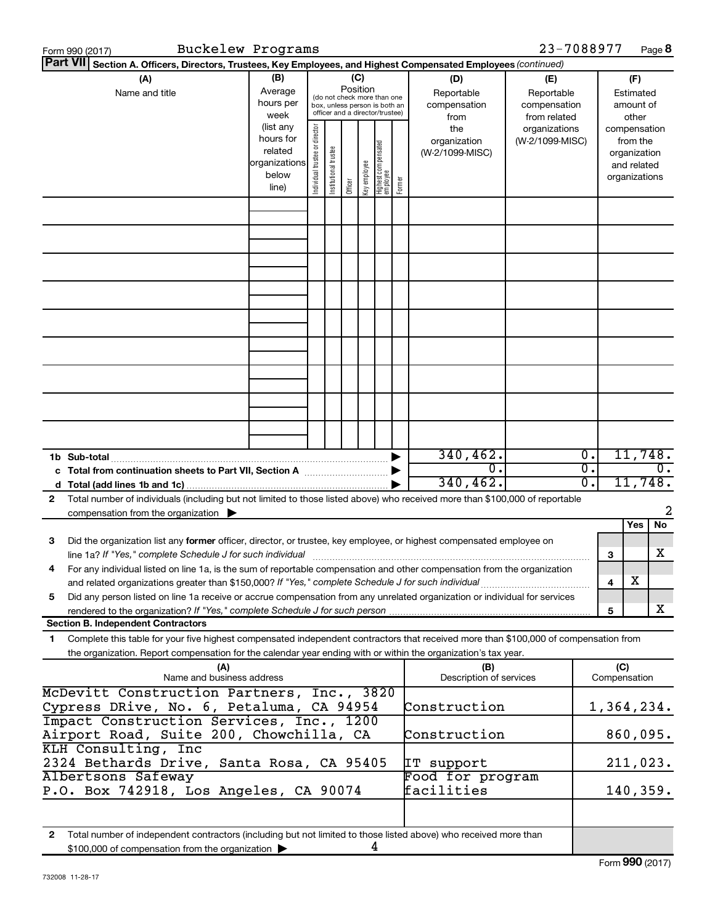| Buckelew Programs<br>Form 990 (2017)                                                                                                                                                                                                                         |                                                                              |                                                                                                                    |                       |         |              |                                 |        |                                                | 23-7088977                                       |                                      |                                                                                   | Page 8                      |
|--------------------------------------------------------------------------------------------------------------------------------------------------------------------------------------------------------------------------------------------------------------|------------------------------------------------------------------------------|--------------------------------------------------------------------------------------------------------------------|-----------------------|---------|--------------|---------------------------------|--------|------------------------------------------------|--------------------------------------------------|--------------------------------------|-----------------------------------------------------------------------------------|-----------------------------|
| Part VII Section A. Officers, Directors, Trustees, Key Employees, and Highest Compensated Employees (continued)                                                                                                                                              |                                                                              |                                                                                                                    |                       |         |              |                                 |        |                                                |                                                  |                                      |                                                                                   |                             |
| (A)<br>Name and title                                                                                                                                                                                                                                        | (B)<br>Average<br>hours per                                                  | (C)<br>Position<br>(do not check more than one<br>box, unless person is both an<br>officer and a director/trustee) |                       |         |              |                                 |        | (D)<br>Reportable<br>compensation              | (E)<br>Reportable<br>compensation                | (F)<br>Estimated<br>amount of        |                                                                                   |                             |
|                                                                                                                                                                                                                                                              | week<br>(list any<br>hours for<br>related<br>organizations<br>below<br>line) | Individual trustee or director                                                                                     | Institutional trustee | Officer | Key employee | Highest compensated<br>employee | Former | from<br>the<br>organization<br>(W-2/1099-MISC) | from related<br>organizations<br>(W-2/1099-MISC) |                                      | other<br>compensation<br>from the<br>organization<br>and related<br>organizations |                             |
|                                                                                                                                                                                                                                                              |                                                                              |                                                                                                                    |                       |         |              |                                 |        |                                                |                                                  |                                      |                                                                                   |                             |
|                                                                                                                                                                                                                                                              |                                                                              |                                                                                                                    |                       |         |              |                                 |        |                                                |                                                  |                                      |                                                                                   |                             |
|                                                                                                                                                                                                                                                              |                                                                              |                                                                                                                    |                       |         |              |                                 |        |                                                |                                                  |                                      |                                                                                   |                             |
|                                                                                                                                                                                                                                                              |                                                                              |                                                                                                                    |                       |         |              |                                 |        |                                                |                                                  |                                      |                                                                                   |                             |
|                                                                                                                                                                                                                                                              |                                                                              |                                                                                                                    |                       |         |              |                                 |        |                                                |                                                  |                                      |                                                                                   |                             |
|                                                                                                                                                                                                                                                              |                                                                              |                                                                                                                    |                       |         |              |                                 |        |                                                |                                                  |                                      |                                                                                   |                             |
|                                                                                                                                                                                                                                                              |                                                                              |                                                                                                                    |                       |         |              |                                 |        |                                                |                                                  |                                      |                                                                                   |                             |
|                                                                                                                                                                                                                                                              |                                                                              |                                                                                                                    |                       |         |              |                                 |        |                                                |                                                  |                                      |                                                                                   |                             |
|                                                                                                                                                                                                                                                              |                                                                              |                                                                                                                    |                       |         |              |                                 |        |                                                |                                                  |                                      |                                                                                   |                             |
| 1b Sub-total                                                                                                                                                                                                                                                 |                                                                              |                                                                                                                    |                       |         |              |                                 |        | 340, 462.                                      |                                                  | $\overline{0}$ .                     |                                                                                   | 11,748.                     |
| c Total from continuation sheets to Part VII, Section A [11, 11, 11, 11, 11]                                                                                                                                                                                 |                                                                              |                                                                                                                    |                       |         |              |                                 |        | σ.<br>340, 462.                                |                                                  | $\overline{0}$ .<br>$\overline{0}$ . |                                                                                   | $\overline{0}$ .<br>11,748. |
| Total number of individuals (including but not limited to those listed above) who received more than \$100,000 of reportable<br>2                                                                                                                            |                                                                              |                                                                                                                    |                       |         |              |                                 |        |                                                |                                                  |                                      |                                                                                   |                             |
| compensation from the organization $\blacktriangleright$                                                                                                                                                                                                     |                                                                              |                                                                                                                    |                       |         |              |                                 |        |                                                |                                                  |                                      |                                                                                   | 2                           |
|                                                                                                                                                                                                                                                              |                                                                              |                                                                                                                    |                       |         |              |                                 |        |                                                |                                                  |                                      | <b>Yes</b>                                                                        | No                          |
| Did the organization list any former officer, director, or trustee, key employee, or highest compensated employee on<br>3<br>line 1a? If "Yes," complete Schedule J for such individual                                                                      |                                                                              |                                                                                                                    |                       |         |              |                                 |        |                                                |                                                  |                                      | 3                                                                                 | х                           |
| 4<br>For any individual listed on line 1a, is the sum of reportable compensation and other compensation from the organization<br>and related organizations greater than \$150,000? If "Yes," complete Schedule J for such individual                         |                                                                              |                                                                                                                    |                       |         |              |                                 |        |                                                |                                                  |                                      | x<br>4                                                                            |                             |
| Did any person listed on line 1a receive or accrue compensation from any unrelated organization or individual for services<br>5<br>rendered to the organization? If "Yes," complete Schedule J for such person.                                              |                                                                              |                                                                                                                    |                       |         |              |                                 |        |                                                |                                                  |                                      | 5                                                                                 | x                           |
| <b>Section B. Independent Contractors</b>                                                                                                                                                                                                                    |                                                                              |                                                                                                                    |                       |         |              |                                 |        |                                                |                                                  |                                      |                                                                                   |                             |
| Complete this table for your five highest compensated independent contractors that received more than \$100,000 of compensation from<br>1.<br>the organization. Report compensation for the calendar year ending with or within the organization's tax year. |                                                                              |                                                                                                                    |                       |         |              |                                 |        |                                                |                                                  |                                      |                                                                                   |                             |
| (A)<br>Name and business address                                                                                                                                                                                                                             |                                                                              |                                                                                                                    |                       |         |              |                                 |        | (B)<br>Description of services                 |                                                  |                                      | (C)<br>Compensation                                                               |                             |
| McDevitt Construction Partners, Inc., 3820<br>Cypress DRive, No. 6, Petaluma, CA 94954                                                                                                                                                                       |                                                                              |                                                                                                                    |                       |         |              |                                 |        | Construction                                   |                                                  |                                      |                                                                                   | 1,364,234.                  |
| Impact Construction Services, Inc., 1200<br>Airport Road, Suite 200, Chowchilla, CA                                                                                                                                                                          |                                                                              |                                                                                                                    |                       |         |              |                                 |        | Construction                                   |                                                  |                                      |                                                                                   | 860,095.                    |
| KLH Consulting, Inc<br>2324 Bethards Drive, Santa Rosa, CA 95405                                                                                                                                                                                             |                                                                              |                                                                                                                    |                       |         |              |                                 |        | IT support                                     |                                                  |                                      |                                                                                   | 211,023.                    |
| Albertsons Safeway<br>P.O. Box 742918, Los Angeles, CA 90074                                                                                                                                                                                                 |                                                                              |                                                                                                                    |                       |         |              |                                 |        | Food for program<br>facilities                 |                                                  |                                      |                                                                                   | 140,359.                    |
|                                                                                                                                                                                                                                                              |                                                                              |                                                                                                                    |                       |         |              |                                 |        |                                                |                                                  |                                      |                                                                                   |                             |
| Total number of independent contractors (including but not limited to those listed above) who received more than<br>2<br>\$100,000 of compensation from the organization >                                                                                   |                                                                              |                                                                                                                    |                       |         |              | 4                               |        |                                                |                                                  |                                      |                                                                                   |                             |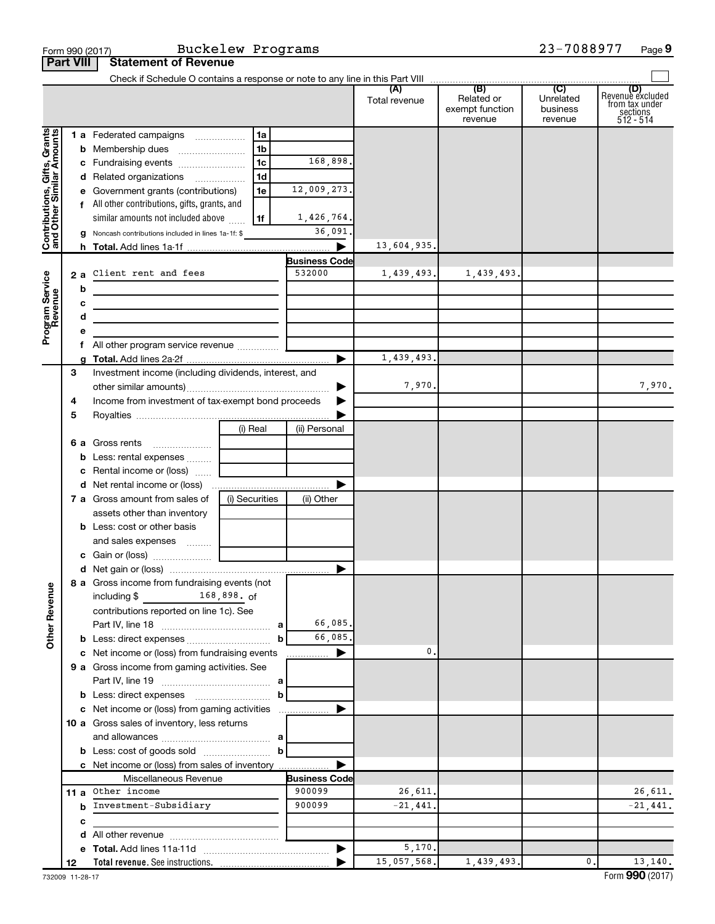|                                                           | <b>Part VIII</b> | <b>Statement of Revenue</b>                                                               |                |                                |                      |                                                 |                                         |                                                             |
|-----------------------------------------------------------|------------------|-------------------------------------------------------------------------------------------|----------------|--------------------------------|----------------------|-------------------------------------------------|-----------------------------------------|-------------------------------------------------------------|
|                                                           |                  |                                                                                           |                |                                |                      |                                                 |                                         |                                                             |
|                                                           |                  |                                                                                           |                |                                | (A)<br>Total revenue | (B)<br>Related or<br>exempt function<br>revenue | (C)<br>Unrelated<br>business<br>revenue | Revenue excluded<br>from tax under<br>sections<br>512 - 514 |
| Contributions, Gifts, Grants<br>and Other Similar Amounts |                  | 1 a Federated campaigns                                                                   | 1a             |                                |                      |                                                 |                                         |                                                             |
|                                                           |                  |                                                                                           | 1b             |                                |                      |                                                 |                                         |                                                             |
|                                                           |                  |                                                                                           | 1 <sub>c</sub> | 168,898.                       |                      |                                                 |                                         |                                                             |
|                                                           |                  | d Related organizations                                                                   | 1 <sub>d</sub> |                                |                      |                                                 |                                         |                                                             |
|                                                           |                  | e Government grants (contributions)                                                       | 1e             | 12,009,273.                    |                      |                                                 |                                         |                                                             |
|                                                           |                  | f All other contributions, gifts, grants, and                                             |                |                                |                      |                                                 |                                         |                                                             |
|                                                           |                  | similar amounts not included above                                                        | 1f             | 1,426,764.                     |                      |                                                 |                                         |                                                             |
|                                                           |                  | <b>g</b> Noncash contributions included in lines 1a-1f: \$                                |                | 36,091.                        |                      |                                                 |                                         |                                                             |
|                                                           |                  |                                                                                           |                |                                | 13,604,935.          |                                                 |                                         |                                                             |
|                                                           |                  |                                                                                           |                | <b>Business Code</b>           |                      |                                                 |                                         |                                                             |
|                                                           |                  | 2 a Client rent and fees                                                                  |                | 532000                         | 1,439,493.           | 1,439,493.                                      |                                         |                                                             |
| Program Service<br>Revenue                                | b                |                                                                                           |                |                                |                      |                                                 |                                         |                                                             |
|                                                           | c                | the contract of the contract of the contract of the contract of the contract of           |                |                                |                      |                                                 |                                         |                                                             |
|                                                           | d                | <u> 1989 - Johann Barbara, martxa alemaniar arg</u>                                       |                |                                |                      |                                                 |                                         |                                                             |
|                                                           | е                |                                                                                           |                |                                |                      |                                                 |                                         |                                                             |
|                                                           |                  | All other program service revenue <i>mimimini</i>                                         |                |                                |                      |                                                 |                                         |                                                             |
|                                                           |                  |                                                                                           |                |                                | 1,439,493.           |                                                 |                                         |                                                             |
|                                                           | З                | Investment income (including dividends, interest, and                                     |                |                                |                      |                                                 |                                         |                                                             |
|                                                           |                  |                                                                                           |                | ▶                              | 7,970.               |                                                 |                                         | 7,970.                                                      |
|                                                           | 4                | Income from investment of tax-exempt bond proceeds                                        |                |                                |                      |                                                 |                                         |                                                             |
|                                                           | 5                |                                                                                           |                |                                |                      |                                                 |                                         |                                                             |
|                                                           |                  |                                                                                           | (i) Real       | (ii) Personal                  |                      |                                                 |                                         |                                                             |
|                                                           |                  | 6 a Gross rents                                                                           |                |                                |                      |                                                 |                                         |                                                             |
|                                                           |                  | <b>b</b> Less: rental expenses                                                            |                |                                |                      |                                                 |                                         |                                                             |
|                                                           |                  | <b>c</b> Rental income or (loss) $\ldots$                                                 |                |                                |                      |                                                 |                                         |                                                             |
|                                                           |                  |                                                                                           |                |                                |                      |                                                 |                                         |                                                             |
|                                                           |                  | 7 a Gross amount from sales of                                                            | (i) Securities | (ii) Other                     |                      |                                                 |                                         |                                                             |
|                                                           |                  | assets other than inventory                                                               |                |                                |                      |                                                 |                                         |                                                             |
|                                                           |                  | <b>b</b> Less: cost or other basis                                                        |                |                                |                      |                                                 |                                         |                                                             |
|                                                           |                  | and sales expenses                                                                        |                |                                |                      |                                                 |                                         |                                                             |
|                                                           |                  |                                                                                           |                |                                |                      |                                                 |                                         |                                                             |
|                                                           |                  |                                                                                           |                |                                |                      |                                                 |                                         |                                                             |
|                                                           |                  | 8 a Gross income from fundraising events (not                                             |                |                                |                      |                                                 |                                         |                                                             |
| <b>Other Revenue</b>                                      |                  | $168,898.$ of<br>including $$$                                                            |                |                                |                      |                                                 |                                         |                                                             |
|                                                           |                  | contributions reported on line 1c). See                                                   |                |                                |                      |                                                 |                                         |                                                             |
|                                                           |                  |                                                                                           |                | 66,085.                        |                      |                                                 |                                         |                                                             |
|                                                           |                  |                                                                                           | b              | 66,085.                        |                      |                                                 |                                         |                                                             |
|                                                           |                  | c Net income or (loss) from fundraising events                                            |                | ▶<br>.                         | 0.                   |                                                 |                                         |                                                             |
|                                                           |                  | 9 a Gross income from gaming activities. See                                              |                |                                |                      |                                                 |                                         |                                                             |
|                                                           |                  |                                                                                           |                |                                |                      |                                                 |                                         |                                                             |
|                                                           |                  |                                                                                           | b              |                                |                      |                                                 |                                         |                                                             |
|                                                           |                  | c Net income or (loss) from gaming activities                                             |                | ▶                              |                      |                                                 |                                         |                                                             |
|                                                           |                  | <b>10 a</b> Gross sales of inventory, less returns                                        |                |                                |                      |                                                 |                                         |                                                             |
|                                                           |                  |                                                                                           |                |                                |                      |                                                 |                                         |                                                             |
|                                                           |                  |                                                                                           | b              |                                |                      |                                                 |                                         |                                                             |
|                                                           |                  | c Net income or (loss) from sales of inventory                                            |                |                                |                      |                                                 |                                         |                                                             |
|                                                           |                  | Miscellaneous Revenue<br>11 a Other income                                                |                | <b>Business Code</b><br>900099 | 26,611.              |                                                 |                                         | 26,611.                                                     |
|                                                           | b                | Investment-Subsidiary                                                                     |                | 900099                         | $-21,441.$           |                                                 |                                         | $-21,441.$                                                  |
|                                                           |                  |                                                                                           |                |                                |                      |                                                 |                                         |                                                             |
|                                                           | c                |                                                                                           |                |                                |                      |                                                 |                                         |                                                             |
|                                                           |                  | <b>d</b> All other revenue $\ldots$ $\ldots$ $\ldots$ $\ldots$ $\ldots$ $\ldots$ $\ldots$ |                |                                | 5,170.               |                                                 |                                         |                                                             |
|                                                           | 12               |                                                                                           |                |                                | 15,057,568.          | 1,439,493.                                      | $\mathbf{0}$ .                          | 13,140.                                                     |
|                                                           |                  |                                                                                           |                |                                |                      |                                                 |                                         |                                                             |

Form 990 (2017) Page Buckelew Programs 23-7088977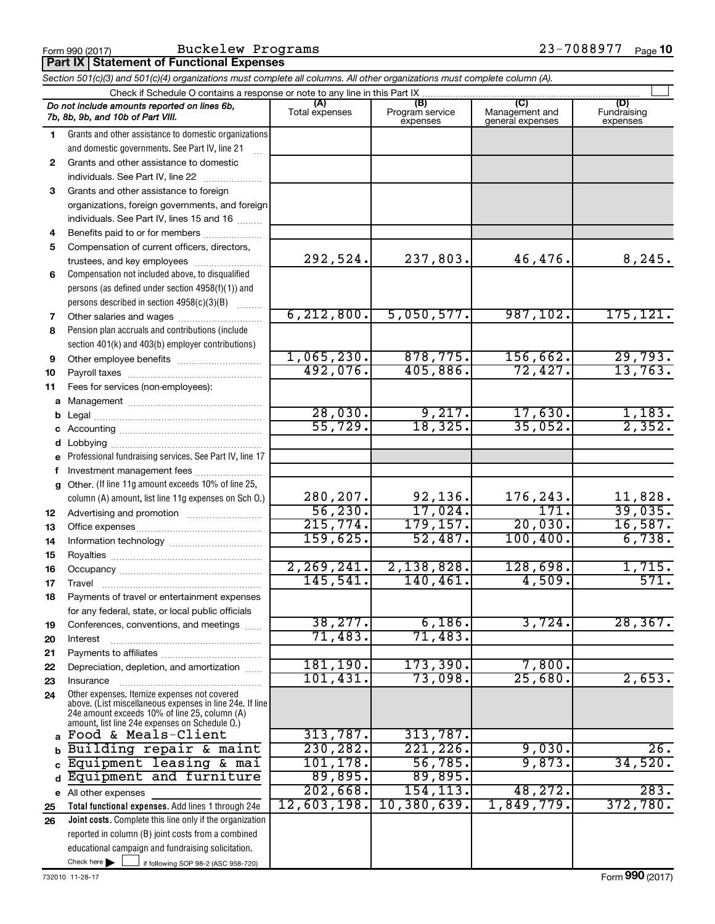Form 990 (2017) Page Buckelew Programs 23-7088977

**Part IX Statement of Functional Expenses** 

|              | Section 501(c)(3) and 501(c)(4) organizations must complete all columns. All other organizations must complete column (A).                                  |                       |                                    |                                    |                                |  |  |  |  |  |  |  |
|--------------|-------------------------------------------------------------------------------------------------------------------------------------------------------------|-----------------------|------------------------------------|------------------------------------|--------------------------------|--|--|--|--|--|--|--|
|              | Check if Schedule O contains a response or note to any line in this Part IX                                                                                 |                       |                                    |                                    |                                |  |  |  |  |  |  |  |
|              | Do not include amounts reported on lines 6b,<br>7b, 8b, 9b, and 10b of Part VIII.                                                                           | (A)<br>Total expenses | (B)<br>Program service<br>expenses | Management and<br>general expenses | (D)<br>Fundraising<br>expenses |  |  |  |  |  |  |  |
| 1            | Grants and other assistance to domestic organizations                                                                                                       |                       |                                    |                                    |                                |  |  |  |  |  |  |  |
|              | and domestic governments. See Part IV, line 21                                                                                                              |                       |                                    |                                    |                                |  |  |  |  |  |  |  |
| $\mathbf{2}$ | Grants and other assistance to domestic                                                                                                                     |                       |                                    |                                    |                                |  |  |  |  |  |  |  |
|              | individuals. See Part IV, line 22                                                                                                                           |                       |                                    |                                    |                                |  |  |  |  |  |  |  |
| 3            | Grants and other assistance to foreign                                                                                                                      |                       |                                    |                                    |                                |  |  |  |  |  |  |  |
|              | organizations, foreign governments, and foreign                                                                                                             |                       |                                    |                                    |                                |  |  |  |  |  |  |  |
|              | individuals. See Part IV, lines 15 and 16                                                                                                                   |                       |                                    |                                    |                                |  |  |  |  |  |  |  |
| 4            | Benefits paid to or for members                                                                                                                             |                       |                                    |                                    |                                |  |  |  |  |  |  |  |
| 5            | Compensation of current officers, directors,                                                                                                                |                       |                                    |                                    |                                |  |  |  |  |  |  |  |
|              | trustees, and key employees                                                                                                                                 | 292,524.              | 237,803.                           | 46,476.                            | 8,245.                         |  |  |  |  |  |  |  |
| 6            | Compensation not included above, to disqualified                                                                                                            |                       |                                    |                                    |                                |  |  |  |  |  |  |  |
|              | persons (as defined under section 4958(f)(1)) and                                                                                                           |                       |                                    |                                    |                                |  |  |  |  |  |  |  |
|              | persons described in section 4958(c)(3)(B)                                                                                                                  |                       |                                    |                                    |                                |  |  |  |  |  |  |  |
| 7            | Other salaries and wages                                                                                                                                    | 6, 212, 800.          | 5,050,577.                         | 987,102.                           | 175, 121.                      |  |  |  |  |  |  |  |
| 8            | Pension plan accruals and contributions (include                                                                                                            |                       |                                    |                                    |                                |  |  |  |  |  |  |  |
|              | section 401(k) and 403(b) employer contributions)                                                                                                           |                       |                                    |                                    |                                |  |  |  |  |  |  |  |
| 9            | Other employee benefits                                                                                                                                     | 1,065,230.            | 878,775.                           | 156,662.                           | 29,793.                        |  |  |  |  |  |  |  |
| 10           |                                                                                                                                                             | 492,076.              | 405,886.                           | 72,427.                            | 13,763.                        |  |  |  |  |  |  |  |
| 11           | Fees for services (non-employees):                                                                                                                          |                       |                                    |                                    |                                |  |  |  |  |  |  |  |
| a            |                                                                                                                                                             |                       |                                    |                                    |                                |  |  |  |  |  |  |  |
| b            |                                                                                                                                                             | 28,030.               | 9,217.                             | 17,630.                            | 1,183.                         |  |  |  |  |  |  |  |
|              |                                                                                                                                                             | 55,729.               | 18,325.                            | 35,052.                            | 2,352.                         |  |  |  |  |  |  |  |
| d            |                                                                                                                                                             |                       |                                    |                                    |                                |  |  |  |  |  |  |  |
| е            | Professional fundraising services. See Part IV, line 17                                                                                                     |                       |                                    |                                    |                                |  |  |  |  |  |  |  |
| f            | Investment management fees                                                                                                                                  |                       |                                    |                                    |                                |  |  |  |  |  |  |  |
| g            | Other. (If line 11g amount exceeds 10% of line 25,                                                                                                          |                       |                                    |                                    |                                |  |  |  |  |  |  |  |
|              | column (A) amount, list line 11g expenses on Sch O.)                                                                                                        | 280,207.<br>56, 230.  | 92,136.                            | 176,243.<br>171.                   | 11,828.                        |  |  |  |  |  |  |  |
| 12           |                                                                                                                                                             | 215,774.              | 17,024.<br>179, 157.               | 20,030.                            | 39,035.<br>16,587.             |  |  |  |  |  |  |  |
| 13           |                                                                                                                                                             | 159,625.              | 52,487.                            |                                    | 6,738.                         |  |  |  |  |  |  |  |
| 14           |                                                                                                                                                             |                       |                                    | 100, 400.                          |                                |  |  |  |  |  |  |  |
| 15           |                                                                                                                                                             | 2, 269, 241.          | 2,138,828.                         | 128,698.                           | 1,715.                         |  |  |  |  |  |  |  |
| 16           |                                                                                                                                                             | 145,541.              | 140, 461.                          | 4,509.                             | 571.                           |  |  |  |  |  |  |  |
| 17           |                                                                                                                                                             |                       |                                    |                                    |                                |  |  |  |  |  |  |  |
| 18           | Payments of travel or entertainment expenses                                                                                                                |                       |                                    |                                    |                                |  |  |  |  |  |  |  |
|              | for any federal, state, or local public officials                                                                                                           | 38,277.               | 6,186.                             | 3,724.                             | 28, 367.                       |  |  |  |  |  |  |  |
| 19           | Conferences, conventions, and meetings                                                                                                                      | 71,483.               | 71,483                             |                                    |                                |  |  |  |  |  |  |  |
| 20           | Interest                                                                                                                                                    |                       |                                    |                                    |                                |  |  |  |  |  |  |  |
| 21<br>22     | Depreciation, depletion, and amortization                                                                                                                   | 181,190.              | 173,390.                           | 7,800.                             |                                |  |  |  |  |  |  |  |
| 23           | Insurance                                                                                                                                                   | 101,431.              | 73,098.                            | 25,680.                            | 2,653.                         |  |  |  |  |  |  |  |
| 24           | Other expenses. Itemize expenses not covered                                                                                                                |                       |                                    |                                    |                                |  |  |  |  |  |  |  |
|              | above. (List miscellaneous expenses in line 24e. If line<br>24e amount exceeds 10% of line 25, column (A)<br>amount, list line 24e expenses on Schedule O.) |                       |                                    |                                    |                                |  |  |  |  |  |  |  |
| a            | Food & Meals-Client                                                                                                                                         | 313,787.              | 313,787.                           |                                    |                                |  |  |  |  |  |  |  |
| b            | Building repair & maint                                                                                                                                     | 230, 282.             | 221, 226.                          | 9,030.                             | 26.                            |  |  |  |  |  |  |  |
|              | Equipment leasing & mai                                                                                                                                     | 101, 178.             | 56,785.                            | 9,873.                             | 34,520.                        |  |  |  |  |  |  |  |
| d            | Equipment and furniture                                                                                                                                     | 89,895.               | 89,895.                            |                                    |                                |  |  |  |  |  |  |  |
|              | e All other expenses                                                                                                                                        | 202,668.              | 154,113.                           | 48, 272.                           | 283.                           |  |  |  |  |  |  |  |
| 25           | Total functional expenses. Add lines 1 through 24e                                                                                                          | 12,603,198.           | 10,380,639.                        | 1,849,779.                         | 372,780.                       |  |  |  |  |  |  |  |
| 26           | Joint costs. Complete this line only if the organization                                                                                                    |                       |                                    |                                    |                                |  |  |  |  |  |  |  |
|              | reported in column (B) joint costs from a combined                                                                                                          |                       |                                    |                                    |                                |  |  |  |  |  |  |  |
|              | educational campaign and fundraising solicitation.                                                                                                          |                       |                                    |                                    |                                |  |  |  |  |  |  |  |
|              | Check here $\blacktriangleright$<br>if following SOP 98-2 (ASC 958-720)                                                                                     |                       |                                    |                                    |                                |  |  |  |  |  |  |  |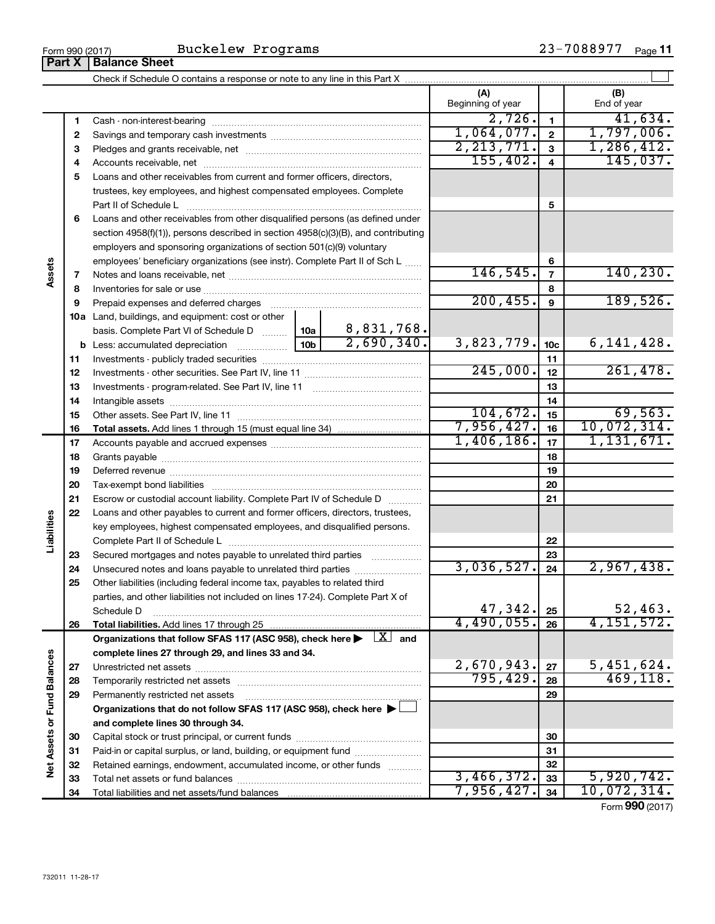Form 990 (2017) Page Buckelew Programs 23-7088977 23-7088977 Page 11

| (A)<br>(B)<br>Beginning of year<br>End of year<br>2,726.<br>41,634.<br>$\mathbf{1}$<br>1<br>1,064,077.<br>1,797,006.<br>$\overline{2}$<br>$\mathbf{2}$<br>2, 213, 771.<br>1,286,412.<br>3<br>3<br>155,402.<br>145,037.<br>$\overline{4}$<br>4<br>Loans and other receivables from current and former officers, directors,<br>5<br>trustees, key employees, and highest compensated employees. Complete<br>5<br>Part II of Schedule Latin and Communication of Schedule Latin and Communication of Schedule Latin and Schedule<br>Loans and other receivables from other disqualified persons (as defined under<br>6<br>section $4958(f)(1)$ , persons described in section $4958(c)(3)(B)$ , and contributing<br>employers and sponsoring organizations of section 501(c)(9) voluntary<br>employees' beneficiary organizations (see instr). Complete Part II of Sch L<br>6<br>Assets<br>140, 230.<br>146, 545.<br>$\overline{7}$<br>7<br>8<br>8<br>189,526.<br>200, 455.<br>9<br>Prepaid expenses and deferred charges [11] [11] Prepaid expenses and deferred charges [11] [11] Martin Martin Martin Martin Martin Martin Martin Martin Martin Martin Martin Martin Martin Martin Martin Martin Martin Martin<br>9<br>10a Land, buildings, and equipment: cost or other<br>8,831,768.<br>basis. Complete Part VI of Schedule D    10a  <br>2,690,340.<br>3,823,779.<br>6, 141, 428.<br>10 <sub>b</sub><br>10 <sub>c</sub><br>11<br>11<br>261,478.<br>245,000.<br>12<br>12<br>13<br>13<br>14<br>14<br>104,672.<br>69,563.<br>15<br>15<br>7,956,427.<br>10,072,314.<br>16<br>16<br>1,406,186.<br>1,131,671.<br>17<br>17<br>18<br>18<br>19<br>19<br>20<br>20<br>Escrow or custodial account liability. Complete Part IV of Schedule D<br>21<br>21<br>22<br>Loans and other payables to current and former officers, directors, trustees,<br>Liabilities<br>key employees, highest compensated employees, and disqualified persons.<br>22<br>23<br>Secured mortgages and notes payable to unrelated third parties<br>23<br>3,036,527.<br>2,967,438.<br>24<br>24<br>Unsecured notes and loans payable to unrelated third parties<br>25<br>Other liabilities (including federal income tax, payables to related third<br>parties, and other liabilities not included on lines 17-24). Complete Part X of<br>47,342.<br>52,463.<br>25<br>Schedule D<br>4,490,055.<br>4, 151, 572.<br>26<br>Total liabilities. Add lines 17 through 25<br>26<br>Organizations that follow SFAS 117 (ASC 958), check here $\blacktriangleright \begin{array}{c} \boxed{X} \\ \end{array}$ and<br>complete lines 27 through 29, and lines 33 and 34.<br>Net Assets or Fund Balances<br>2,670,943.<br>5,451,624.<br>27<br>27<br>795,429.<br>469,118.<br>28<br>28<br>29<br>Permanently restricted net assets<br>29<br>Organizations that do not follow SFAS 117 (ASC 958), check here $\blacktriangleright\Box$<br>and complete lines 30 through 34.<br>30<br>30<br>Paid-in or capital surplus, or land, building, or equipment fund<br>31<br>31<br>32<br>Retained earnings, endowment, accumulated income, or other funds<br>32<br>3,466,372.<br>5,920,742.<br>33<br>33<br>7,956,427.<br>10,072,314.<br>34<br>34<br>Form 990 (2017) |  |  |  |  |  |  |
|-----------------------------------------------------------------------------------------------------------------------------------------------------------------------------------------------------------------------------------------------------------------------------------------------------------------------------------------------------------------------------------------------------------------------------------------------------------------------------------------------------------------------------------------------------------------------------------------------------------------------------------------------------------------------------------------------------------------------------------------------------------------------------------------------------------------------------------------------------------------------------------------------------------------------------------------------------------------------------------------------------------------------------------------------------------------------------------------------------------------------------------------------------------------------------------------------------------------------------------------------------------------------------------------------------------------------------------------------------------------------------------------------------------------------------------------------------------------------------------------------------------------------------------------------------------------------------------------------------------------------------------------------------------------------------------------------------------------------------------------------------------------------------------------------------------------------------------------------------------------------------------------------------------------------------------------------------------------------------------------------------------------------------------------------------------------------------------------------------------------------------------------------------------------------------------------------------------------------------------------------------------------------------------------------------------------------------------------------------------------------------------------------------------------------------------------------------------------------------------------------------------------------------------------------------------------------------------------------------------------------------------------------------------------------------------------------------------------------------------------------------------------------------------------------------------------------------------------------------------------------------------------------------------------------------------------------------------------------------------------------------------------------------------------------------------------------------------------------------------------------------------------------------------------------------------------------------------|--|--|--|--|--|--|
|                                                                                                                                                                                                                                                                                                                                                                                                                                                                                                                                                                                                                                                                                                                                                                                                                                                                                                                                                                                                                                                                                                                                                                                                                                                                                                                                                                                                                                                                                                                                                                                                                                                                                                                                                                                                                                                                                                                                                                                                                                                                                                                                                                                                                                                                                                                                                                                                                                                                                                                                                                                                                                                                                                                                                                                                                                                                                                                                                                                                                                                                                                                                                                                                           |  |  |  |  |  |  |
|                                                                                                                                                                                                                                                                                                                                                                                                                                                                                                                                                                                                                                                                                                                                                                                                                                                                                                                                                                                                                                                                                                                                                                                                                                                                                                                                                                                                                                                                                                                                                                                                                                                                                                                                                                                                                                                                                                                                                                                                                                                                                                                                                                                                                                                                                                                                                                                                                                                                                                                                                                                                                                                                                                                                                                                                                                                                                                                                                                                                                                                                                                                                                                                                           |  |  |  |  |  |  |
|                                                                                                                                                                                                                                                                                                                                                                                                                                                                                                                                                                                                                                                                                                                                                                                                                                                                                                                                                                                                                                                                                                                                                                                                                                                                                                                                                                                                                                                                                                                                                                                                                                                                                                                                                                                                                                                                                                                                                                                                                                                                                                                                                                                                                                                                                                                                                                                                                                                                                                                                                                                                                                                                                                                                                                                                                                                                                                                                                                                                                                                                                                                                                                                                           |  |  |  |  |  |  |
|                                                                                                                                                                                                                                                                                                                                                                                                                                                                                                                                                                                                                                                                                                                                                                                                                                                                                                                                                                                                                                                                                                                                                                                                                                                                                                                                                                                                                                                                                                                                                                                                                                                                                                                                                                                                                                                                                                                                                                                                                                                                                                                                                                                                                                                                                                                                                                                                                                                                                                                                                                                                                                                                                                                                                                                                                                                                                                                                                                                                                                                                                                                                                                                                           |  |  |  |  |  |  |
|                                                                                                                                                                                                                                                                                                                                                                                                                                                                                                                                                                                                                                                                                                                                                                                                                                                                                                                                                                                                                                                                                                                                                                                                                                                                                                                                                                                                                                                                                                                                                                                                                                                                                                                                                                                                                                                                                                                                                                                                                                                                                                                                                                                                                                                                                                                                                                                                                                                                                                                                                                                                                                                                                                                                                                                                                                                                                                                                                                                                                                                                                                                                                                                                           |  |  |  |  |  |  |
|                                                                                                                                                                                                                                                                                                                                                                                                                                                                                                                                                                                                                                                                                                                                                                                                                                                                                                                                                                                                                                                                                                                                                                                                                                                                                                                                                                                                                                                                                                                                                                                                                                                                                                                                                                                                                                                                                                                                                                                                                                                                                                                                                                                                                                                                                                                                                                                                                                                                                                                                                                                                                                                                                                                                                                                                                                                                                                                                                                                                                                                                                                                                                                                                           |  |  |  |  |  |  |
|                                                                                                                                                                                                                                                                                                                                                                                                                                                                                                                                                                                                                                                                                                                                                                                                                                                                                                                                                                                                                                                                                                                                                                                                                                                                                                                                                                                                                                                                                                                                                                                                                                                                                                                                                                                                                                                                                                                                                                                                                                                                                                                                                                                                                                                                                                                                                                                                                                                                                                                                                                                                                                                                                                                                                                                                                                                                                                                                                                                                                                                                                                                                                                                                           |  |  |  |  |  |  |
|                                                                                                                                                                                                                                                                                                                                                                                                                                                                                                                                                                                                                                                                                                                                                                                                                                                                                                                                                                                                                                                                                                                                                                                                                                                                                                                                                                                                                                                                                                                                                                                                                                                                                                                                                                                                                                                                                                                                                                                                                                                                                                                                                                                                                                                                                                                                                                                                                                                                                                                                                                                                                                                                                                                                                                                                                                                                                                                                                                                                                                                                                                                                                                                                           |  |  |  |  |  |  |
|                                                                                                                                                                                                                                                                                                                                                                                                                                                                                                                                                                                                                                                                                                                                                                                                                                                                                                                                                                                                                                                                                                                                                                                                                                                                                                                                                                                                                                                                                                                                                                                                                                                                                                                                                                                                                                                                                                                                                                                                                                                                                                                                                                                                                                                                                                                                                                                                                                                                                                                                                                                                                                                                                                                                                                                                                                                                                                                                                                                                                                                                                                                                                                                                           |  |  |  |  |  |  |
|                                                                                                                                                                                                                                                                                                                                                                                                                                                                                                                                                                                                                                                                                                                                                                                                                                                                                                                                                                                                                                                                                                                                                                                                                                                                                                                                                                                                                                                                                                                                                                                                                                                                                                                                                                                                                                                                                                                                                                                                                                                                                                                                                                                                                                                                                                                                                                                                                                                                                                                                                                                                                                                                                                                                                                                                                                                                                                                                                                                                                                                                                                                                                                                                           |  |  |  |  |  |  |
|                                                                                                                                                                                                                                                                                                                                                                                                                                                                                                                                                                                                                                                                                                                                                                                                                                                                                                                                                                                                                                                                                                                                                                                                                                                                                                                                                                                                                                                                                                                                                                                                                                                                                                                                                                                                                                                                                                                                                                                                                                                                                                                                                                                                                                                                                                                                                                                                                                                                                                                                                                                                                                                                                                                                                                                                                                                                                                                                                                                                                                                                                                                                                                                                           |  |  |  |  |  |  |
|                                                                                                                                                                                                                                                                                                                                                                                                                                                                                                                                                                                                                                                                                                                                                                                                                                                                                                                                                                                                                                                                                                                                                                                                                                                                                                                                                                                                                                                                                                                                                                                                                                                                                                                                                                                                                                                                                                                                                                                                                                                                                                                                                                                                                                                                                                                                                                                                                                                                                                                                                                                                                                                                                                                                                                                                                                                                                                                                                                                                                                                                                                                                                                                                           |  |  |  |  |  |  |
|                                                                                                                                                                                                                                                                                                                                                                                                                                                                                                                                                                                                                                                                                                                                                                                                                                                                                                                                                                                                                                                                                                                                                                                                                                                                                                                                                                                                                                                                                                                                                                                                                                                                                                                                                                                                                                                                                                                                                                                                                                                                                                                                                                                                                                                                                                                                                                                                                                                                                                                                                                                                                                                                                                                                                                                                                                                                                                                                                                                                                                                                                                                                                                                                           |  |  |  |  |  |  |
|                                                                                                                                                                                                                                                                                                                                                                                                                                                                                                                                                                                                                                                                                                                                                                                                                                                                                                                                                                                                                                                                                                                                                                                                                                                                                                                                                                                                                                                                                                                                                                                                                                                                                                                                                                                                                                                                                                                                                                                                                                                                                                                                                                                                                                                                                                                                                                                                                                                                                                                                                                                                                                                                                                                                                                                                                                                                                                                                                                                                                                                                                                                                                                                                           |  |  |  |  |  |  |
|                                                                                                                                                                                                                                                                                                                                                                                                                                                                                                                                                                                                                                                                                                                                                                                                                                                                                                                                                                                                                                                                                                                                                                                                                                                                                                                                                                                                                                                                                                                                                                                                                                                                                                                                                                                                                                                                                                                                                                                                                                                                                                                                                                                                                                                                                                                                                                                                                                                                                                                                                                                                                                                                                                                                                                                                                                                                                                                                                                                                                                                                                                                                                                                                           |  |  |  |  |  |  |
|                                                                                                                                                                                                                                                                                                                                                                                                                                                                                                                                                                                                                                                                                                                                                                                                                                                                                                                                                                                                                                                                                                                                                                                                                                                                                                                                                                                                                                                                                                                                                                                                                                                                                                                                                                                                                                                                                                                                                                                                                                                                                                                                                                                                                                                                                                                                                                                                                                                                                                                                                                                                                                                                                                                                                                                                                                                                                                                                                                                                                                                                                                                                                                                                           |  |  |  |  |  |  |
|                                                                                                                                                                                                                                                                                                                                                                                                                                                                                                                                                                                                                                                                                                                                                                                                                                                                                                                                                                                                                                                                                                                                                                                                                                                                                                                                                                                                                                                                                                                                                                                                                                                                                                                                                                                                                                                                                                                                                                                                                                                                                                                                                                                                                                                                                                                                                                                                                                                                                                                                                                                                                                                                                                                                                                                                                                                                                                                                                                                                                                                                                                                                                                                                           |  |  |  |  |  |  |
|                                                                                                                                                                                                                                                                                                                                                                                                                                                                                                                                                                                                                                                                                                                                                                                                                                                                                                                                                                                                                                                                                                                                                                                                                                                                                                                                                                                                                                                                                                                                                                                                                                                                                                                                                                                                                                                                                                                                                                                                                                                                                                                                                                                                                                                                                                                                                                                                                                                                                                                                                                                                                                                                                                                                                                                                                                                                                                                                                                                                                                                                                                                                                                                                           |  |  |  |  |  |  |
|                                                                                                                                                                                                                                                                                                                                                                                                                                                                                                                                                                                                                                                                                                                                                                                                                                                                                                                                                                                                                                                                                                                                                                                                                                                                                                                                                                                                                                                                                                                                                                                                                                                                                                                                                                                                                                                                                                                                                                                                                                                                                                                                                                                                                                                                                                                                                                                                                                                                                                                                                                                                                                                                                                                                                                                                                                                                                                                                                                                                                                                                                                                                                                                                           |  |  |  |  |  |  |
|                                                                                                                                                                                                                                                                                                                                                                                                                                                                                                                                                                                                                                                                                                                                                                                                                                                                                                                                                                                                                                                                                                                                                                                                                                                                                                                                                                                                                                                                                                                                                                                                                                                                                                                                                                                                                                                                                                                                                                                                                                                                                                                                                                                                                                                                                                                                                                                                                                                                                                                                                                                                                                                                                                                                                                                                                                                                                                                                                                                                                                                                                                                                                                                                           |  |  |  |  |  |  |
|                                                                                                                                                                                                                                                                                                                                                                                                                                                                                                                                                                                                                                                                                                                                                                                                                                                                                                                                                                                                                                                                                                                                                                                                                                                                                                                                                                                                                                                                                                                                                                                                                                                                                                                                                                                                                                                                                                                                                                                                                                                                                                                                                                                                                                                                                                                                                                                                                                                                                                                                                                                                                                                                                                                                                                                                                                                                                                                                                                                                                                                                                                                                                                                                           |  |  |  |  |  |  |
|                                                                                                                                                                                                                                                                                                                                                                                                                                                                                                                                                                                                                                                                                                                                                                                                                                                                                                                                                                                                                                                                                                                                                                                                                                                                                                                                                                                                                                                                                                                                                                                                                                                                                                                                                                                                                                                                                                                                                                                                                                                                                                                                                                                                                                                                                                                                                                                                                                                                                                                                                                                                                                                                                                                                                                                                                                                                                                                                                                                                                                                                                                                                                                                                           |  |  |  |  |  |  |
|                                                                                                                                                                                                                                                                                                                                                                                                                                                                                                                                                                                                                                                                                                                                                                                                                                                                                                                                                                                                                                                                                                                                                                                                                                                                                                                                                                                                                                                                                                                                                                                                                                                                                                                                                                                                                                                                                                                                                                                                                                                                                                                                                                                                                                                                                                                                                                                                                                                                                                                                                                                                                                                                                                                                                                                                                                                                                                                                                                                                                                                                                                                                                                                                           |  |  |  |  |  |  |
|                                                                                                                                                                                                                                                                                                                                                                                                                                                                                                                                                                                                                                                                                                                                                                                                                                                                                                                                                                                                                                                                                                                                                                                                                                                                                                                                                                                                                                                                                                                                                                                                                                                                                                                                                                                                                                                                                                                                                                                                                                                                                                                                                                                                                                                                                                                                                                                                                                                                                                                                                                                                                                                                                                                                                                                                                                                                                                                                                                                                                                                                                                                                                                                                           |  |  |  |  |  |  |
|                                                                                                                                                                                                                                                                                                                                                                                                                                                                                                                                                                                                                                                                                                                                                                                                                                                                                                                                                                                                                                                                                                                                                                                                                                                                                                                                                                                                                                                                                                                                                                                                                                                                                                                                                                                                                                                                                                                                                                                                                                                                                                                                                                                                                                                                                                                                                                                                                                                                                                                                                                                                                                                                                                                                                                                                                                                                                                                                                                                                                                                                                                                                                                                                           |  |  |  |  |  |  |
|                                                                                                                                                                                                                                                                                                                                                                                                                                                                                                                                                                                                                                                                                                                                                                                                                                                                                                                                                                                                                                                                                                                                                                                                                                                                                                                                                                                                                                                                                                                                                                                                                                                                                                                                                                                                                                                                                                                                                                                                                                                                                                                                                                                                                                                                                                                                                                                                                                                                                                                                                                                                                                                                                                                                                                                                                                                                                                                                                                                                                                                                                                                                                                                                           |  |  |  |  |  |  |
|                                                                                                                                                                                                                                                                                                                                                                                                                                                                                                                                                                                                                                                                                                                                                                                                                                                                                                                                                                                                                                                                                                                                                                                                                                                                                                                                                                                                                                                                                                                                                                                                                                                                                                                                                                                                                                                                                                                                                                                                                                                                                                                                                                                                                                                                                                                                                                                                                                                                                                                                                                                                                                                                                                                                                                                                                                                                                                                                                                                                                                                                                                                                                                                                           |  |  |  |  |  |  |
|                                                                                                                                                                                                                                                                                                                                                                                                                                                                                                                                                                                                                                                                                                                                                                                                                                                                                                                                                                                                                                                                                                                                                                                                                                                                                                                                                                                                                                                                                                                                                                                                                                                                                                                                                                                                                                                                                                                                                                                                                                                                                                                                                                                                                                                                                                                                                                                                                                                                                                                                                                                                                                                                                                                                                                                                                                                                                                                                                                                                                                                                                                                                                                                                           |  |  |  |  |  |  |
|                                                                                                                                                                                                                                                                                                                                                                                                                                                                                                                                                                                                                                                                                                                                                                                                                                                                                                                                                                                                                                                                                                                                                                                                                                                                                                                                                                                                                                                                                                                                                                                                                                                                                                                                                                                                                                                                                                                                                                                                                                                                                                                                                                                                                                                                                                                                                                                                                                                                                                                                                                                                                                                                                                                                                                                                                                                                                                                                                                                                                                                                                                                                                                                                           |  |  |  |  |  |  |
|                                                                                                                                                                                                                                                                                                                                                                                                                                                                                                                                                                                                                                                                                                                                                                                                                                                                                                                                                                                                                                                                                                                                                                                                                                                                                                                                                                                                                                                                                                                                                                                                                                                                                                                                                                                                                                                                                                                                                                                                                                                                                                                                                                                                                                                                                                                                                                                                                                                                                                                                                                                                                                                                                                                                                                                                                                                                                                                                                                                                                                                                                                                                                                                                           |  |  |  |  |  |  |
|                                                                                                                                                                                                                                                                                                                                                                                                                                                                                                                                                                                                                                                                                                                                                                                                                                                                                                                                                                                                                                                                                                                                                                                                                                                                                                                                                                                                                                                                                                                                                                                                                                                                                                                                                                                                                                                                                                                                                                                                                                                                                                                                                                                                                                                                                                                                                                                                                                                                                                                                                                                                                                                                                                                                                                                                                                                                                                                                                                                                                                                                                                                                                                                                           |  |  |  |  |  |  |
|                                                                                                                                                                                                                                                                                                                                                                                                                                                                                                                                                                                                                                                                                                                                                                                                                                                                                                                                                                                                                                                                                                                                                                                                                                                                                                                                                                                                                                                                                                                                                                                                                                                                                                                                                                                                                                                                                                                                                                                                                                                                                                                                                                                                                                                                                                                                                                                                                                                                                                                                                                                                                                                                                                                                                                                                                                                                                                                                                                                                                                                                                                                                                                                                           |  |  |  |  |  |  |
|                                                                                                                                                                                                                                                                                                                                                                                                                                                                                                                                                                                                                                                                                                                                                                                                                                                                                                                                                                                                                                                                                                                                                                                                                                                                                                                                                                                                                                                                                                                                                                                                                                                                                                                                                                                                                                                                                                                                                                                                                                                                                                                                                                                                                                                                                                                                                                                                                                                                                                                                                                                                                                                                                                                                                                                                                                                                                                                                                                                                                                                                                                                                                                                                           |  |  |  |  |  |  |
|                                                                                                                                                                                                                                                                                                                                                                                                                                                                                                                                                                                                                                                                                                                                                                                                                                                                                                                                                                                                                                                                                                                                                                                                                                                                                                                                                                                                                                                                                                                                                                                                                                                                                                                                                                                                                                                                                                                                                                                                                                                                                                                                                                                                                                                                                                                                                                                                                                                                                                                                                                                                                                                                                                                                                                                                                                                                                                                                                                                                                                                                                                                                                                                                           |  |  |  |  |  |  |
|                                                                                                                                                                                                                                                                                                                                                                                                                                                                                                                                                                                                                                                                                                                                                                                                                                                                                                                                                                                                                                                                                                                                                                                                                                                                                                                                                                                                                                                                                                                                                                                                                                                                                                                                                                                                                                                                                                                                                                                                                                                                                                                                                                                                                                                                                                                                                                                                                                                                                                                                                                                                                                                                                                                                                                                                                                                                                                                                                                                                                                                                                                                                                                                                           |  |  |  |  |  |  |
|                                                                                                                                                                                                                                                                                                                                                                                                                                                                                                                                                                                                                                                                                                                                                                                                                                                                                                                                                                                                                                                                                                                                                                                                                                                                                                                                                                                                                                                                                                                                                                                                                                                                                                                                                                                                                                                                                                                                                                                                                                                                                                                                                                                                                                                                                                                                                                                                                                                                                                                                                                                                                                                                                                                                                                                                                                                                                                                                                                                                                                                                                                                                                                                                           |  |  |  |  |  |  |
|                                                                                                                                                                                                                                                                                                                                                                                                                                                                                                                                                                                                                                                                                                                                                                                                                                                                                                                                                                                                                                                                                                                                                                                                                                                                                                                                                                                                                                                                                                                                                                                                                                                                                                                                                                                                                                                                                                                                                                                                                                                                                                                                                                                                                                                                                                                                                                                                                                                                                                                                                                                                                                                                                                                                                                                                                                                                                                                                                                                                                                                                                                                                                                                                           |  |  |  |  |  |  |
|                                                                                                                                                                                                                                                                                                                                                                                                                                                                                                                                                                                                                                                                                                                                                                                                                                                                                                                                                                                                                                                                                                                                                                                                                                                                                                                                                                                                                                                                                                                                                                                                                                                                                                                                                                                                                                                                                                                                                                                                                                                                                                                                                                                                                                                                                                                                                                                                                                                                                                                                                                                                                                                                                                                                                                                                                                                                                                                                                                                                                                                                                                                                                                                                           |  |  |  |  |  |  |
|                                                                                                                                                                                                                                                                                                                                                                                                                                                                                                                                                                                                                                                                                                                                                                                                                                                                                                                                                                                                                                                                                                                                                                                                                                                                                                                                                                                                                                                                                                                                                                                                                                                                                                                                                                                                                                                                                                                                                                                                                                                                                                                                                                                                                                                                                                                                                                                                                                                                                                                                                                                                                                                                                                                                                                                                                                                                                                                                                                                                                                                                                                                                                                                                           |  |  |  |  |  |  |
|                                                                                                                                                                                                                                                                                                                                                                                                                                                                                                                                                                                                                                                                                                                                                                                                                                                                                                                                                                                                                                                                                                                                                                                                                                                                                                                                                                                                                                                                                                                                                                                                                                                                                                                                                                                                                                                                                                                                                                                                                                                                                                                                                                                                                                                                                                                                                                                                                                                                                                                                                                                                                                                                                                                                                                                                                                                                                                                                                                                                                                                                                                                                                                                                           |  |  |  |  |  |  |
|                                                                                                                                                                                                                                                                                                                                                                                                                                                                                                                                                                                                                                                                                                                                                                                                                                                                                                                                                                                                                                                                                                                                                                                                                                                                                                                                                                                                                                                                                                                                                                                                                                                                                                                                                                                                                                                                                                                                                                                                                                                                                                                                                                                                                                                                                                                                                                                                                                                                                                                                                                                                                                                                                                                                                                                                                                                                                                                                                                                                                                                                                                                                                                                                           |  |  |  |  |  |  |
|                                                                                                                                                                                                                                                                                                                                                                                                                                                                                                                                                                                                                                                                                                                                                                                                                                                                                                                                                                                                                                                                                                                                                                                                                                                                                                                                                                                                                                                                                                                                                                                                                                                                                                                                                                                                                                                                                                                                                                                                                                                                                                                                                                                                                                                                                                                                                                                                                                                                                                                                                                                                                                                                                                                                                                                                                                                                                                                                                                                                                                                                                                                                                                                                           |  |  |  |  |  |  |
|                                                                                                                                                                                                                                                                                                                                                                                                                                                                                                                                                                                                                                                                                                                                                                                                                                                                                                                                                                                                                                                                                                                                                                                                                                                                                                                                                                                                                                                                                                                                                                                                                                                                                                                                                                                                                                                                                                                                                                                                                                                                                                                                                                                                                                                                                                                                                                                                                                                                                                                                                                                                                                                                                                                                                                                                                                                                                                                                                                                                                                                                                                                                                                                                           |  |  |  |  |  |  |
|                                                                                                                                                                                                                                                                                                                                                                                                                                                                                                                                                                                                                                                                                                                                                                                                                                                                                                                                                                                                                                                                                                                                                                                                                                                                                                                                                                                                                                                                                                                                                                                                                                                                                                                                                                                                                                                                                                                                                                                                                                                                                                                                                                                                                                                                                                                                                                                                                                                                                                                                                                                                                                                                                                                                                                                                                                                                                                                                                                                                                                                                                                                                                                                                           |  |  |  |  |  |  |
|                                                                                                                                                                                                                                                                                                                                                                                                                                                                                                                                                                                                                                                                                                                                                                                                                                                                                                                                                                                                                                                                                                                                                                                                                                                                                                                                                                                                                                                                                                                                                                                                                                                                                                                                                                                                                                                                                                                                                                                                                                                                                                                                                                                                                                                                                                                                                                                                                                                                                                                                                                                                                                                                                                                                                                                                                                                                                                                                                                                                                                                                                                                                                                                                           |  |  |  |  |  |  |
|                                                                                                                                                                                                                                                                                                                                                                                                                                                                                                                                                                                                                                                                                                                                                                                                                                                                                                                                                                                                                                                                                                                                                                                                                                                                                                                                                                                                                                                                                                                                                                                                                                                                                                                                                                                                                                                                                                                                                                                                                                                                                                                                                                                                                                                                                                                                                                                                                                                                                                                                                                                                                                                                                                                                                                                                                                                                                                                                                                                                                                                                                                                                                                                                           |  |  |  |  |  |  |
|                                                                                                                                                                                                                                                                                                                                                                                                                                                                                                                                                                                                                                                                                                                                                                                                                                                                                                                                                                                                                                                                                                                                                                                                                                                                                                                                                                                                                                                                                                                                                                                                                                                                                                                                                                                                                                                                                                                                                                                                                                                                                                                                                                                                                                                                                                                                                                                                                                                                                                                                                                                                                                                                                                                                                                                                                                                                                                                                                                                                                                                                                                                                                                                                           |  |  |  |  |  |  |
|                                                                                                                                                                                                                                                                                                                                                                                                                                                                                                                                                                                                                                                                                                                                                                                                                                                                                                                                                                                                                                                                                                                                                                                                                                                                                                                                                                                                                                                                                                                                                                                                                                                                                                                                                                                                                                                                                                                                                                                                                                                                                                                                                                                                                                                                                                                                                                                                                                                                                                                                                                                                                                                                                                                                                                                                                                                                                                                                                                                                                                                                                                                                                                                                           |  |  |  |  |  |  |

## **Part X Balance Sheet**<br>**Part X Balance Sheet**

 $\overline{\phantom{0}}$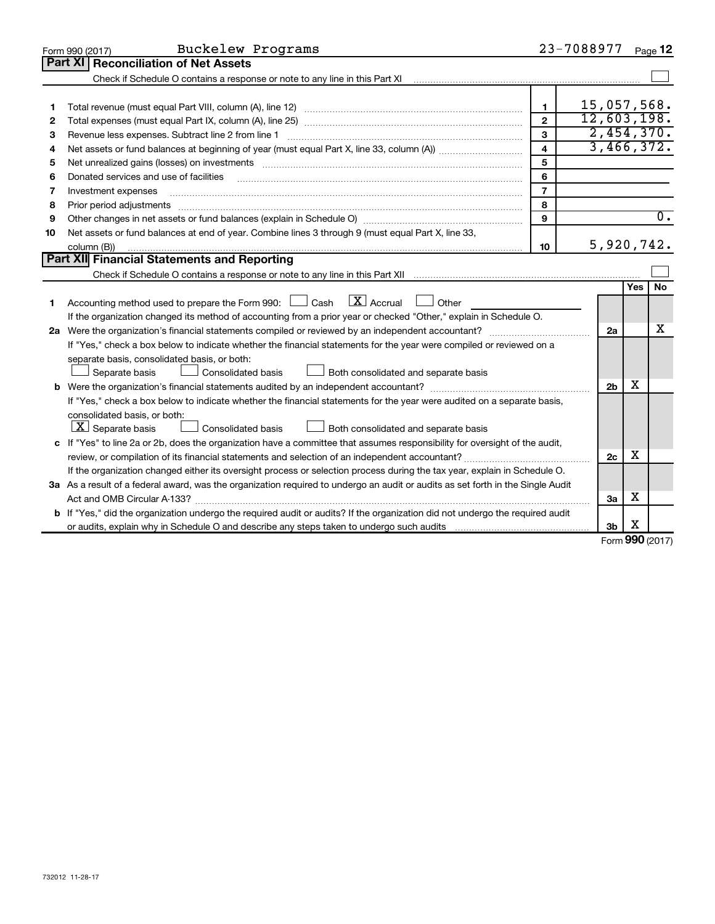|    | Buckelew Programs<br>Form 990 (2017)                                                                                                 |                         | 23-7088977  |                |            | Page 12          |
|----|--------------------------------------------------------------------------------------------------------------------------------------|-------------------------|-------------|----------------|------------|------------------|
|    | Part XI<br><b>Reconciliation of Net Assets</b>                                                                                       |                         |             |                |            |                  |
|    |                                                                                                                                      |                         |             |                |            |                  |
|    |                                                                                                                                      |                         |             |                |            |                  |
| 1  |                                                                                                                                      | $\mathbf{1}$            | 15,057,568. |                |            |                  |
| 2  |                                                                                                                                      | $\overline{2}$          | 12,603,198. |                |            |                  |
| 3  | Revenue less expenses. Subtract line 2 from line 1                                                                                   | 3                       |             |                |            | 2,454,370.       |
| 4  |                                                                                                                                      | $\overline{\mathbf{4}}$ |             |                |            | 3,466,372.       |
| 5  |                                                                                                                                      | 5                       |             |                |            |                  |
| 6  | Donated services and use of facilities                                                                                               | 6                       |             |                |            |                  |
| 7  | Investment expenses                                                                                                                  | $\overline{7}$          |             |                |            |                  |
| 8  | Prior period adjustments www.communication.communication.communication.com/news-managements                                          | 8                       |             |                |            |                  |
| 9  |                                                                                                                                      | 9                       |             |                |            | $\overline{0}$ . |
| 10 | Net assets or fund balances at end of year. Combine lines 3 through 9 (must equal Part X, line 33,                                   |                         |             |                |            |                  |
|    | column (B))                                                                                                                          | 10                      |             |                |            | 5,920,742.       |
|    | Part XII Financial Statements and Reporting                                                                                          |                         |             |                |            |                  |
|    |                                                                                                                                      |                         |             |                |            |                  |
|    |                                                                                                                                      |                         |             |                | <b>Yes</b> | <b>No</b>        |
| 1  | $\boxed{\text{X}}$ Accrual<br>Accounting method used to prepare the Form 990: [130] Cash<br>Other                                    |                         |             |                |            |                  |
|    | If the organization changed its method of accounting from a prior year or checked "Other," explain in Schedule O.                    |                         |             |                |            |                  |
|    |                                                                                                                                      |                         |             | 2a             |            | х                |
|    | If "Yes," check a box below to indicate whether the financial statements for the year were compiled or reviewed on a                 |                         |             |                |            |                  |
|    | separate basis, consolidated basis, or both:                                                                                         |                         |             |                |            |                  |
|    | Both consolidated and separate basis<br>Separate basis<br>Consolidated basis                                                         |                         |             |                |            |                  |
|    | <b>b</b> Were the organization's financial statements audited by an independent accountant?                                          |                         |             | 2 <sub>b</sub> | х          |                  |
|    | If "Yes," check a box below to indicate whether the financial statements for the year were audited on a separate basis,              |                         |             |                |            |                  |
|    | consolidated basis, or both:                                                                                                         |                         |             |                |            |                  |
|    | $\lfloor \underline{X} \rfloor$ Separate basis<br><b>Consolidated basis</b><br>Both consolidated and separate basis                  |                         |             |                |            |                  |
|    | c If "Yes" to line 2a or 2b, does the organization have a committee that assumes responsibility for oversight of the audit,          |                         |             |                |            |                  |
|    | review, or compilation of its financial statements and selection of an independent accountant?                                       |                         |             | 2c             | x          |                  |
|    | If the organization changed either its oversight process or selection process during the tax year, explain in Schedule O.            |                         |             |                |            |                  |
|    | 3a As a result of a federal award, was the organization required to undergo an audit or audits as set forth in the Single Audit      |                         |             |                |            |                  |
|    |                                                                                                                                      |                         |             | 3a             | х          |                  |
|    | <b>b</b> If "Yes," did the organization undergo the required audit or audits? If the organization did not undergo the required audit |                         |             |                |            |                  |
|    |                                                                                                                                      |                         |             | 3 <sub>b</sub> | х          |                  |

Form (2017) **990**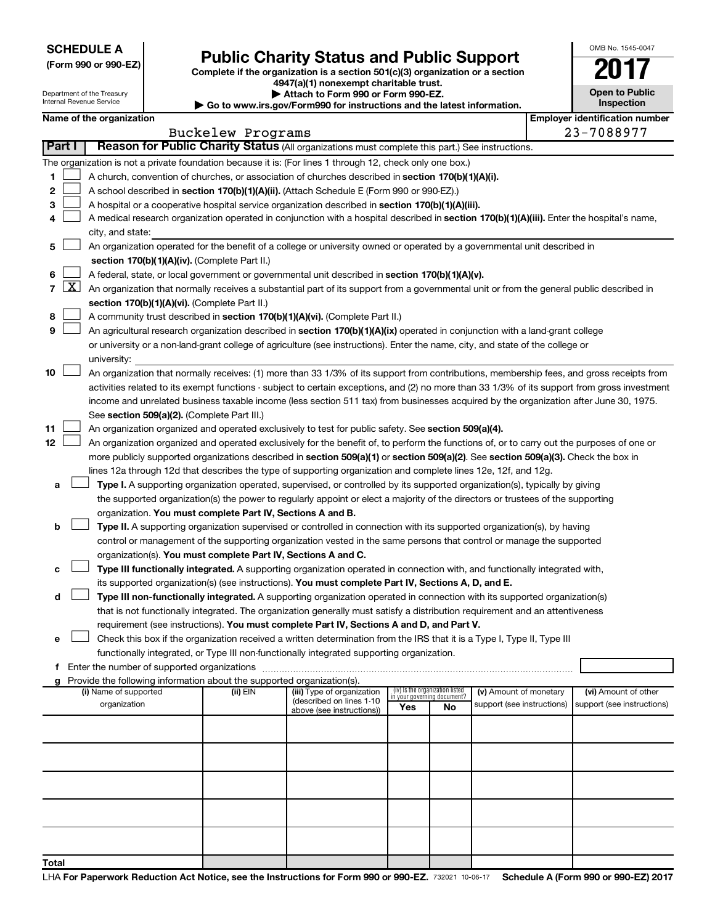|  |  | <b>SCHEDULE A</b> |  |
|--|--|-------------------|--|
|  |  |                   |  |

| (Form 990 or 990-EZ) |  |  |  |
|----------------------|--|--|--|
|----------------------|--|--|--|

Department of the Treasury Internal Revenue Service

# Form 990 or 990-EZ)<br>
Complete if the organization is a section 501(c)(3) organization or a section<br> **Public Charity Status and Public Support**

**4947(a)(1) nonexempt charitable trust. | Attach to Form 990 or Form 990-EZ.** 

**| Go to www.irs.gov/Form990 for instructions and the latest information.**

| <b>Open to Public</b><br>Inspection |
|-------------------------------------|
|                                     |

OMB No. 1545-0047

|        | Name of the organization<br>Buckelew Programs |                                                                                                                                                                                                                                                                                  |          |                                                        |                             |                                 |                                                      |  | <b>Employer identification number</b>              |  |
|--------|-----------------------------------------------|----------------------------------------------------------------------------------------------------------------------------------------------------------------------------------------------------------------------------------------------------------------------------------|----------|--------------------------------------------------------|-----------------------------|---------------------------------|------------------------------------------------------|--|----------------------------------------------------|--|
| Part I |                                               |                                                                                                                                                                                                                                                                                  |          |                                                        |                             |                                 |                                                      |  | 23-7088977                                         |  |
|        |                                               | Reason for Public Charity Status (All organizations must complete this part.) See instructions.                                                                                                                                                                                  |          |                                                        |                             |                                 |                                                      |  |                                                    |  |
|        |                                               | The organization is not a private foundation because it is: (For lines 1 through 12, check only one box.)                                                                                                                                                                        |          |                                                        |                             |                                 |                                                      |  |                                                    |  |
| 1.     |                                               | A church, convention of churches, or association of churches described in section 170(b)(1)(A)(i).                                                                                                                                                                               |          |                                                        |                             |                                 |                                                      |  |                                                    |  |
| 2      |                                               | A school described in section 170(b)(1)(A)(ii). (Attach Schedule E (Form 990 or 990-EZ).)                                                                                                                                                                                        |          |                                                        |                             |                                 |                                                      |  |                                                    |  |
| з      |                                               | A hospital or a cooperative hospital service organization described in section 170(b)(1)(A)(iii).                                                                                                                                                                                |          |                                                        |                             |                                 |                                                      |  |                                                    |  |
| 4      |                                               | A medical research organization operated in conjunction with a hospital described in section 170(b)(1)(A)(iii). Enter the hospital's name,                                                                                                                                       |          |                                                        |                             |                                 |                                                      |  |                                                    |  |
|        |                                               | city, and state:                                                                                                                                                                                                                                                                 |          |                                                        |                             |                                 |                                                      |  |                                                    |  |
| 5.     |                                               | An organization operated for the benefit of a college or university owned or operated by a governmental unit described in                                                                                                                                                        |          |                                                        |                             |                                 |                                                      |  |                                                    |  |
|        |                                               | section 170(b)(1)(A)(iv). (Complete Part II.)                                                                                                                                                                                                                                    |          |                                                        |                             |                                 |                                                      |  |                                                    |  |
| 6.     |                                               | A federal, state, or local government or governmental unit described in section 170(b)(1)(A)(v).<br>7 $ X $ An organization that normally receives a substantial part of its support from a governmental unit or from the general public described in                            |          |                                                        |                             |                                 |                                                      |  |                                                    |  |
|        |                                               |                                                                                                                                                                                                                                                                                  |          |                                                        |                             |                                 |                                                      |  |                                                    |  |
|        |                                               | section 170(b)(1)(A)(vi). (Complete Part II.)                                                                                                                                                                                                                                    |          |                                                        |                             |                                 |                                                      |  |                                                    |  |
| 8      |                                               | A community trust described in section 170(b)(1)(A)(vi). (Complete Part II.)                                                                                                                                                                                                     |          |                                                        |                             |                                 |                                                      |  |                                                    |  |
| 9      |                                               | An agricultural research organization described in section 170(b)(1)(A)(ix) operated in conjunction with a land-grant college                                                                                                                                                    |          |                                                        |                             |                                 |                                                      |  |                                                    |  |
|        |                                               | or university or a non-land-grant college of agriculture (see instructions). Enter the name, city, and state of the college or                                                                                                                                                   |          |                                                        |                             |                                 |                                                      |  |                                                    |  |
|        |                                               | university:                                                                                                                                                                                                                                                                      |          |                                                        |                             |                                 |                                                      |  |                                                    |  |
| 10     |                                               | An organization that normally receives: (1) more than 33 1/3% of its support from contributions, membership fees, and gross receipts from                                                                                                                                        |          |                                                        |                             |                                 |                                                      |  |                                                    |  |
|        |                                               | activities related to its exempt functions - subject to certain exceptions, and (2) no more than 33 1/3% of its support from gross investment                                                                                                                                    |          |                                                        |                             |                                 |                                                      |  |                                                    |  |
|        |                                               | income and unrelated business taxable income (less section 511 tax) from businesses acquired by the organization after June 30, 1975.                                                                                                                                            |          |                                                        |                             |                                 |                                                      |  |                                                    |  |
|        |                                               | See section 509(a)(2). (Complete Part III.)                                                                                                                                                                                                                                      |          |                                                        |                             |                                 |                                                      |  |                                                    |  |
| 11     |                                               | An organization organized and operated exclusively to test for public safety. See section 509(a)(4).                                                                                                                                                                             |          |                                                        |                             |                                 |                                                      |  |                                                    |  |
| 12     |                                               | An organization organized and operated exclusively for the benefit of, to perform the functions of, or to carry out the purposes of one or<br>more publicly supported organizations described in section 509(a)(1) or section 509(a)(2). See section 509(a)(3). Check the box in |          |                                                        |                             |                                 |                                                      |  |                                                    |  |
|        |                                               | lines 12a through 12d that describes the type of supporting organization and complete lines 12e, 12f, and 12g.                                                                                                                                                                   |          |                                                        |                             |                                 |                                                      |  |                                                    |  |
| а      |                                               | Type I. A supporting organization operated, supervised, or controlled by its supported organization(s), typically by giving                                                                                                                                                      |          |                                                        |                             |                                 |                                                      |  |                                                    |  |
|        |                                               | the supported organization(s) the power to regularly appoint or elect a majority of the directors or trustees of the supporting                                                                                                                                                  |          |                                                        |                             |                                 |                                                      |  |                                                    |  |
|        |                                               | organization. You must complete Part IV, Sections A and B.                                                                                                                                                                                                                       |          |                                                        |                             |                                 |                                                      |  |                                                    |  |
| b      |                                               | Type II. A supporting organization supervised or controlled in connection with its supported organization(s), by having                                                                                                                                                          |          |                                                        |                             |                                 |                                                      |  |                                                    |  |
|        |                                               | control or management of the supporting organization vested in the same persons that control or manage the supported                                                                                                                                                             |          |                                                        |                             |                                 |                                                      |  |                                                    |  |
|        |                                               | organization(s). You must complete Part IV, Sections A and C.                                                                                                                                                                                                                    |          |                                                        |                             |                                 |                                                      |  |                                                    |  |
| с      |                                               | Type III functionally integrated. A supporting organization operated in connection with, and functionally integrated with,                                                                                                                                                       |          |                                                        |                             |                                 |                                                      |  |                                                    |  |
|        |                                               | its supported organization(s) (see instructions). You must complete Part IV, Sections A, D, and E.                                                                                                                                                                               |          |                                                        |                             |                                 |                                                      |  |                                                    |  |
| d      |                                               | Type III non-functionally integrated. A supporting organization operated in connection with its supported organization(s)                                                                                                                                                        |          |                                                        |                             |                                 |                                                      |  |                                                    |  |
|        |                                               | that is not functionally integrated. The organization generally must satisfy a distribution requirement and an attentiveness                                                                                                                                                     |          |                                                        |                             |                                 |                                                      |  |                                                    |  |
|        |                                               | requirement (see instructions). You must complete Part IV, Sections A and D, and Part V.                                                                                                                                                                                         |          |                                                        |                             |                                 |                                                      |  |                                                    |  |
|        |                                               | Check this box if the organization received a written determination from the IRS that it is a Type I, Type II, Type III                                                                                                                                                          |          |                                                        |                             |                                 |                                                      |  |                                                    |  |
|        |                                               | functionally integrated, or Type III non-functionally integrated supporting organization.                                                                                                                                                                                        |          |                                                        |                             |                                 |                                                      |  |                                                    |  |
|        |                                               | f Enter the number of supported organizations                                                                                                                                                                                                                                    |          |                                                        |                             |                                 |                                                      |  |                                                    |  |
|        |                                               | g Provide the following information about the supported organization(s).                                                                                                                                                                                                         |          |                                                        |                             |                                 |                                                      |  |                                                    |  |
|        |                                               | (i) Name of supported<br>organization                                                                                                                                                                                                                                            | (ii) EIN | (iii) Type of organization<br>(described on lines 1-10 | in your governing document? | (iv) Is the organization listed | (v) Amount of monetary<br>support (see instructions) |  | (vi) Amount of other<br>support (see instructions) |  |
|        |                                               |                                                                                                                                                                                                                                                                                  |          | above (see instructions))                              | Yes                         | No                              |                                                      |  |                                                    |  |
|        |                                               |                                                                                                                                                                                                                                                                                  |          |                                                        |                             |                                 |                                                      |  |                                                    |  |
|        |                                               |                                                                                                                                                                                                                                                                                  |          |                                                        |                             |                                 |                                                      |  |                                                    |  |
|        |                                               |                                                                                                                                                                                                                                                                                  |          |                                                        |                             |                                 |                                                      |  |                                                    |  |
|        |                                               |                                                                                                                                                                                                                                                                                  |          |                                                        |                             |                                 |                                                      |  |                                                    |  |
|        |                                               |                                                                                                                                                                                                                                                                                  |          |                                                        |                             |                                 |                                                      |  |                                                    |  |
|        |                                               |                                                                                                                                                                                                                                                                                  |          |                                                        |                             |                                 |                                                      |  |                                                    |  |
|        |                                               |                                                                                                                                                                                                                                                                                  |          |                                                        |                             |                                 |                                                      |  |                                                    |  |
|        |                                               |                                                                                                                                                                                                                                                                                  |          |                                                        |                             |                                 |                                                      |  |                                                    |  |
|        |                                               |                                                                                                                                                                                                                                                                                  |          |                                                        |                             |                                 |                                                      |  |                                                    |  |
| Total  |                                               |                                                                                                                                                                                                                                                                                  |          |                                                        |                             |                                 |                                                      |  |                                                    |  |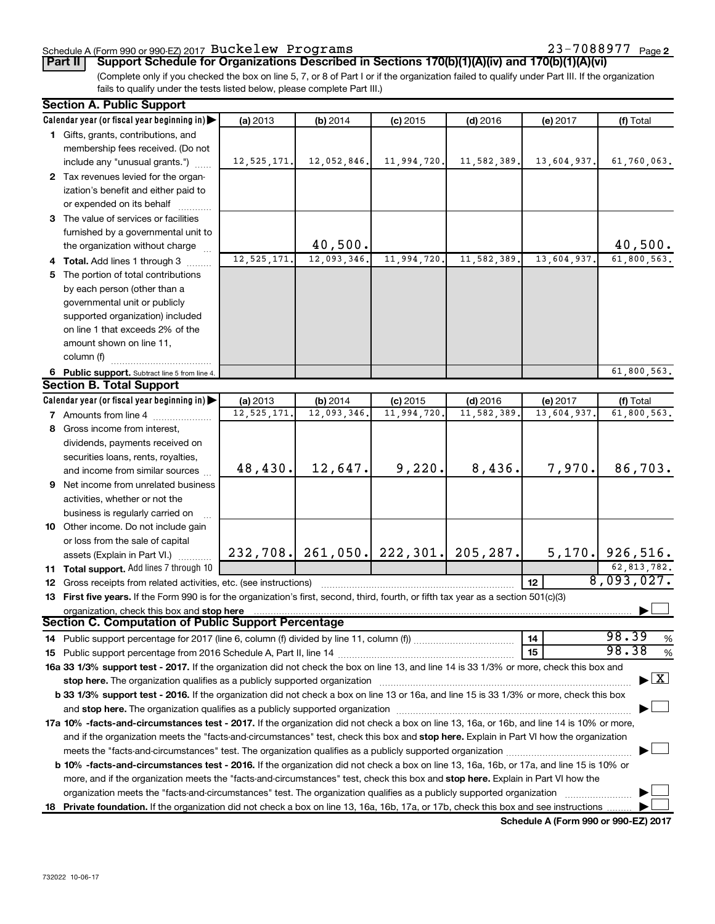## Schedule A (Form 990 or 990-EZ) 2017 Page Buckelew Programs 23-7088977

23-7088977 Page 2

**Part II Support Schedule for Organizations Described in Sections 170(b)(1)(A)(iv) and 170(b)(1)(A)(vi)**

(Complete only if you checked the box on line 5, 7, or 8 of Part I or if the organization failed to qualify under Part III. If the organization fails to qualify under the tests listed below, please complete Part III.)

| <b>Section A. Public Support</b>                                                                                                               |                        |                        |                               |                          |                        |                                          |
|------------------------------------------------------------------------------------------------------------------------------------------------|------------------------|------------------------|-------------------------------|--------------------------|------------------------|------------------------------------------|
| Calendar year (or fiscal year beginning in)                                                                                                    | (a) 2013               | (b) 2014               | $(c)$ 2015                    | $(d)$ 2016               | (e) 2017               | (f) Total                                |
| 1 Gifts, grants, contributions, and                                                                                                            |                        |                        |                               |                          |                        |                                          |
| membership fees received. (Do not                                                                                                              |                        |                        |                               |                          |                        |                                          |
| include any "unusual grants.")                                                                                                                 | 12,525,171.            | 12,052,846.            | 11,994,720.                   | 11,582,389.              | 13,604,937.            | 61,760,063.                              |
| 2 Tax revenues levied for the organ-                                                                                                           |                        |                        |                               |                          |                        |                                          |
| ization's benefit and either paid to                                                                                                           |                        |                        |                               |                          |                        |                                          |
| or expended on its behalf                                                                                                                      |                        |                        |                               |                          |                        |                                          |
| 3 The value of services or facilities                                                                                                          |                        |                        |                               |                          |                        |                                          |
| furnished by a governmental unit to                                                                                                            |                        |                        |                               |                          |                        |                                          |
| the organization without charge                                                                                                                |                        | 40,500.                |                               |                          |                        | 40,500.                                  |
| 4 Total. Add lines 1 through 3                                                                                                                 | 12,525,171.            | 12,093,346.            | 11,994,720                    | 11,582,389.              | 13,604,937.            | 61,800,563.                              |
| 5 The portion of total contributions                                                                                                           |                        |                        |                               |                          |                        |                                          |
| by each person (other than a                                                                                                                   |                        |                        |                               |                          |                        |                                          |
| governmental unit or publicly                                                                                                                  |                        |                        |                               |                          |                        |                                          |
| supported organization) included                                                                                                               |                        |                        |                               |                          |                        |                                          |
| on line 1 that exceeds 2% of the                                                                                                               |                        |                        |                               |                          |                        |                                          |
| amount shown on line 11,                                                                                                                       |                        |                        |                               |                          |                        |                                          |
| column (f)                                                                                                                                     |                        |                        |                               |                          |                        |                                          |
|                                                                                                                                                |                        |                        |                               |                          |                        | 61,800,563.                              |
| 6 Public support. Subtract line 5 from line 4.<br><b>Section B. Total Support</b>                                                              |                        |                        |                               |                          |                        |                                          |
| Calendar year (or fiscal year beginning in)                                                                                                    |                        |                        |                               |                          |                        |                                          |
|                                                                                                                                                | (a) 2013<br>12,525,171 | (b) 2014<br>12,093,346 | $(c)$ 2015<br>11,994,720      | $(d)$ 2016<br>11,582,389 | (e) 2017<br>13,604,937 | (f) Total<br>61,800,563.                 |
| <b>7</b> Amounts from line 4                                                                                                                   |                        |                        |                               |                          |                        |                                          |
| 8 Gross income from interest,                                                                                                                  |                        |                        |                               |                          |                        |                                          |
| dividends, payments received on                                                                                                                |                        |                        |                               |                          |                        |                                          |
| securities loans, rents, royalties,                                                                                                            |                        | 12,647.                |                               |                          | 7,970.                 |                                          |
| and income from similar sources                                                                                                                | 48,430.                |                        | 9,220.                        | 8,436.                   |                        | 86,703.                                  |
| <b>9</b> Net income from unrelated business                                                                                                    |                        |                        |                               |                          |                        |                                          |
| activities, whether or not the                                                                                                                 |                        |                        |                               |                          |                        |                                          |
| business is regularly carried on                                                                                                               |                        |                        |                               |                          |                        |                                          |
| 10 Other income. Do not include gain                                                                                                           |                        |                        |                               |                          |                        |                                          |
| or loss from the sale of capital                                                                                                               |                        |                        |                               |                          |                        |                                          |
| assets (Explain in Part VI.)                                                                                                                   |                        |                        | $232,708$ , 261,050, 222,301. | 205, 287.                |                        | $5,170.$ 926, 516.                       |
| 11 Total support. Add lines 7 through 10                                                                                                       |                        |                        |                               |                          |                        | 62,813,782.                              |
| <b>12</b> Gross receipts from related activities, etc. (see instructions)                                                                      |                        |                        |                               |                          | 12                     | 8,093,027.                               |
| 13 First five years. If the Form 990 is for the organization's first, second, third, fourth, or fifth tax year as a section 501(c)(3)          |                        |                        |                               |                          |                        |                                          |
| organization, check this box and stop here                                                                                                     |                        |                        |                               |                          |                        |                                          |
| <b>Section C. Computation of Public Support Percentage</b>                                                                                     |                        |                        |                               |                          |                        |                                          |
|                                                                                                                                                |                        |                        |                               |                          | 14                     | 98.39<br>%                               |
|                                                                                                                                                |                        |                        |                               |                          | 15                     | 98.38<br>%                               |
| 16a 33 1/3% support test - 2017. If the organization did not check the box on line 13, and line 14 is 33 1/3% or more, check this box and      |                        |                        |                               |                          |                        |                                          |
| stop here. The organization qualifies as a publicly supported organization                                                                     |                        |                        |                               |                          |                        | $\blacktriangleright$ $\boxed{\text{X}}$ |
| b 33 1/3% support test - 2016. If the organization did not check a box on line 13 or 16a, and line 15 is 33 1/3% or more, check this box       |                        |                        |                               |                          |                        |                                          |
|                                                                                                                                                |                        |                        |                               |                          |                        |                                          |
| 17a 10% -facts-and-circumstances test - 2017. If the organization did not check a box on line 13, 16a, or 16b, and line 14 is 10% or more,     |                        |                        |                               |                          |                        |                                          |
| and if the organization meets the "facts-and-circumstances" test, check this box and stop here. Explain in Part VI how the organization        |                        |                        |                               |                          |                        |                                          |
| meets the "facts-and-circumstances" test. The organization qualifies as a publicly supported organization <i>manumumumum</i>                   |                        |                        |                               |                          |                        |                                          |
| <b>b 10%</b> -facts-and-circumstances test - 2016. If the organization did not check a box on line 13, 16a, 16b, or 17a, and line 15 is 10% or |                        |                        |                               |                          |                        |                                          |
| more, and if the organization meets the "facts-and-circumstances" test, check this box and stop here. Explain in Part VI how the               |                        |                        |                               |                          |                        |                                          |
| organization meets the "facts-and-circumstances" test. The organization qualifies as a publicly supported organization                         |                        |                        |                               |                          |                        |                                          |
| 18 Private foundation. If the organization did not check a box on line 13, 16a, 16b, 17a, or 17b, check this box and see instructions.         |                        |                        |                               |                          |                        |                                          |
|                                                                                                                                                |                        |                        |                               |                          |                        |                                          |

**Schedule A (Form 990 or 990-EZ) 2017**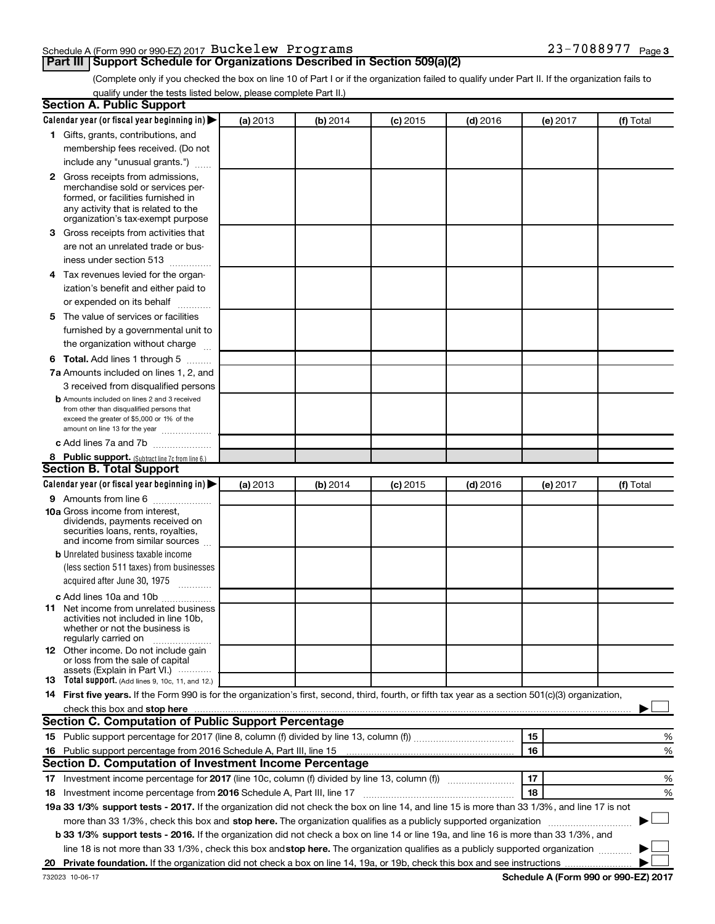## Schedule A (Form 990 or 990-EZ) 2017 Page Buckelew Programs 23-7088977

## **Part III Support Schedule for Organizations Described in Section 509(a)(2)**

23-7088977 Page 3

(Complete only if you checked the box on line 10 of Part I or if the organization failed to qualify under Part II. If the organization fails to qualify under the tests listed below, please complete Part II.)

| <b>Section A. Public Support</b>                                                                                                                                                                                                                                                                                           |          |          |          |            |          |           |
|----------------------------------------------------------------------------------------------------------------------------------------------------------------------------------------------------------------------------------------------------------------------------------------------------------------------------|----------|----------|----------|------------|----------|-----------|
| Calendar year (or fiscal year beginning in)                                                                                                                                                                                                                                                                                | (a) 2013 | (b) 2014 | (c) 2015 | $(d)$ 2016 | (e) 2017 | (f) Total |
| 1 Gifts, grants, contributions, and                                                                                                                                                                                                                                                                                        |          |          |          |            |          |           |
| membership fees received. (Do not                                                                                                                                                                                                                                                                                          |          |          |          |            |          |           |
| include any "unusual grants.")                                                                                                                                                                                                                                                                                             |          |          |          |            |          |           |
| <b>2</b> Gross receipts from admissions,                                                                                                                                                                                                                                                                                   |          |          |          |            |          |           |
| merchandise sold or services per-                                                                                                                                                                                                                                                                                          |          |          |          |            |          |           |
| formed, or facilities furnished in                                                                                                                                                                                                                                                                                         |          |          |          |            |          |           |
| any activity that is related to the<br>organization's tax-exempt purpose                                                                                                                                                                                                                                                   |          |          |          |            |          |           |
| 3 Gross receipts from activities that                                                                                                                                                                                                                                                                                      |          |          |          |            |          |           |
| are not an unrelated trade or bus-                                                                                                                                                                                                                                                                                         |          |          |          |            |          |           |
| iness under section 513                                                                                                                                                                                                                                                                                                    |          |          |          |            |          |           |
| 4 Tax revenues levied for the organ-                                                                                                                                                                                                                                                                                       |          |          |          |            |          |           |
| ization's benefit and either paid to                                                                                                                                                                                                                                                                                       |          |          |          |            |          |           |
| or expended on its behalf                                                                                                                                                                                                                                                                                                  |          |          |          |            |          |           |
| .<br>5 The value of services or facilities                                                                                                                                                                                                                                                                                 |          |          |          |            |          |           |
|                                                                                                                                                                                                                                                                                                                            |          |          |          |            |          |           |
| furnished by a governmental unit to                                                                                                                                                                                                                                                                                        |          |          |          |            |          |           |
| the organization without charge                                                                                                                                                                                                                                                                                            |          |          |          |            |          |           |
| <b>6 Total.</b> Add lines 1 through 5                                                                                                                                                                                                                                                                                      |          |          |          |            |          |           |
| 7a Amounts included on lines 1, 2, and                                                                                                                                                                                                                                                                                     |          |          |          |            |          |           |
| 3 received from disqualified persons                                                                                                                                                                                                                                                                                       |          |          |          |            |          |           |
| <b>b</b> Amounts included on lines 2 and 3 received<br>from other than disqualified persons that                                                                                                                                                                                                                           |          |          |          |            |          |           |
| exceed the greater of \$5,000 or 1% of the                                                                                                                                                                                                                                                                                 |          |          |          |            |          |           |
| amount on line 13 for the year                                                                                                                                                                                                                                                                                             |          |          |          |            |          |           |
| c Add lines 7a and 7b                                                                                                                                                                                                                                                                                                      |          |          |          |            |          |           |
| 8 Public support. (Subtract line 7c from line 6.)                                                                                                                                                                                                                                                                          |          |          |          |            |          |           |
| <b>Section B. Total Support</b>                                                                                                                                                                                                                                                                                            |          |          |          |            |          |           |
| Calendar year (or fiscal year beginning in)                                                                                                                                                                                                                                                                                | (a) 2013 | (b) 2014 | (c) 2015 | $(d)$ 2016 | (e) 2017 | (f) Total |
| <b>9</b> Amounts from line 6                                                                                                                                                                                                                                                                                               |          |          |          |            |          |           |
| <b>10a</b> Gross income from interest,                                                                                                                                                                                                                                                                                     |          |          |          |            |          |           |
| dividends, payments received on<br>securities loans, rents, royalties,                                                                                                                                                                                                                                                     |          |          |          |            |          |           |
| and income from similar sources                                                                                                                                                                                                                                                                                            |          |          |          |            |          |           |
| <b>b</b> Unrelated business taxable income                                                                                                                                                                                                                                                                                 |          |          |          |            |          |           |
| (less section 511 taxes) from businesses                                                                                                                                                                                                                                                                                   |          |          |          |            |          |           |
| acquired after June 30, 1975                                                                                                                                                                                                                                                                                               |          |          |          |            |          |           |
| c Add lines 10a and 10b                                                                                                                                                                                                                                                                                                    |          |          |          |            |          |           |
| <b>11</b> Net income from unrelated business                                                                                                                                                                                                                                                                               |          |          |          |            |          |           |
| activities not included in line 10b.                                                                                                                                                                                                                                                                                       |          |          |          |            |          |           |
| whether or not the business is<br>regularly carried on                                                                                                                                                                                                                                                                     |          |          |          |            |          |           |
| 12 Other income. Do not include gain                                                                                                                                                                                                                                                                                       |          |          |          |            |          |           |
| or loss from the sale of capital                                                                                                                                                                                                                                                                                           |          |          |          |            |          |           |
| assets (Explain in Part VI.)<br><b>13</b> Total support. (Add lines 9, 10c, 11, and 12.)                                                                                                                                                                                                                                   |          |          |          |            |          |           |
| 14 First five years. If the Form 990 is for the organization's first, second, third, fourth, or fifth tax year as a section 501(c)(3) organization,                                                                                                                                                                        |          |          |          |            |          |           |
|                                                                                                                                                                                                                                                                                                                            |          |          |          |            |          |           |
| check this box and stop here <b>construction and construction</b> and stop here <b>constructed</b> and stop here <b>constructed</b> and <b>stop here construction</b> and <b>stop here construction</b> and <b>stop here constructed</b> and <b>stop her</b><br><b>Section C. Computation of Public Support Percentage</b> |          |          |          |            |          |           |
|                                                                                                                                                                                                                                                                                                                            |          |          |          |            | 15       | %         |
| 16 Public support percentage from 2016 Schedule A, Part III, line 15                                                                                                                                                                                                                                                       |          |          |          |            | 16       | %         |
| Section D. Computation of Investment Income Percentage                                                                                                                                                                                                                                                                     |          |          |          |            |          |           |
| 17 Investment income percentage for 2017 (line 10c, column (f) divided by line 13, column (f))                                                                                                                                                                                                                             |          |          |          |            | 17       | %         |
|                                                                                                                                                                                                                                                                                                                            |          |          |          |            | 18       | %         |
| 18 Investment income percentage from 2016 Schedule A, Part III, line 17<br>19a 33 1/3% support tests - 2017. If the organization did not check the box on line 14, and line 15 is more than 33 1/3%, and line 17 is not                                                                                                    |          |          |          |            |          |           |
|                                                                                                                                                                                                                                                                                                                            |          |          |          |            |          |           |
| more than 33 1/3%, check this box and stop here. The organization qualifies as a publicly supported organization                                                                                                                                                                                                           |          |          |          |            |          |           |
| b 33 1/3% support tests - 2016. If the organization did not check a box on line 14 or line 19a, and line 16 is more than 33 1/3%, and                                                                                                                                                                                      |          |          |          |            |          |           |
| line 18 is not more than 33 1/3%, check this box and stop here. The organization qualifies as a publicly supported organization                                                                                                                                                                                            |          |          |          |            |          |           |
|                                                                                                                                                                                                                                                                                                                            |          |          |          |            |          |           |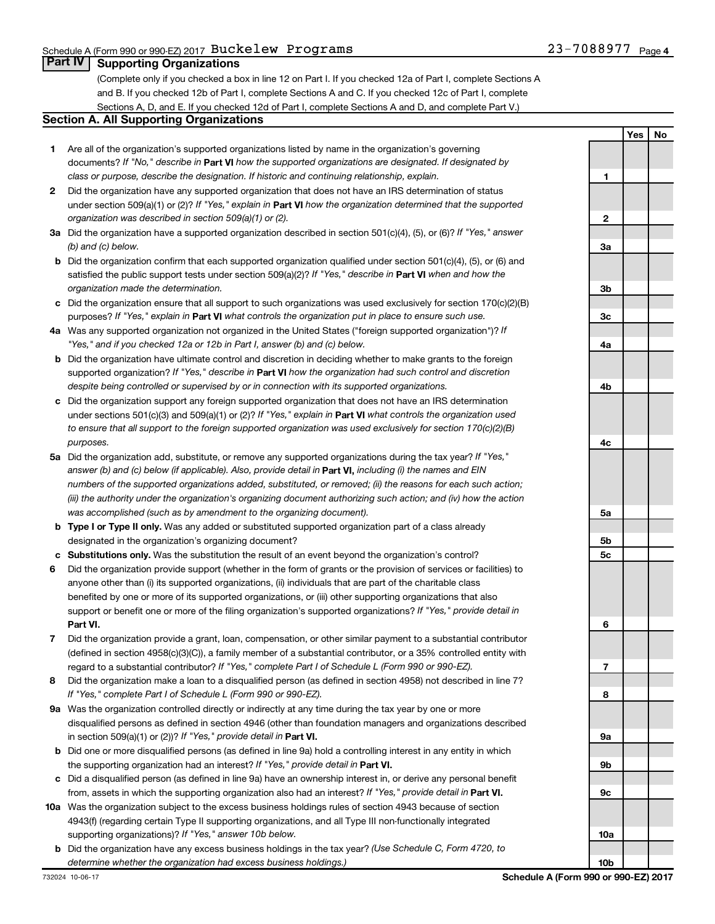**1**

**Yes No**

## **Part IV Supporting Organizations**

(Complete only if you checked a box in line 12 on Part I. If you checked 12a of Part I, complete Sections A and B. If you checked 12b of Part I, complete Sections A and C. If you checked 12c of Part I, complete Sections A, D, and E. If you checked 12d of Part I, complete Sections A and D, and complete Part V.)

## **Section A. All Supporting Organizations**

- **1** Are all of the organization's supported organizations listed by name in the organization's governing documents? If "No," describe in Part VI how the supported organizations are designated. If designated by *class or purpose, describe the designation. If historic and continuing relationship, explain.*
- **2** Did the organization have any supported organization that does not have an IRS determination of status under section 509(a)(1) or (2)? If "Yes," explain in Part **VI** how the organization determined that the supported *organization was described in section 509(a)(1) or (2).*
- **3a** Did the organization have a supported organization described in section 501(c)(4), (5), or (6)? If "Yes," answer *(b) and (c) below.*
- **b** Did the organization confirm that each supported organization qualified under section 501(c)(4), (5), or (6) and satisfied the public support tests under section 509(a)(2)? If "Yes," describe in Part VI when and how the *organization made the determination.*
- **c** Did the organization ensure that all support to such organizations was used exclusively for section 170(c)(2)(B) purposes? If "Yes," explain in Part VI what controls the organization put in place to ensure such use.
- **4 a** *If* Was any supported organization not organized in the United States ("foreign supported organization")? *"Yes," and if you checked 12a or 12b in Part I, answer (b) and (c) below.*
- **b** Did the organization have ultimate control and discretion in deciding whether to make grants to the foreign supported organization? If "Yes," describe in Part VI how the organization had such control and discretion *despite being controlled or supervised by or in connection with its supported organizations.*
- **c** Did the organization support any foreign supported organization that does not have an IRS determination under sections 501(c)(3) and 509(a)(1) or (2)? If "Yes," explain in Part VI what controls the organization used *to ensure that all support to the foreign supported organization was used exclusively for section 170(c)(2)(B) purposes.*
- **5a** Did the organization add, substitute, or remove any supported organizations during the tax year? If "Yes," answer (b) and (c) below (if applicable). Also, provide detail in **Part VI,** including (i) the names and EIN *numbers of the supported organizations added, substituted, or removed; (ii) the reasons for each such action; (iii) the authority under the organization's organizing document authorizing such action; and (iv) how the action was accomplished (such as by amendment to the organizing document).*
- **b** Type I or Type II only. Was any added or substituted supported organization part of a class already designated in the organization's organizing document?
- **c Substitutions only.**  Was the substitution the result of an event beyond the organization's control?
- **6** Did the organization provide support (whether in the form of grants or the provision of services or facilities) to **Part VI.** support or benefit one or more of the filing organization's supported organizations? If "Yes," provide detail in anyone other than (i) its supported organizations, (ii) individuals that are part of the charitable class benefited by one or more of its supported organizations, or (iii) other supporting organizations that also
- **7** Did the organization provide a grant, loan, compensation, or other similar payment to a substantial contributor regard to a substantial contributor? If "Yes," complete Part I of Schedule L (Form 990 or 990-EZ). (defined in section 4958(c)(3)(C)), a family member of a substantial contributor, or a 35% controlled entity with
- **8** Did the organization make a loan to a disqualified person (as defined in section 4958) not described in line 7? *If "Yes," complete Part I of Schedule L (Form 990 or 990-EZ).*
- **9 a** Was the organization controlled directly or indirectly at any time during the tax year by one or more in section 509(a)(1) or (2))? If "Yes," provide detail in **Part VI.** disqualified persons as defined in section 4946 (other than foundation managers and organizations described
- **b** Did one or more disqualified persons (as defined in line 9a) hold a controlling interest in any entity in which the supporting organization had an interest? If "Yes," provide detail in Part VI.
- **c** Did a disqualified person (as defined in line 9a) have an ownership interest in, or derive any personal benefit from, assets in which the supporting organization also had an interest? If "Yes," provide detail in Part VI.
- **10 a** Was the organization subject to the excess business holdings rules of section 4943 because of section supporting organizations)? If "Yes," answer 10b below. 4943(f) (regarding certain Type II supporting organizations, and all Type III non-functionally integrated
	- **b** Did the organization have any excess business holdings in the tax year? (Use Schedule C, Form 4720, to *determine whether the organization had excess business holdings.)*

**2 3a 3b 3c 4a 4b 4c 5a 5b 5c 6 7 8 9a 9b 9c 10a**

**10b**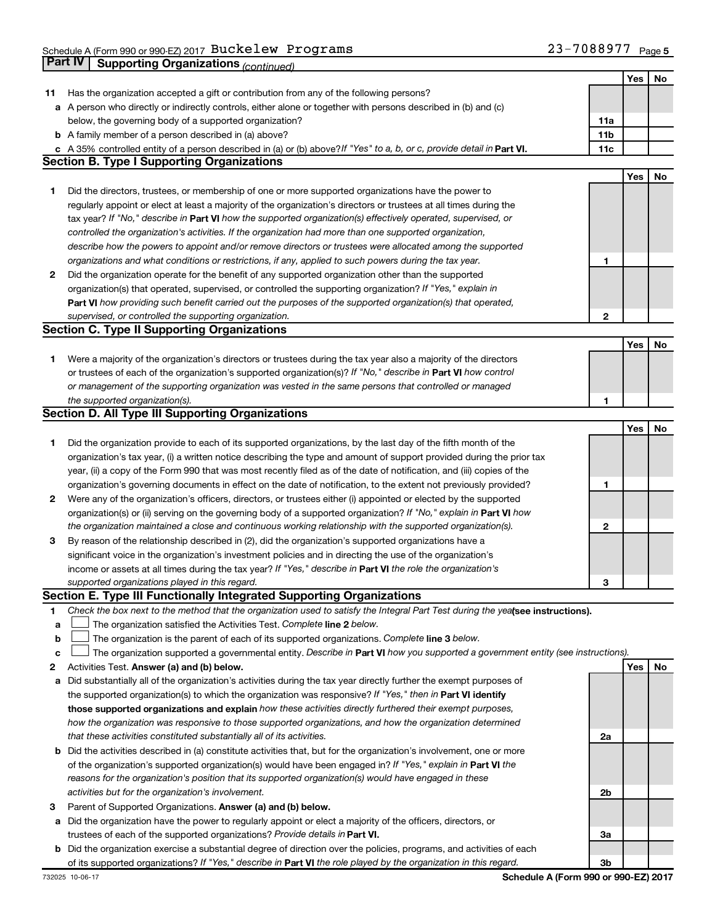|    | Part IV<br><b>Supporting Organizations (continued)</b>                                                                          |                 |     |    |
|----|---------------------------------------------------------------------------------------------------------------------------------|-----------------|-----|----|
|    |                                                                                                                                 |                 | Yes | No |
| 11 | Has the organization accepted a gift or contribution from any of the following persons?                                         |                 |     |    |
|    | a A person who directly or indirectly controls, either alone or together with persons described in (b) and (c)                  |                 |     |    |
|    | below, the governing body of a supported organization?                                                                          | 11a             |     |    |
|    | <b>b</b> A family member of a person described in (a) above?                                                                    | 11 <sub>b</sub> |     |    |
|    | c A 35% controlled entity of a person described in (a) or (b) above? If "Yes" to a, b, or c, provide detail in Part VI.         | 11c             |     |    |
|    | <b>Section B. Type I Supporting Organizations</b>                                                                               |                 |     |    |
|    |                                                                                                                                 |                 | Yes | No |
| 1. | Did the directors, trustees, or membership of one or more supported organizations have the power to                             |                 |     |    |
|    | regularly appoint or elect at least a majority of the organization's directors or trustees at all times during the              |                 |     |    |
|    | tax year? If "No," describe in Part VI how the supported organization(s) effectively operated, supervised, or                   |                 |     |    |
|    | controlled the organization's activities. If the organization had more than one supported organization,                         |                 |     |    |
|    | describe how the powers to appoint and/or remove directors or trustees were allocated among the supported                       |                 |     |    |
|    |                                                                                                                                 | 1               |     |    |
|    | organizations and what conditions or restrictions, if any, applied to such powers during the tax year.                          |                 |     |    |
| 2  | Did the organization operate for the benefit of any supported organization other than the supported                             |                 |     |    |
|    | organization(s) that operated, supervised, or controlled the supporting organization? If "Yes," explain in                      |                 |     |    |
|    | Part VI how providing such benefit carried out the purposes of the supported organization(s) that operated,                     |                 |     |    |
|    | supervised, or controlled the supporting organization.                                                                          | $\mathbf{2}$    |     |    |
|    | <b>Section C. Type II Supporting Organizations</b>                                                                              |                 |     |    |
|    |                                                                                                                                 |                 | Yes | No |
| 1. | Were a majority of the organization's directors or trustees during the tax year also a majority of the directors                |                 |     |    |
|    | or trustees of each of the organization's supported organization(s)? If "No," describe in Part VI how control                   |                 |     |    |
|    | or management of the supporting organization was vested in the same persons that controlled or managed                          |                 |     |    |
|    | the supported organization(s).                                                                                                  | 1               |     |    |
|    | <b>Section D. All Type III Supporting Organizations</b>                                                                         |                 |     |    |
|    |                                                                                                                                 |                 | Yes | No |
| 1  | Did the organization provide to each of its supported organizations, by the last day of the fifth month of the                  |                 |     |    |
|    | organization's tax year, (i) a written notice describing the type and amount of support provided during the prior tax           |                 |     |    |
|    | year, (ii) a copy of the Form 990 that was most recently filed as of the date of notification, and (iii) copies of the          |                 |     |    |
|    | organization's governing documents in effect on the date of notification, to the extent not previously provided?                | 1               |     |    |
| 2  | Were any of the organization's officers, directors, or trustees either (i) appointed or elected by the supported                |                 |     |    |
|    | organization(s) or (ii) serving on the governing body of a supported organization? If "No," explain in Part VI how              |                 |     |    |
|    | the organization maintained a close and continuous working relationship with the supported organization(s).                     | 2               |     |    |
| 3  | By reason of the relationship described in (2), did the organization's supported organizations have a                           |                 |     |    |
|    | significant voice in the organization's investment policies and in directing the use of the organization's                      |                 |     |    |
|    | income or assets at all times during the tax year? If "Yes," describe in Part VI the role the organization's                    |                 |     |    |
|    | supported organizations played in this regard.                                                                                  | з               |     |    |
|    | Section E. Type III Functionally Integrated Supporting Organizations                                                            |                 |     |    |
| 1  | Check the box next to the method that the organization used to satisfy the Integral Part Test during the yealsee instructions). |                 |     |    |
| а  | The organization satisfied the Activities Test. Complete line 2 below.                                                          |                 |     |    |
| b  | The organization is the parent of each of its supported organizations. Complete line 3 below.                                   |                 |     |    |
| с  | The organization supported a governmental entity. Describe in Part VI how you supported a government entity (see instructions). |                 |     |    |
| 2  | Activities Test. Answer (a) and (b) below.                                                                                      |                 | Yes | No |
| а  | Did substantially all of the organization's activities during the tax year directly further the exempt purposes of              |                 |     |    |
|    | the supported organization(s) to which the organization was responsive? If "Yes," then in Part VI identify                      |                 |     |    |
|    | those supported organizations and explain how these activities directly furthered their exempt purposes,                        |                 |     |    |
|    | how the organization was responsive to those supported organizations, and how the organization determined                       |                 |     |    |
|    | that these activities constituted substantially all of its activities.                                                          | 2a              |     |    |
| b  | Did the activities described in (a) constitute activities that, but for the organization's involvement, one or more             |                 |     |    |
|    | of the organization's supported organization(s) would have been engaged in? If "Yes," explain in Part VI the                    |                 |     |    |
|    |                                                                                                                                 |                 |     |    |
|    | reasons for the organization's position that its supported organization(s) would have engaged in these                          |                 |     |    |
|    | activities but for the organization's involvement.                                                                              | 2b              |     |    |
| 3  | Parent of Supported Organizations. Answer (a) and (b) below.                                                                    |                 |     |    |
| а  | Did the organization have the power to regularly appoint or elect a majority of the officers, directors, or                     |                 |     |    |
|    | trustees of each of the supported organizations? Provide details in Part VI.                                                    | За              |     |    |
| b  | Did the organization exercise a substantial degree of direction over the policies, programs, and activities of each             |                 |     |    |
|    | of its supported organizations? If "Yes," describe in Part VI the role played by the organization in this regard.               | 3b              |     |    |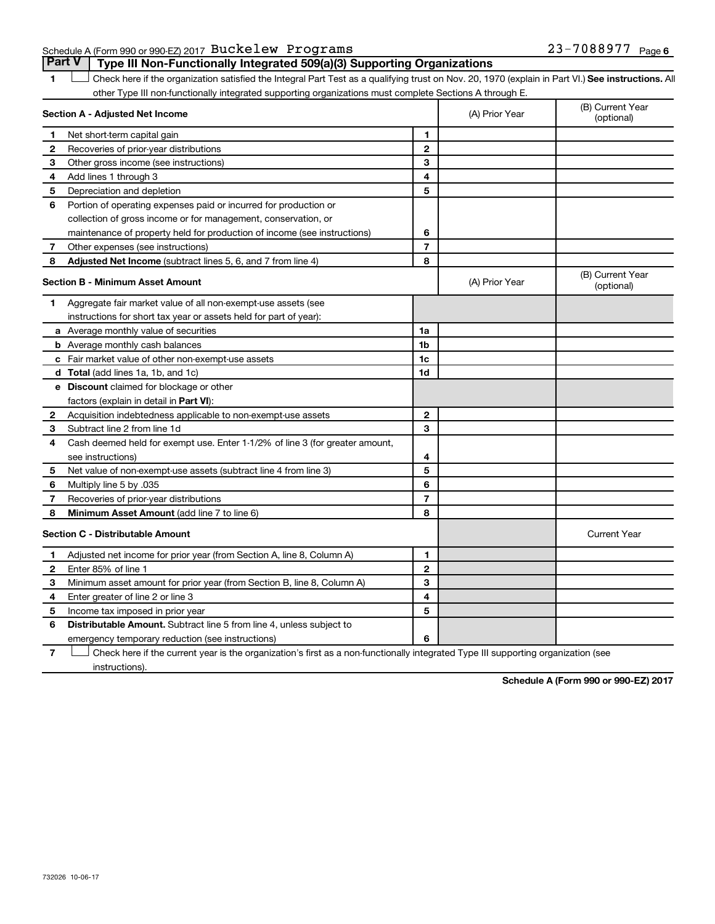|                | collection of gross income or for management, conservation, or                                                                    |                |                |                                |
|----------------|-----------------------------------------------------------------------------------------------------------------------------------|----------------|----------------|--------------------------------|
|                | maintenance of property held for production of income (see instructions)                                                          | 6              |                |                                |
| 7              | Other expenses (see instructions)                                                                                                 | $\overline{7}$ |                |                                |
| 8              | Adjusted Net Income (subtract lines 5, 6, and 7 from line 4)                                                                      | 8              |                |                                |
|                | <b>Section B - Minimum Asset Amount</b>                                                                                           |                | (A) Prior Year | (B) Current Year<br>(optional) |
| 1              | Aggregate fair market value of all non-exempt-use assets (see                                                                     |                |                |                                |
|                | instructions for short tax year or assets held for part of year):                                                                 |                |                |                                |
|                | a Average monthly value of securities                                                                                             | 1a             |                |                                |
|                | <b>b</b> Average monthly cash balances                                                                                            | 1 <sub>b</sub> |                |                                |
|                | c Fair market value of other non-exempt-use assets                                                                                | 1 <sub>c</sub> |                |                                |
|                | d Total (add lines 1a, 1b, and 1c)                                                                                                | 1 <sub>d</sub> |                |                                |
|                | e Discount claimed for blockage or other                                                                                          |                |                |                                |
|                | factors (explain in detail in Part VI):                                                                                           |                |                |                                |
| 2              | Acquisition indebtedness applicable to non-exempt-use assets                                                                      | $\mathbf{2}$   |                |                                |
| 3              | Subtract line 2 from line 1d                                                                                                      | 3              |                |                                |
| 4              | Cash deemed held for exempt use. Enter 1-1/2% of line 3 (for greater amount,                                                      |                |                |                                |
|                | see instructions)                                                                                                                 | 4              |                |                                |
| 5              | Net value of non-exempt-use assets (subtract line 4 from line 3)                                                                  | 5              |                |                                |
| 6              | Multiply line 5 by .035                                                                                                           | 6              |                |                                |
| 7              | Recoveries of prior-year distributions                                                                                            | $\overline{7}$ |                |                                |
| 8              | Minimum Asset Amount (add line 7 to line 6)                                                                                       | 8              |                |                                |
|                | <b>Section C - Distributable Amount</b>                                                                                           |                |                | <b>Current Year</b>            |
| 1              | Adjusted net income for prior year (from Section A, line 8, Column A)                                                             | 1              |                |                                |
| 2              | Enter 85% of line 1                                                                                                               | $\mathbf{2}$   |                |                                |
| 3              | Minimum asset amount for prior year (from Section B, line 8, Column A)                                                            | 3              |                |                                |
| 4              | Enter greater of line 2 or line 3                                                                                                 | 4              |                |                                |
| 5              | Income tax imposed in prior year                                                                                                  | 5              |                |                                |
| 6              | Distributable Amount. Subtract line 5 from line 4, unless subject to                                                              |                |                |                                |
|                | emergency temporary reduction (see instructions)                                                                                  | 6              |                |                                |
| $\overline{7}$ | Check here if the current year is the organization's first as a non-functionally integrated Type III supporting organization (see |                |                |                                |
|                | instructions)                                                                                                                     |                |                |                                |

## Schedule A (Form 990 or 990-EZ) 2017 Page Buckelew Programs 23-7088977

Portion of operating expenses paid or incurred for production or

Other gross income (see instructions)

Add lines 1 through 3 Depreciation and depletion

1 **Letter See instructions.** All Check here if the organization satisfied the Integral Part Test as a qualifying trust on Nov. 20, 1970 (explain in Part VI.) See instructions. All **Part V Type III Non-Functionally Integrated 509(a)(3) Supporting Organizations** 

> **3 4 5**

(B) Current Year

## **Schedule A (Form 990 or 990-EZ) 2017**

#### **Section A - Adjusted Net Income 1 2 1 2** other Type III non-functionally integrated supporting organizations must complete Sections A through E. (A) Prior Year Net short-term capital gain Recoveries of prior-year distributions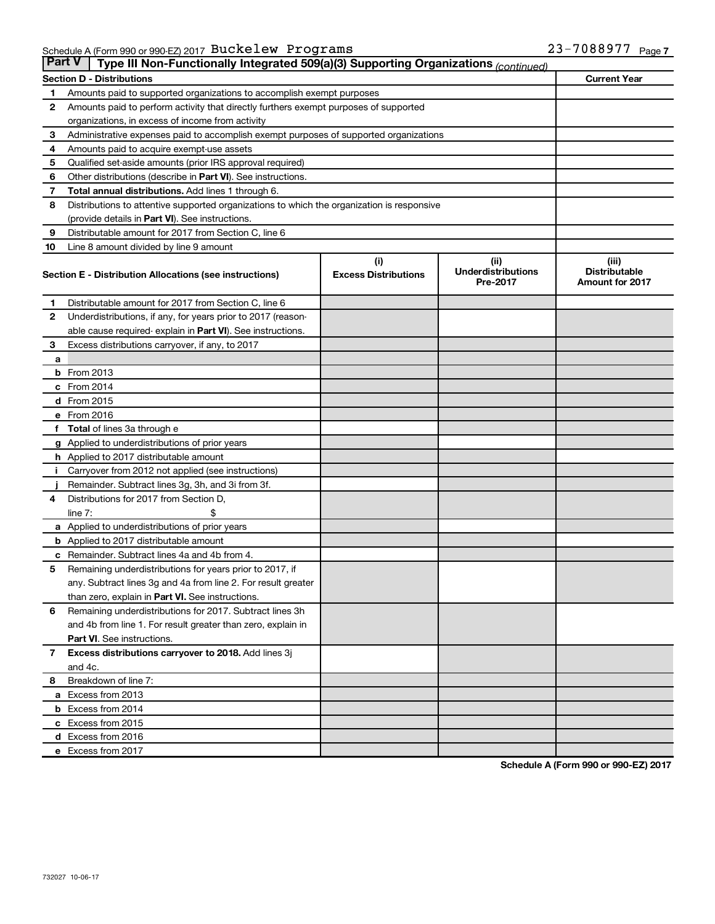| <b>Part V</b><br>Type III Non-Functionally Integrated 509(a)(3) Supporting Organizations (continued) |                                                                                            |                                    |                                               |                                                         |  |  |  |
|------------------------------------------------------------------------------------------------------|--------------------------------------------------------------------------------------------|------------------------------------|-----------------------------------------------|---------------------------------------------------------|--|--|--|
|                                                                                                      | <b>Section D - Distributions</b>                                                           |                                    |                                               | <b>Current Year</b>                                     |  |  |  |
| 1                                                                                                    | Amounts paid to supported organizations to accomplish exempt purposes                      |                                    |                                               |                                                         |  |  |  |
| 2                                                                                                    | Amounts paid to perform activity that directly furthers exempt purposes of supported       |                                    |                                               |                                                         |  |  |  |
|                                                                                                      | organizations, in excess of income from activity                                           |                                    |                                               |                                                         |  |  |  |
| 3                                                                                                    | Administrative expenses paid to accomplish exempt purposes of supported organizations      |                                    |                                               |                                                         |  |  |  |
| 4                                                                                                    | Amounts paid to acquire exempt-use assets                                                  |                                    |                                               |                                                         |  |  |  |
| 5                                                                                                    | Qualified set-aside amounts (prior IRS approval required)                                  |                                    |                                               |                                                         |  |  |  |
| 6                                                                                                    | Other distributions (describe in Part VI). See instructions.                               |                                    |                                               |                                                         |  |  |  |
| 7                                                                                                    | Total annual distributions. Add lines 1 through 6.                                         |                                    |                                               |                                                         |  |  |  |
| 8                                                                                                    | Distributions to attentive supported organizations to which the organization is responsive |                                    |                                               |                                                         |  |  |  |
|                                                                                                      | (provide details in Part VI). See instructions.                                            |                                    |                                               |                                                         |  |  |  |
| 9                                                                                                    | Distributable amount for 2017 from Section C, line 6                                       |                                    |                                               |                                                         |  |  |  |
| 10                                                                                                   | Line 8 amount divided by line 9 amount                                                     |                                    |                                               |                                                         |  |  |  |
|                                                                                                      | Section E - Distribution Allocations (see instructions)                                    | (i)<br><b>Excess Distributions</b> | (ii)<br><b>Underdistributions</b><br>Pre-2017 | (iii)<br><b>Distributable</b><br><b>Amount for 2017</b> |  |  |  |
| 1.                                                                                                   | Distributable amount for 2017 from Section C, line 6                                       |                                    |                                               |                                                         |  |  |  |
| $\mathbf{2}$                                                                                         | Underdistributions, if any, for years prior to 2017 (reason-                               |                                    |                                               |                                                         |  |  |  |
|                                                                                                      | able cause required- explain in Part VI). See instructions.                                |                                    |                                               |                                                         |  |  |  |
| 3                                                                                                    | Excess distributions carryover, if any, to 2017                                            |                                    |                                               |                                                         |  |  |  |
| a                                                                                                    |                                                                                            |                                    |                                               |                                                         |  |  |  |
|                                                                                                      | <b>b</b> From 2013                                                                         |                                    |                                               |                                                         |  |  |  |
|                                                                                                      | c From 2014                                                                                |                                    |                                               |                                                         |  |  |  |
|                                                                                                      | d From 2015                                                                                |                                    |                                               |                                                         |  |  |  |
|                                                                                                      | e From 2016                                                                                |                                    |                                               |                                                         |  |  |  |
|                                                                                                      | f Total of lines 3a through e                                                              |                                    |                                               |                                                         |  |  |  |
|                                                                                                      | <b>g</b> Applied to underdistributions of prior years                                      |                                    |                                               |                                                         |  |  |  |
|                                                                                                      | <b>h</b> Applied to 2017 distributable amount                                              |                                    |                                               |                                                         |  |  |  |
|                                                                                                      | Carryover from 2012 not applied (see instructions)                                         |                                    |                                               |                                                         |  |  |  |
|                                                                                                      | Remainder. Subtract lines 3g, 3h, and 3i from 3f.                                          |                                    |                                               |                                                         |  |  |  |
| 4                                                                                                    | Distributions for 2017 from Section D,                                                     |                                    |                                               |                                                         |  |  |  |
|                                                                                                      | $line 7$ :                                                                                 |                                    |                                               |                                                         |  |  |  |
|                                                                                                      | a Applied to underdistributions of prior years                                             |                                    |                                               |                                                         |  |  |  |
|                                                                                                      | <b>b</b> Applied to 2017 distributable amount                                              |                                    |                                               |                                                         |  |  |  |
| с                                                                                                    | Remainder. Subtract lines 4a and 4b from 4.                                                |                                    |                                               |                                                         |  |  |  |
| 5                                                                                                    | Remaining underdistributions for years prior to 2017, if                                   |                                    |                                               |                                                         |  |  |  |
|                                                                                                      | any. Subtract lines 3g and 4a from line 2. For result greater                              |                                    |                                               |                                                         |  |  |  |
|                                                                                                      | than zero, explain in Part VI. See instructions.                                           |                                    |                                               |                                                         |  |  |  |
| 6                                                                                                    | Remaining underdistributions for 2017. Subtract lines 3h                                   |                                    |                                               |                                                         |  |  |  |
|                                                                                                      | and 4b from line 1. For result greater than zero, explain in                               |                                    |                                               |                                                         |  |  |  |
|                                                                                                      | <b>Part VI.</b> See instructions.                                                          |                                    |                                               |                                                         |  |  |  |
| $\mathbf{7}$                                                                                         | Excess distributions carryover to 2018. Add lines 3j                                       |                                    |                                               |                                                         |  |  |  |
|                                                                                                      | and 4c.                                                                                    |                                    |                                               |                                                         |  |  |  |
| 8                                                                                                    | Breakdown of line 7:                                                                       |                                    |                                               |                                                         |  |  |  |
|                                                                                                      | a Excess from 2013                                                                         |                                    |                                               |                                                         |  |  |  |
|                                                                                                      | <b>b</b> Excess from 2014                                                                  |                                    |                                               |                                                         |  |  |  |
|                                                                                                      | c Excess from 2015                                                                         |                                    |                                               |                                                         |  |  |  |
|                                                                                                      | d Excess from 2016                                                                         |                                    |                                               |                                                         |  |  |  |
|                                                                                                      | e Excess from 2017                                                                         |                                    |                                               |                                                         |  |  |  |

**Schedule A (Form 990 or 990-EZ) 2017**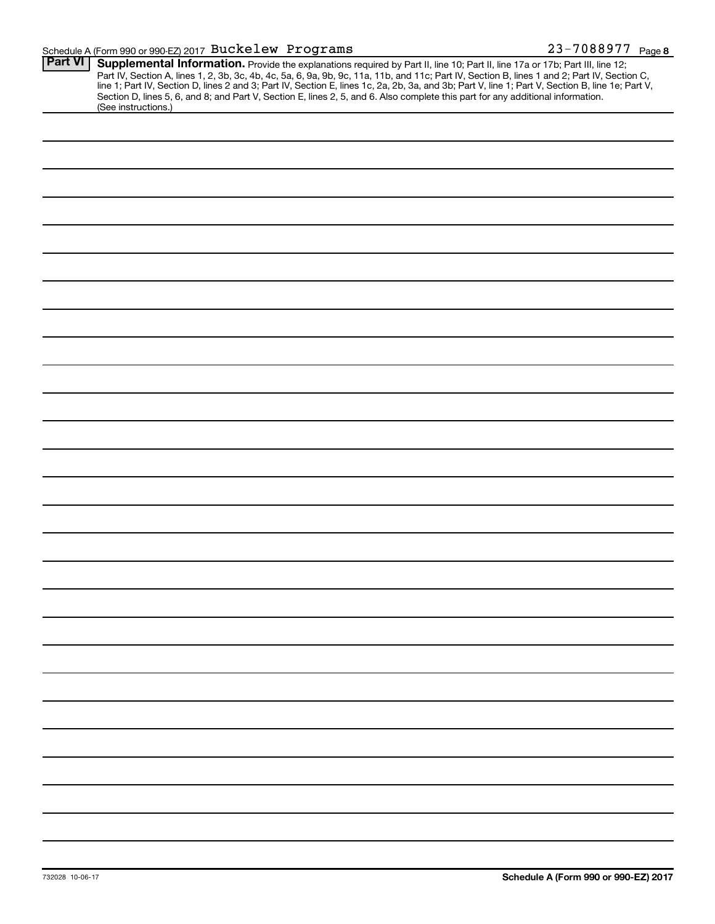## Schedule A (Form 990 or 990-EZ) 2017 Page Buckelew Programs 23-7088977

| <b>Part VI</b> | Supplemental Information. Provide the explanations required by Part II, line 10; Part II, line 17a or 17b; Part III, line 12;<br>Part IV, Section A, lines 1, 2, 3b, 3c, 4b, 4c, 5a, 6, 9a, 9b, 9c, 11a, 11b, and 11c; Part IV, Section B, lines 1 and 2; Part IV, Section C,<br>line 1; Part IV, Section D, lines 2 and 3; Part IV, Section E, lines 1c, 2a, 2b, 3a, and 3b; Part V, line 1; Part V, Section B, line 1e; Part V, |
|----------------|-----------------------------------------------------------------------------------------------------------------------------------------------------------------------------------------------------------------------------------------------------------------------------------------------------------------------------------------------------------------------------------------------------------------------------------|
|                | Section D, lines 5, 6, and 8; and Part V, Section E, lines 2, 5, and 6. Also complete this part for any additional information.<br>(See instructions.)                                                                                                                                                                                                                                                                            |
|                |                                                                                                                                                                                                                                                                                                                                                                                                                                   |
|                |                                                                                                                                                                                                                                                                                                                                                                                                                                   |
|                |                                                                                                                                                                                                                                                                                                                                                                                                                                   |
|                |                                                                                                                                                                                                                                                                                                                                                                                                                                   |
|                |                                                                                                                                                                                                                                                                                                                                                                                                                                   |
|                |                                                                                                                                                                                                                                                                                                                                                                                                                                   |
|                |                                                                                                                                                                                                                                                                                                                                                                                                                                   |
|                |                                                                                                                                                                                                                                                                                                                                                                                                                                   |
|                |                                                                                                                                                                                                                                                                                                                                                                                                                                   |
|                |                                                                                                                                                                                                                                                                                                                                                                                                                                   |
|                |                                                                                                                                                                                                                                                                                                                                                                                                                                   |
|                |                                                                                                                                                                                                                                                                                                                                                                                                                                   |
|                |                                                                                                                                                                                                                                                                                                                                                                                                                                   |
|                |                                                                                                                                                                                                                                                                                                                                                                                                                                   |
|                |                                                                                                                                                                                                                                                                                                                                                                                                                                   |
|                |                                                                                                                                                                                                                                                                                                                                                                                                                                   |
|                |                                                                                                                                                                                                                                                                                                                                                                                                                                   |
|                |                                                                                                                                                                                                                                                                                                                                                                                                                                   |
|                |                                                                                                                                                                                                                                                                                                                                                                                                                                   |
|                |                                                                                                                                                                                                                                                                                                                                                                                                                                   |
|                |                                                                                                                                                                                                                                                                                                                                                                                                                                   |
|                |                                                                                                                                                                                                                                                                                                                                                                                                                                   |
|                |                                                                                                                                                                                                                                                                                                                                                                                                                                   |
|                |                                                                                                                                                                                                                                                                                                                                                                                                                                   |
|                |                                                                                                                                                                                                                                                                                                                                                                                                                                   |
|                |                                                                                                                                                                                                                                                                                                                                                                                                                                   |
|                |                                                                                                                                                                                                                                                                                                                                                                                                                                   |
|                |                                                                                                                                                                                                                                                                                                                                                                                                                                   |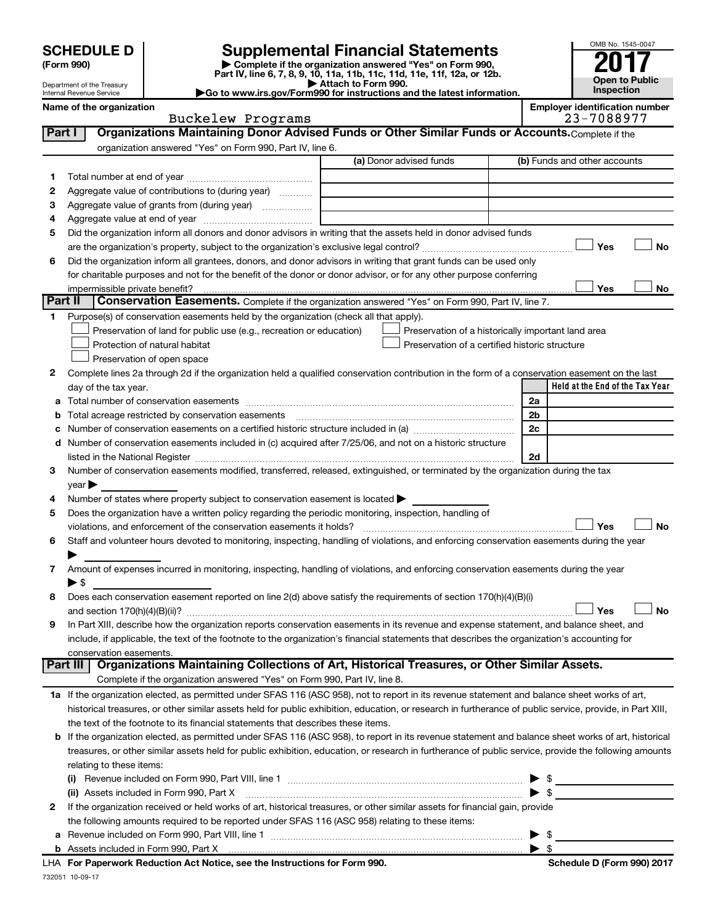| <b>SCHEDULE D</b> |  |
|-------------------|--|
|-------------------|--|

 $\overline{\mathsf{I}}$ 

# **SCHEDULE D Supplemental Financial Statements**<br> **Form 990 2017**<br> **Part IV** line 6.7.8.9.10, 11a, 11b, 11d, 11d, 11d, 11d, 11d, 12a, 0r, 12b

**(Form 990) | Complete if the organization answered "Yes" on Form 990, Part IV, line 6, 7, 8, 9, 10, 11a, 11b, 11c, 11d, 11e, 11f, 12a, or 12b.**

**| Attach to Form 990. |Go to www.irs.gov/Form990 for instructions and the latest information.**



Department of the Treasury Internal Revenue Service

| Name of the organization | <b>Emplover identification number</b> |
|--------------------------|---------------------------------------|
| Buckelew Programs        | 23-7088977                            |

| organization answered "Yes" on Form 990, Part IV, line 6.<br>(a) Donor advised funds<br>(b) Funds and other accounts<br>1<br>2<br>Aggregate value of contributions to (during year)<br>З<br>Aggregate value of grants from (during year)<br>4<br>Did the organization inform all donors and donor advisors in writing that the assets held in donor advised funds<br>5<br>Yes<br>No<br>Did the organization inform all grantees, donors, and donor advisors in writing that grant funds can be used only<br>6<br>for charitable purposes and not for the benefit of the donor or donor advisor, or for any other purpose conferring<br>Yes<br>impermissible private benefit?<br>No<br>Part II<br>Conservation Easements. Complete if the organization answered "Yes" on Form 990, Part IV, line 7.<br>1<br>Purpose(s) of conservation easements held by the organization (check all that apply).<br>Preservation of land for public use (e.g., recreation or education)<br>Preservation of a historically important land area<br>Preservation of a certified historic structure<br>Protection of natural habitat<br>Preservation of open space<br>2<br>Complete lines 2a through 2d if the organization held a qualified conservation contribution in the form of a conservation easement on the last<br>Held at the End of the Tax Year<br>day of the tax year.<br>2a<br>а<br>2b<br>Total acreage restricted by conservation easements<br>2c<br>Number of conservation easements included in (c) acquired after 7/25/06, and not on a historic structure<br>2d<br>Number of conservation easements modified, transferred, released, extinguished, or terminated by the organization during the tax<br>3<br>$year \blacktriangleright$<br>Number of states where property subject to conservation easement is located ><br>4<br>Does the organization have a written policy regarding the periodic monitoring, inspection, handling of<br>5<br>Yes<br>violations, and enforcement of the conservation easements it holds?<br>No<br>Staff and volunteer hours devoted to monitoring, inspecting, handling of violations, and enforcing conservation easements during the year<br>6<br>Amount of expenses incurred in monitoring, inspecting, handling of violations, and enforcing conservation easements during the year<br>7<br>► \$<br>Does each conservation easement reported on line 2(d) above satisfy the requirements of section 170(h)(4)(B)(i)<br>8<br>No<br>Yes<br>In Part XIII, describe how the organization reports conservation easements in its revenue and expense statement, and balance sheet, and<br>9<br>include, if applicable, the text of the footnote to the organization's financial statements that describes the organization's accounting for<br>conservation easements.<br>Organizations Maintaining Collections of Art, Historical Treasures, or Other Similar Assets.<br>Part III<br>Complete if the organization answered "Yes" on Form 990, Part IV, line 8.<br>1a If the organization elected, as permitted under SFAS 116 (ASC 958), not to report in its revenue statement and balance sheet works of art,<br>historical treasures, or other similar assets held for public exhibition, education, or research in furtherance of public service, provide, in Part XIII,<br>the text of the footnote to its financial statements that describes these items.<br><b>b</b> If the organization elected, as permitted under SFAS 116 (ASC 958), to report in its revenue statement and balance sheet works of art, historical<br>treasures, or other similar assets held for public exhibition, education, or research in furtherance of public service, provide the following amounts<br>relating to these items:<br>- \$<br>$\blacktriangleright$ \$<br>(ii) Assets included in Form 990, Part X<br>If the organization received or held works of art, historical treasures, or other similar assets for financial gain, provide<br>2<br>the following amounts required to be reported under SFAS 116 (ASC 958) relating to these items:<br>- \$<br>а<br>$\blacktriangleright$ s | Part I | Organizations Maintaining Donor Advised Funds or Other Similar Funds or Accounts. Complete if the |  |  |
|---------------------------------------------------------------------------------------------------------------------------------------------------------------------------------------------------------------------------------------------------------------------------------------------------------------------------------------------------------------------------------------------------------------------------------------------------------------------------------------------------------------------------------------------------------------------------------------------------------------------------------------------------------------------------------------------------------------------------------------------------------------------------------------------------------------------------------------------------------------------------------------------------------------------------------------------------------------------------------------------------------------------------------------------------------------------------------------------------------------------------------------------------------------------------------------------------------------------------------------------------------------------------------------------------------------------------------------------------------------------------------------------------------------------------------------------------------------------------------------------------------------------------------------------------------------------------------------------------------------------------------------------------------------------------------------------------------------------------------------------------------------------------------------------------------------------------------------------------------------------------------------------------------------------------------------------------------------------------------------------------------------------------------------------------------------------------------------------------------------------------------------------------------------------------------------------------------------------------------------------------------------------------------------------------------------------------------------------------------------------------------------------------------------------------------------------------------------------------------------------------------------------------------------------------------------------------------------------------------------------------------------------------------------------------------------------------------------------------------------------------------------------------------------------------------------------------------------------------------------------------------------------------------------------------------------------------------------------------------------------------------------------------------------------------------------------------------------------------------------------------------------------------------------------------------------------------------------------------------------------------------------------------------------------------------------------------------------------------------------------------------------------------------------------------------------------------------------------------------------------------------------------------------------------------------------------------------------------------------------------------------------------------------------------------------------------------------------------------------------------------------------------------------------------------------------------------------------------------------------------------------------------------------------------------------------------------------------------------------------------------------------------------------------------------------------------------------------------------------------------|--------|---------------------------------------------------------------------------------------------------|--|--|
|                                                                                                                                                                                                                                                                                                                                                                                                                                                                                                                                                                                                                                                                                                                                                                                                                                                                                                                                                                                                                                                                                                                                                                                                                                                                                                                                                                                                                                                                                                                                                                                                                                                                                                                                                                                                                                                                                                                                                                                                                                                                                                                                                                                                                                                                                                                                                                                                                                                                                                                                                                                                                                                                                                                                                                                                                                                                                                                                                                                                                                                                                                                                                                                                                                                                                                                                                                                                                                                                                                                                                                                                                                                                                                                                                                                                                                                                                                                                                                                                                                                                                                                     |        |                                                                                                   |  |  |
|                                                                                                                                                                                                                                                                                                                                                                                                                                                                                                                                                                                                                                                                                                                                                                                                                                                                                                                                                                                                                                                                                                                                                                                                                                                                                                                                                                                                                                                                                                                                                                                                                                                                                                                                                                                                                                                                                                                                                                                                                                                                                                                                                                                                                                                                                                                                                                                                                                                                                                                                                                                                                                                                                                                                                                                                                                                                                                                                                                                                                                                                                                                                                                                                                                                                                                                                                                                                                                                                                                                                                                                                                                                                                                                                                                                                                                                                                                                                                                                                                                                                                                                     |        |                                                                                                   |  |  |
|                                                                                                                                                                                                                                                                                                                                                                                                                                                                                                                                                                                                                                                                                                                                                                                                                                                                                                                                                                                                                                                                                                                                                                                                                                                                                                                                                                                                                                                                                                                                                                                                                                                                                                                                                                                                                                                                                                                                                                                                                                                                                                                                                                                                                                                                                                                                                                                                                                                                                                                                                                                                                                                                                                                                                                                                                                                                                                                                                                                                                                                                                                                                                                                                                                                                                                                                                                                                                                                                                                                                                                                                                                                                                                                                                                                                                                                                                                                                                                                                                                                                                                                     |        |                                                                                                   |  |  |
|                                                                                                                                                                                                                                                                                                                                                                                                                                                                                                                                                                                                                                                                                                                                                                                                                                                                                                                                                                                                                                                                                                                                                                                                                                                                                                                                                                                                                                                                                                                                                                                                                                                                                                                                                                                                                                                                                                                                                                                                                                                                                                                                                                                                                                                                                                                                                                                                                                                                                                                                                                                                                                                                                                                                                                                                                                                                                                                                                                                                                                                                                                                                                                                                                                                                                                                                                                                                                                                                                                                                                                                                                                                                                                                                                                                                                                                                                                                                                                                                                                                                                                                     |        |                                                                                                   |  |  |
|                                                                                                                                                                                                                                                                                                                                                                                                                                                                                                                                                                                                                                                                                                                                                                                                                                                                                                                                                                                                                                                                                                                                                                                                                                                                                                                                                                                                                                                                                                                                                                                                                                                                                                                                                                                                                                                                                                                                                                                                                                                                                                                                                                                                                                                                                                                                                                                                                                                                                                                                                                                                                                                                                                                                                                                                                                                                                                                                                                                                                                                                                                                                                                                                                                                                                                                                                                                                                                                                                                                                                                                                                                                                                                                                                                                                                                                                                                                                                                                                                                                                                                                     |        |                                                                                                   |  |  |
|                                                                                                                                                                                                                                                                                                                                                                                                                                                                                                                                                                                                                                                                                                                                                                                                                                                                                                                                                                                                                                                                                                                                                                                                                                                                                                                                                                                                                                                                                                                                                                                                                                                                                                                                                                                                                                                                                                                                                                                                                                                                                                                                                                                                                                                                                                                                                                                                                                                                                                                                                                                                                                                                                                                                                                                                                                                                                                                                                                                                                                                                                                                                                                                                                                                                                                                                                                                                                                                                                                                                                                                                                                                                                                                                                                                                                                                                                                                                                                                                                                                                                                                     |        |                                                                                                   |  |  |
|                                                                                                                                                                                                                                                                                                                                                                                                                                                                                                                                                                                                                                                                                                                                                                                                                                                                                                                                                                                                                                                                                                                                                                                                                                                                                                                                                                                                                                                                                                                                                                                                                                                                                                                                                                                                                                                                                                                                                                                                                                                                                                                                                                                                                                                                                                                                                                                                                                                                                                                                                                                                                                                                                                                                                                                                                                                                                                                                                                                                                                                                                                                                                                                                                                                                                                                                                                                                                                                                                                                                                                                                                                                                                                                                                                                                                                                                                                                                                                                                                                                                                                                     |        |                                                                                                   |  |  |
|                                                                                                                                                                                                                                                                                                                                                                                                                                                                                                                                                                                                                                                                                                                                                                                                                                                                                                                                                                                                                                                                                                                                                                                                                                                                                                                                                                                                                                                                                                                                                                                                                                                                                                                                                                                                                                                                                                                                                                                                                                                                                                                                                                                                                                                                                                                                                                                                                                                                                                                                                                                                                                                                                                                                                                                                                                                                                                                                                                                                                                                                                                                                                                                                                                                                                                                                                                                                                                                                                                                                                                                                                                                                                                                                                                                                                                                                                                                                                                                                                                                                                                                     |        |                                                                                                   |  |  |
|                                                                                                                                                                                                                                                                                                                                                                                                                                                                                                                                                                                                                                                                                                                                                                                                                                                                                                                                                                                                                                                                                                                                                                                                                                                                                                                                                                                                                                                                                                                                                                                                                                                                                                                                                                                                                                                                                                                                                                                                                                                                                                                                                                                                                                                                                                                                                                                                                                                                                                                                                                                                                                                                                                                                                                                                                                                                                                                                                                                                                                                                                                                                                                                                                                                                                                                                                                                                                                                                                                                                                                                                                                                                                                                                                                                                                                                                                                                                                                                                                                                                                                                     |        |                                                                                                   |  |  |
|                                                                                                                                                                                                                                                                                                                                                                                                                                                                                                                                                                                                                                                                                                                                                                                                                                                                                                                                                                                                                                                                                                                                                                                                                                                                                                                                                                                                                                                                                                                                                                                                                                                                                                                                                                                                                                                                                                                                                                                                                                                                                                                                                                                                                                                                                                                                                                                                                                                                                                                                                                                                                                                                                                                                                                                                                                                                                                                                                                                                                                                                                                                                                                                                                                                                                                                                                                                                                                                                                                                                                                                                                                                                                                                                                                                                                                                                                                                                                                                                                                                                                                                     |        |                                                                                                   |  |  |
|                                                                                                                                                                                                                                                                                                                                                                                                                                                                                                                                                                                                                                                                                                                                                                                                                                                                                                                                                                                                                                                                                                                                                                                                                                                                                                                                                                                                                                                                                                                                                                                                                                                                                                                                                                                                                                                                                                                                                                                                                                                                                                                                                                                                                                                                                                                                                                                                                                                                                                                                                                                                                                                                                                                                                                                                                                                                                                                                                                                                                                                                                                                                                                                                                                                                                                                                                                                                                                                                                                                                                                                                                                                                                                                                                                                                                                                                                                                                                                                                                                                                                                                     |        |                                                                                                   |  |  |
|                                                                                                                                                                                                                                                                                                                                                                                                                                                                                                                                                                                                                                                                                                                                                                                                                                                                                                                                                                                                                                                                                                                                                                                                                                                                                                                                                                                                                                                                                                                                                                                                                                                                                                                                                                                                                                                                                                                                                                                                                                                                                                                                                                                                                                                                                                                                                                                                                                                                                                                                                                                                                                                                                                                                                                                                                                                                                                                                                                                                                                                                                                                                                                                                                                                                                                                                                                                                                                                                                                                                                                                                                                                                                                                                                                                                                                                                                                                                                                                                                                                                                                                     |        |                                                                                                   |  |  |
|                                                                                                                                                                                                                                                                                                                                                                                                                                                                                                                                                                                                                                                                                                                                                                                                                                                                                                                                                                                                                                                                                                                                                                                                                                                                                                                                                                                                                                                                                                                                                                                                                                                                                                                                                                                                                                                                                                                                                                                                                                                                                                                                                                                                                                                                                                                                                                                                                                                                                                                                                                                                                                                                                                                                                                                                                                                                                                                                                                                                                                                                                                                                                                                                                                                                                                                                                                                                                                                                                                                                                                                                                                                                                                                                                                                                                                                                                                                                                                                                                                                                                                                     |        |                                                                                                   |  |  |
|                                                                                                                                                                                                                                                                                                                                                                                                                                                                                                                                                                                                                                                                                                                                                                                                                                                                                                                                                                                                                                                                                                                                                                                                                                                                                                                                                                                                                                                                                                                                                                                                                                                                                                                                                                                                                                                                                                                                                                                                                                                                                                                                                                                                                                                                                                                                                                                                                                                                                                                                                                                                                                                                                                                                                                                                                                                                                                                                                                                                                                                                                                                                                                                                                                                                                                                                                                                                                                                                                                                                                                                                                                                                                                                                                                                                                                                                                                                                                                                                                                                                                                                     |        |                                                                                                   |  |  |
|                                                                                                                                                                                                                                                                                                                                                                                                                                                                                                                                                                                                                                                                                                                                                                                                                                                                                                                                                                                                                                                                                                                                                                                                                                                                                                                                                                                                                                                                                                                                                                                                                                                                                                                                                                                                                                                                                                                                                                                                                                                                                                                                                                                                                                                                                                                                                                                                                                                                                                                                                                                                                                                                                                                                                                                                                                                                                                                                                                                                                                                                                                                                                                                                                                                                                                                                                                                                                                                                                                                                                                                                                                                                                                                                                                                                                                                                                                                                                                                                                                                                                                                     |        |                                                                                                   |  |  |
|                                                                                                                                                                                                                                                                                                                                                                                                                                                                                                                                                                                                                                                                                                                                                                                                                                                                                                                                                                                                                                                                                                                                                                                                                                                                                                                                                                                                                                                                                                                                                                                                                                                                                                                                                                                                                                                                                                                                                                                                                                                                                                                                                                                                                                                                                                                                                                                                                                                                                                                                                                                                                                                                                                                                                                                                                                                                                                                                                                                                                                                                                                                                                                                                                                                                                                                                                                                                                                                                                                                                                                                                                                                                                                                                                                                                                                                                                                                                                                                                                                                                                                                     |        |                                                                                                   |  |  |
|                                                                                                                                                                                                                                                                                                                                                                                                                                                                                                                                                                                                                                                                                                                                                                                                                                                                                                                                                                                                                                                                                                                                                                                                                                                                                                                                                                                                                                                                                                                                                                                                                                                                                                                                                                                                                                                                                                                                                                                                                                                                                                                                                                                                                                                                                                                                                                                                                                                                                                                                                                                                                                                                                                                                                                                                                                                                                                                                                                                                                                                                                                                                                                                                                                                                                                                                                                                                                                                                                                                                                                                                                                                                                                                                                                                                                                                                                                                                                                                                                                                                                                                     |        |                                                                                                   |  |  |
|                                                                                                                                                                                                                                                                                                                                                                                                                                                                                                                                                                                                                                                                                                                                                                                                                                                                                                                                                                                                                                                                                                                                                                                                                                                                                                                                                                                                                                                                                                                                                                                                                                                                                                                                                                                                                                                                                                                                                                                                                                                                                                                                                                                                                                                                                                                                                                                                                                                                                                                                                                                                                                                                                                                                                                                                                                                                                                                                                                                                                                                                                                                                                                                                                                                                                                                                                                                                                                                                                                                                                                                                                                                                                                                                                                                                                                                                                                                                                                                                                                                                                                                     |        |                                                                                                   |  |  |
|                                                                                                                                                                                                                                                                                                                                                                                                                                                                                                                                                                                                                                                                                                                                                                                                                                                                                                                                                                                                                                                                                                                                                                                                                                                                                                                                                                                                                                                                                                                                                                                                                                                                                                                                                                                                                                                                                                                                                                                                                                                                                                                                                                                                                                                                                                                                                                                                                                                                                                                                                                                                                                                                                                                                                                                                                                                                                                                                                                                                                                                                                                                                                                                                                                                                                                                                                                                                                                                                                                                                                                                                                                                                                                                                                                                                                                                                                                                                                                                                                                                                                                                     |        |                                                                                                   |  |  |
|                                                                                                                                                                                                                                                                                                                                                                                                                                                                                                                                                                                                                                                                                                                                                                                                                                                                                                                                                                                                                                                                                                                                                                                                                                                                                                                                                                                                                                                                                                                                                                                                                                                                                                                                                                                                                                                                                                                                                                                                                                                                                                                                                                                                                                                                                                                                                                                                                                                                                                                                                                                                                                                                                                                                                                                                                                                                                                                                                                                                                                                                                                                                                                                                                                                                                                                                                                                                                                                                                                                                                                                                                                                                                                                                                                                                                                                                                                                                                                                                                                                                                                                     |        |                                                                                                   |  |  |
|                                                                                                                                                                                                                                                                                                                                                                                                                                                                                                                                                                                                                                                                                                                                                                                                                                                                                                                                                                                                                                                                                                                                                                                                                                                                                                                                                                                                                                                                                                                                                                                                                                                                                                                                                                                                                                                                                                                                                                                                                                                                                                                                                                                                                                                                                                                                                                                                                                                                                                                                                                                                                                                                                                                                                                                                                                                                                                                                                                                                                                                                                                                                                                                                                                                                                                                                                                                                                                                                                                                                                                                                                                                                                                                                                                                                                                                                                                                                                                                                                                                                                                                     |        |                                                                                                   |  |  |
|                                                                                                                                                                                                                                                                                                                                                                                                                                                                                                                                                                                                                                                                                                                                                                                                                                                                                                                                                                                                                                                                                                                                                                                                                                                                                                                                                                                                                                                                                                                                                                                                                                                                                                                                                                                                                                                                                                                                                                                                                                                                                                                                                                                                                                                                                                                                                                                                                                                                                                                                                                                                                                                                                                                                                                                                                                                                                                                                                                                                                                                                                                                                                                                                                                                                                                                                                                                                                                                                                                                                                                                                                                                                                                                                                                                                                                                                                                                                                                                                                                                                                                                     |        |                                                                                                   |  |  |
|                                                                                                                                                                                                                                                                                                                                                                                                                                                                                                                                                                                                                                                                                                                                                                                                                                                                                                                                                                                                                                                                                                                                                                                                                                                                                                                                                                                                                                                                                                                                                                                                                                                                                                                                                                                                                                                                                                                                                                                                                                                                                                                                                                                                                                                                                                                                                                                                                                                                                                                                                                                                                                                                                                                                                                                                                                                                                                                                                                                                                                                                                                                                                                                                                                                                                                                                                                                                                                                                                                                                                                                                                                                                                                                                                                                                                                                                                                                                                                                                                                                                                                                     |        |                                                                                                   |  |  |
|                                                                                                                                                                                                                                                                                                                                                                                                                                                                                                                                                                                                                                                                                                                                                                                                                                                                                                                                                                                                                                                                                                                                                                                                                                                                                                                                                                                                                                                                                                                                                                                                                                                                                                                                                                                                                                                                                                                                                                                                                                                                                                                                                                                                                                                                                                                                                                                                                                                                                                                                                                                                                                                                                                                                                                                                                                                                                                                                                                                                                                                                                                                                                                                                                                                                                                                                                                                                                                                                                                                                                                                                                                                                                                                                                                                                                                                                                                                                                                                                                                                                                                                     |        |                                                                                                   |  |  |
|                                                                                                                                                                                                                                                                                                                                                                                                                                                                                                                                                                                                                                                                                                                                                                                                                                                                                                                                                                                                                                                                                                                                                                                                                                                                                                                                                                                                                                                                                                                                                                                                                                                                                                                                                                                                                                                                                                                                                                                                                                                                                                                                                                                                                                                                                                                                                                                                                                                                                                                                                                                                                                                                                                                                                                                                                                                                                                                                                                                                                                                                                                                                                                                                                                                                                                                                                                                                                                                                                                                                                                                                                                                                                                                                                                                                                                                                                                                                                                                                                                                                                                                     |        |                                                                                                   |  |  |
|                                                                                                                                                                                                                                                                                                                                                                                                                                                                                                                                                                                                                                                                                                                                                                                                                                                                                                                                                                                                                                                                                                                                                                                                                                                                                                                                                                                                                                                                                                                                                                                                                                                                                                                                                                                                                                                                                                                                                                                                                                                                                                                                                                                                                                                                                                                                                                                                                                                                                                                                                                                                                                                                                                                                                                                                                                                                                                                                                                                                                                                                                                                                                                                                                                                                                                                                                                                                                                                                                                                                                                                                                                                                                                                                                                                                                                                                                                                                                                                                                                                                                                                     |        |                                                                                                   |  |  |
|                                                                                                                                                                                                                                                                                                                                                                                                                                                                                                                                                                                                                                                                                                                                                                                                                                                                                                                                                                                                                                                                                                                                                                                                                                                                                                                                                                                                                                                                                                                                                                                                                                                                                                                                                                                                                                                                                                                                                                                                                                                                                                                                                                                                                                                                                                                                                                                                                                                                                                                                                                                                                                                                                                                                                                                                                                                                                                                                                                                                                                                                                                                                                                                                                                                                                                                                                                                                                                                                                                                                                                                                                                                                                                                                                                                                                                                                                                                                                                                                                                                                                                                     |        |                                                                                                   |  |  |
|                                                                                                                                                                                                                                                                                                                                                                                                                                                                                                                                                                                                                                                                                                                                                                                                                                                                                                                                                                                                                                                                                                                                                                                                                                                                                                                                                                                                                                                                                                                                                                                                                                                                                                                                                                                                                                                                                                                                                                                                                                                                                                                                                                                                                                                                                                                                                                                                                                                                                                                                                                                                                                                                                                                                                                                                                                                                                                                                                                                                                                                                                                                                                                                                                                                                                                                                                                                                                                                                                                                                                                                                                                                                                                                                                                                                                                                                                                                                                                                                                                                                                                                     |        |                                                                                                   |  |  |
|                                                                                                                                                                                                                                                                                                                                                                                                                                                                                                                                                                                                                                                                                                                                                                                                                                                                                                                                                                                                                                                                                                                                                                                                                                                                                                                                                                                                                                                                                                                                                                                                                                                                                                                                                                                                                                                                                                                                                                                                                                                                                                                                                                                                                                                                                                                                                                                                                                                                                                                                                                                                                                                                                                                                                                                                                                                                                                                                                                                                                                                                                                                                                                                                                                                                                                                                                                                                                                                                                                                                                                                                                                                                                                                                                                                                                                                                                                                                                                                                                                                                                                                     |        |                                                                                                   |  |  |
|                                                                                                                                                                                                                                                                                                                                                                                                                                                                                                                                                                                                                                                                                                                                                                                                                                                                                                                                                                                                                                                                                                                                                                                                                                                                                                                                                                                                                                                                                                                                                                                                                                                                                                                                                                                                                                                                                                                                                                                                                                                                                                                                                                                                                                                                                                                                                                                                                                                                                                                                                                                                                                                                                                                                                                                                                                                                                                                                                                                                                                                                                                                                                                                                                                                                                                                                                                                                                                                                                                                                                                                                                                                                                                                                                                                                                                                                                                                                                                                                                                                                                                                     |        |                                                                                                   |  |  |
|                                                                                                                                                                                                                                                                                                                                                                                                                                                                                                                                                                                                                                                                                                                                                                                                                                                                                                                                                                                                                                                                                                                                                                                                                                                                                                                                                                                                                                                                                                                                                                                                                                                                                                                                                                                                                                                                                                                                                                                                                                                                                                                                                                                                                                                                                                                                                                                                                                                                                                                                                                                                                                                                                                                                                                                                                                                                                                                                                                                                                                                                                                                                                                                                                                                                                                                                                                                                                                                                                                                                                                                                                                                                                                                                                                                                                                                                                                                                                                                                                                                                                                                     |        |                                                                                                   |  |  |
|                                                                                                                                                                                                                                                                                                                                                                                                                                                                                                                                                                                                                                                                                                                                                                                                                                                                                                                                                                                                                                                                                                                                                                                                                                                                                                                                                                                                                                                                                                                                                                                                                                                                                                                                                                                                                                                                                                                                                                                                                                                                                                                                                                                                                                                                                                                                                                                                                                                                                                                                                                                                                                                                                                                                                                                                                                                                                                                                                                                                                                                                                                                                                                                                                                                                                                                                                                                                                                                                                                                                                                                                                                                                                                                                                                                                                                                                                                                                                                                                                                                                                                                     |        |                                                                                                   |  |  |
|                                                                                                                                                                                                                                                                                                                                                                                                                                                                                                                                                                                                                                                                                                                                                                                                                                                                                                                                                                                                                                                                                                                                                                                                                                                                                                                                                                                                                                                                                                                                                                                                                                                                                                                                                                                                                                                                                                                                                                                                                                                                                                                                                                                                                                                                                                                                                                                                                                                                                                                                                                                                                                                                                                                                                                                                                                                                                                                                                                                                                                                                                                                                                                                                                                                                                                                                                                                                                                                                                                                                                                                                                                                                                                                                                                                                                                                                                                                                                                                                                                                                                                                     |        |                                                                                                   |  |  |
|                                                                                                                                                                                                                                                                                                                                                                                                                                                                                                                                                                                                                                                                                                                                                                                                                                                                                                                                                                                                                                                                                                                                                                                                                                                                                                                                                                                                                                                                                                                                                                                                                                                                                                                                                                                                                                                                                                                                                                                                                                                                                                                                                                                                                                                                                                                                                                                                                                                                                                                                                                                                                                                                                                                                                                                                                                                                                                                                                                                                                                                                                                                                                                                                                                                                                                                                                                                                                                                                                                                                                                                                                                                                                                                                                                                                                                                                                                                                                                                                                                                                                                                     |        |                                                                                                   |  |  |
|                                                                                                                                                                                                                                                                                                                                                                                                                                                                                                                                                                                                                                                                                                                                                                                                                                                                                                                                                                                                                                                                                                                                                                                                                                                                                                                                                                                                                                                                                                                                                                                                                                                                                                                                                                                                                                                                                                                                                                                                                                                                                                                                                                                                                                                                                                                                                                                                                                                                                                                                                                                                                                                                                                                                                                                                                                                                                                                                                                                                                                                                                                                                                                                                                                                                                                                                                                                                                                                                                                                                                                                                                                                                                                                                                                                                                                                                                                                                                                                                                                                                                                                     |        |                                                                                                   |  |  |
|                                                                                                                                                                                                                                                                                                                                                                                                                                                                                                                                                                                                                                                                                                                                                                                                                                                                                                                                                                                                                                                                                                                                                                                                                                                                                                                                                                                                                                                                                                                                                                                                                                                                                                                                                                                                                                                                                                                                                                                                                                                                                                                                                                                                                                                                                                                                                                                                                                                                                                                                                                                                                                                                                                                                                                                                                                                                                                                                                                                                                                                                                                                                                                                                                                                                                                                                                                                                                                                                                                                                                                                                                                                                                                                                                                                                                                                                                                                                                                                                                                                                                                                     |        |                                                                                                   |  |  |
|                                                                                                                                                                                                                                                                                                                                                                                                                                                                                                                                                                                                                                                                                                                                                                                                                                                                                                                                                                                                                                                                                                                                                                                                                                                                                                                                                                                                                                                                                                                                                                                                                                                                                                                                                                                                                                                                                                                                                                                                                                                                                                                                                                                                                                                                                                                                                                                                                                                                                                                                                                                                                                                                                                                                                                                                                                                                                                                                                                                                                                                                                                                                                                                                                                                                                                                                                                                                                                                                                                                                                                                                                                                                                                                                                                                                                                                                                                                                                                                                                                                                                                                     |        |                                                                                                   |  |  |
|                                                                                                                                                                                                                                                                                                                                                                                                                                                                                                                                                                                                                                                                                                                                                                                                                                                                                                                                                                                                                                                                                                                                                                                                                                                                                                                                                                                                                                                                                                                                                                                                                                                                                                                                                                                                                                                                                                                                                                                                                                                                                                                                                                                                                                                                                                                                                                                                                                                                                                                                                                                                                                                                                                                                                                                                                                                                                                                                                                                                                                                                                                                                                                                                                                                                                                                                                                                                                                                                                                                                                                                                                                                                                                                                                                                                                                                                                                                                                                                                                                                                                                                     |        |                                                                                                   |  |  |
|                                                                                                                                                                                                                                                                                                                                                                                                                                                                                                                                                                                                                                                                                                                                                                                                                                                                                                                                                                                                                                                                                                                                                                                                                                                                                                                                                                                                                                                                                                                                                                                                                                                                                                                                                                                                                                                                                                                                                                                                                                                                                                                                                                                                                                                                                                                                                                                                                                                                                                                                                                                                                                                                                                                                                                                                                                                                                                                                                                                                                                                                                                                                                                                                                                                                                                                                                                                                                                                                                                                                                                                                                                                                                                                                                                                                                                                                                                                                                                                                                                                                                                                     |        |                                                                                                   |  |  |
|                                                                                                                                                                                                                                                                                                                                                                                                                                                                                                                                                                                                                                                                                                                                                                                                                                                                                                                                                                                                                                                                                                                                                                                                                                                                                                                                                                                                                                                                                                                                                                                                                                                                                                                                                                                                                                                                                                                                                                                                                                                                                                                                                                                                                                                                                                                                                                                                                                                                                                                                                                                                                                                                                                                                                                                                                                                                                                                                                                                                                                                                                                                                                                                                                                                                                                                                                                                                                                                                                                                                                                                                                                                                                                                                                                                                                                                                                                                                                                                                                                                                                                                     |        |                                                                                                   |  |  |
|                                                                                                                                                                                                                                                                                                                                                                                                                                                                                                                                                                                                                                                                                                                                                                                                                                                                                                                                                                                                                                                                                                                                                                                                                                                                                                                                                                                                                                                                                                                                                                                                                                                                                                                                                                                                                                                                                                                                                                                                                                                                                                                                                                                                                                                                                                                                                                                                                                                                                                                                                                                                                                                                                                                                                                                                                                                                                                                                                                                                                                                                                                                                                                                                                                                                                                                                                                                                                                                                                                                                                                                                                                                                                                                                                                                                                                                                                                                                                                                                                                                                                                                     |        |                                                                                                   |  |  |
|                                                                                                                                                                                                                                                                                                                                                                                                                                                                                                                                                                                                                                                                                                                                                                                                                                                                                                                                                                                                                                                                                                                                                                                                                                                                                                                                                                                                                                                                                                                                                                                                                                                                                                                                                                                                                                                                                                                                                                                                                                                                                                                                                                                                                                                                                                                                                                                                                                                                                                                                                                                                                                                                                                                                                                                                                                                                                                                                                                                                                                                                                                                                                                                                                                                                                                                                                                                                                                                                                                                                                                                                                                                                                                                                                                                                                                                                                                                                                                                                                                                                                                                     |        |                                                                                                   |  |  |
|                                                                                                                                                                                                                                                                                                                                                                                                                                                                                                                                                                                                                                                                                                                                                                                                                                                                                                                                                                                                                                                                                                                                                                                                                                                                                                                                                                                                                                                                                                                                                                                                                                                                                                                                                                                                                                                                                                                                                                                                                                                                                                                                                                                                                                                                                                                                                                                                                                                                                                                                                                                                                                                                                                                                                                                                                                                                                                                                                                                                                                                                                                                                                                                                                                                                                                                                                                                                                                                                                                                                                                                                                                                                                                                                                                                                                                                                                                                                                                                                                                                                                                                     |        |                                                                                                   |  |  |
|                                                                                                                                                                                                                                                                                                                                                                                                                                                                                                                                                                                                                                                                                                                                                                                                                                                                                                                                                                                                                                                                                                                                                                                                                                                                                                                                                                                                                                                                                                                                                                                                                                                                                                                                                                                                                                                                                                                                                                                                                                                                                                                                                                                                                                                                                                                                                                                                                                                                                                                                                                                                                                                                                                                                                                                                                                                                                                                                                                                                                                                                                                                                                                                                                                                                                                                                                                                                                                                                                                                                                                                                                                                                                                                                                                                                                                                                                                                                                                                                                                                                                                                     |        |                                                                                                   |  |  |
|                                                                                                                                                                                                                                                                                                                                                                                                                                                                                                                                                                                                                                                                                                                                                                                                                                                                                                                                                                                                                                                                                                                                                                                                                                                                                                                                                                                                                                                                                                                                                                                                                                                                                                                                                                                                                                                                                                                                                                                                                                                                                                                                                                                                                                                                                                                                                                                                                                                                                                                                                                                                                                                                                                                                                                                                                                                                                                                                                                                                                                                                                                                                                                                                                                                                                                                                                                                                                                                                                                                                                                                                                                                                                                                                                                                                                                                                                                                                                                                                                                                                                                                     |        |                                                                                                   |  |  |
|                                                                                                                                                                                                                                                                                                                                                                                                                                                                                                                                                                                                                                                                                                                                                                                                                                                                                                                                                                                                                                                                                                                                                                                                                                                                                                                                                                                                                                                                                                                                                                                                                                                                                                                                                                                                                                                                                                                                                                                                                                                                                                                                                                                                                                                                                                                                                                                                                                                                                                                                                                                                                                                                                                                                                                                                                                                                                                                                                                                                                                                                                                                                                                                                                                                                                                                                                                                                                                                                                                                                                                                                                                                                                                                                                                                                                                                                                                                                                                                                                                                                                                                     |        |                                                                                                   |  |  |
|                                                                                                                                                                                                                                                                                                                                                                                                                                                                                                                                                                                                                                                                                                                                                                                                                                                                                                                                                                                                                                                                                                                                                                                                                                                                                                                                                                                                                                                                                                                                                                                                                                                                                                                                                                                                                                                                                                                                                                                                                                                                                                                                                                                                                                                                                                                                                                                                                                                                                                                                                                                                                                                                                                                                                                                                                                                                                                                                                                                                                                                                                                                                                                                                                                                                                                                                                                                                                                                                                                                                                                                                                                                                                                                                                                                                                                                                                                                                                                                                                                                                                                                     |        |                                                                                                   |  |  |
|                                                                                                                                                                                                                                                                                                                                                                                                                                                                                                                                                                                                                                                                                                                                                                                                                                                                                                                                                                                                                                                                                                                                                                                                                                                                                                                                                                                                                                                                                                                                                                                                                                                                                                                                                                                                                                                                                                                                                                                                                                                                                                                                                                                                                                                                                                                                                                                                                                                                                                                                                                                                                                                                                                                                                                                                                                                                                                                                                                                                                                                                                                                                                                                                                                                                                                                                                                                                                                                                                                                                                                                                                                                                                                                                                                                                                                                                                                                                                                                                                                                                                                                     |        |                                                                                                   |  |  |
|                                                                                                                                                                                                                                                                                                                                                                                                                                                                                                                                                                                                                                                                                                                                                                                                                                                                                                                                                                                                                                                                                                                                                                                                                                                                                                                                                                                                                                                                                                                                                                                                                                                                                                                                                                                                                                                                                                                                                                                                                                                                                                                                                                                                                                                                                                                                                                                                                                                                                                                                                                                                                                                                                                                                                                                                                                                                                                                                                                                                                                                                                                                                                                                                                                                                                                                                                                                                                                                                                                                                                                                                                                                                                                                                                                                                                                                                                                                                                                                                                                                                                                                     |        |                                                                                                   |  |  |
|                                                                                                                                                                                                                                                                                                                                                                                                                                                                                                                                                                                                                                                                                                                                                                                                                                                                                                                                                                                                                                                                                                                                                                                                                                                                                                                                                                                                                                                                                                                                                                                                                                                                                                                                                                                                                                                                                                                                                                                                                                                                                                                                                                                                                                                                                                                                                                                                                                                                                                                                                                                                                                                                                                                                                                                                                                                                                                                                                                                                                                                                                                                                                                                                                                                                                                                                                                                                                                                                                                                                                                                                                                                                                                                                                                                                                                                                                                                                                                                                                                                                                                                     |        |                                                                                                   |  |  |

**For Paperwork Reduction Act Notice, see the Instructions for Form 990. Schedule D (Form 990) 2017** LHA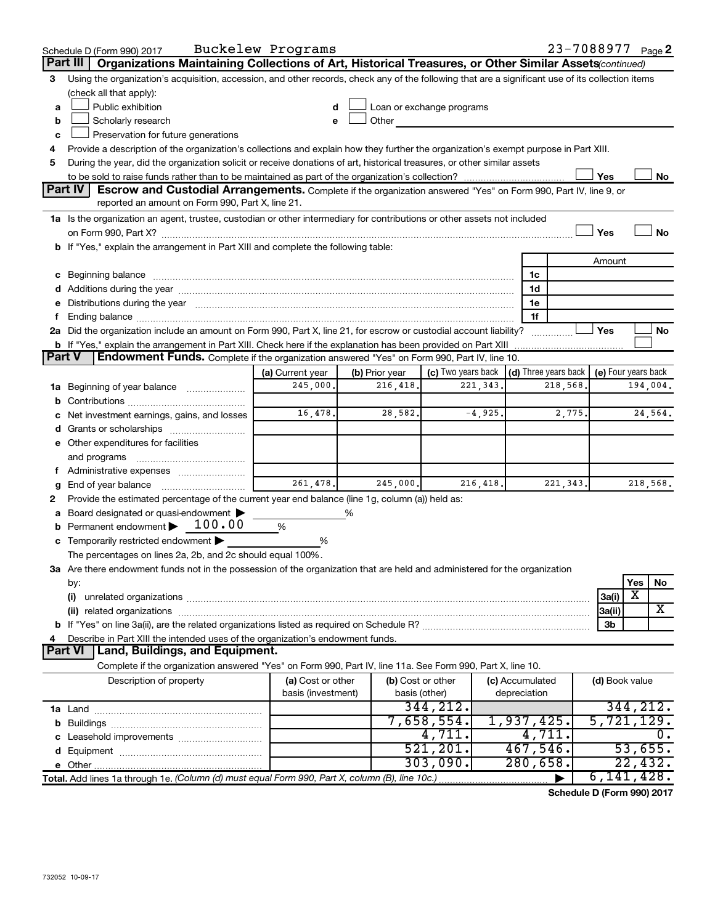|               | Schedule D (Form 990) 2017                                                                                                                                                                                                     | Buckelew Programs                       |                                    |                           |                                      | 23-7088977 Page 2 |                     |          |         |
|---------------|--------------------------------------------------------------------------------------------------------------------------------------------------------------------------------------------------------------------------------|-----------------------------------------|------------------------------------|---------------------------|--------------------------------------|-------------------|---------------------|----------|---------|
|               | Part III<br>Organizations Maintaining Collections of Art, Historical Treasures, or Other Similar Assets (continued)                                                                                                            |                                         |                                    |                           |                                      |                   |                     |          |         |
| 3             | Using the organization's acquisition, accession, and other records, check any of the following that are a significant use of its collection items                                                                              |                                         |                                    |                           |                                      |                   |                     |          |         |
|               | (check all that apply):                                                                                                                                                                                                        |                                         |                                    |                           |                                      |                   |                     |          |         |
| a             | Public exhibition                                                                                                                                                                                                              |                                         |                                    | Loan or exchange programs |                                      |                   |                     |          |         |
| b             | Scholarly research                                                                                                                                                                                                             | e                                       | Other                              |                           |                                      |                   |                     |          |         |
| c             | Preservation for future generations                                                                                                                                                                                            |                                         |                                    |                           |                                      |                   |                     |          |         |
| 4             | Provide a description of the organization's collections and explain how they further the organization's exempt purpose in Part XIII.                                                                                           |                                         |                                    |                           |                                      |                   |                     |          |         |
| 5             | During the year, did the organization solicit or receive donations of art, historical treasures, or other similar assets                                                                                                       |                                         |                                    |                           |                                      |                   |                     |          |         |
|               |                                                                                                                                                                                                                                |                                         |                                    |                           |                                      |                   | Yes                 |          | No      |
|               | <b>Part IV</b><br>Escrow and Custodial Arrangements. Complete if the organization answered "Yes" on Form 990, Part IV, line 9, or                                                                                              |                                         |                                    |                           |                                      |                   |                     |          |         |
|               | reported an amount on Form 990, Part X, line 21.                                                                                                                                                                               |                                         |                                    |                           |                                      |                   |                     |          |         |
|               | 1a Is the organization an agent, trustee, custodian or other intermediary for contributions or other assets not included                                                                                                       |                                         |                                    |                           |                                      |                   |                     |          |         |
|               | on Form 990, Part X? <b>Process Constructs Constructs Constructs</b> Constructs Construct Constructs Constructs Const                                                                                                          |                                         |                                    |                           |                                      |                   | Yes                 |          | No      |
|               | b If "Yes," explain the arrangement in Part XIII and complete the following table:                                                                                                                                             |                                         |                                    |                           |                                      |                   |                     |          |         |
|               |                                                                                                                                                                                                                                |                                         |                                    |                           |                                      |                   | Amount              |          |         |
|               |                                                                                                                                                                                                                                |                                         |                                    |                           | 1c                                   |                   |                     |          |         |
|               |                                                                                                                                                                                                                                |                                         |                                    |                           | 1d                                   |                   |                     |          |         |
|               | e Distributions during the year manufactured and continuum and contact the year manufactured and contact the year manufactured and contact the year manufactured and contact the year manufactured and contact the year manufa |                                         |                                    |                           | 1е                                   |                   |                     |          |         |
|               |                                                                                                                                                                                                                                |                                         |                                    |                           | 1f                                   |                   | Yes                 |          |         |
|               | 2a Did the organization include an amount on Form 990, Part X, line 21, for escrow or custodial account liability?                                                                                                             |                                         |                                    |                           |                                      |                   |                     |          | No      |
| <b>Part V</b> | <b>b</b> If "Yes," explain the arrangement in Part XIII. Check here if the explanation has been provided on Part XIII<br>Endowment Funds. Complete if the organization answered "Yes" on Form 990, Part IV, line 10.           |                                         |                                    |                           |                                      |                   |                     |          |         |
|               |                                                                                                                                                                                                                                | (a) Current year                        | (b) Prior year                     | (c) Two years back        | $\vert$ (d) Three years back $\vert$ |                   | (e) Four years back |          |         |
|               | 1a Beginning of year balance                                                                                                                                                                                                   | 245,000.                                | 216,418.                           | 221, 343.                 |                                      | 218,568.          |                     | 194,004. |         |
|               |                                                                                                                                                                                                                                |                                         |                                    |                           |                                      |                   |                     |          |         |
|               | Net investment earnings, gains, and losses                                                                                                                                                                                     | 16,478.                                 | 28,582.                            | $-4,925.$                 |                                      | 2,775.            |                     |          | 24,564. |
|               |                                                                                                                                                                                                                                |                                         |                                    |                           |                                      |                   |                     |          |         |
|               | e Other expenditures for facilities                                                                                                                                                                                            |                                         |                                    |                           |                                      |                   |                     |          |         |
|               | and programs                                                                                                                                                                                                                   |                                         |                                    |                           |                                      |                   |                     |          |         |
|               |                                                                                                                                                                                                                                |                                         |                                    |                           |                                      |                   |                     |          |         |
|               | End of year balance                                                                                                                                                                                                            | 261.478.                                | 245,000.                           | 216,418.                  |                                      | 221, 343.         |                     | 218,568. |         |
| 2             | Provide the estimated percentage of the current year end balance (line 1g, column (a)) held as:                                                                                                                                |                                         |                                    |                           |                                      |                   |                     |          |         |
|               | Board designated or quasi-endowment                                                                                                                                                                                            |                                         | %                                  |                           |                                      |                   |                     |          |         |
|               | Permanent endowment $\blacktriangleright$ 100.00                                                                                                                                                                               | %                                       |                                    |                           |                                      |                   |                     |          |         |
|               | Temporarily restricted endowment                                                                                                                                                                                               | %                                       |                                    |                           |                                      |                   |                     |          |         |
|               | The percentages on lines 2a, 2b, and 2c should equal 100%.                                                                                                                                                                     |                                         |                                    |                           |                                      |                   |                     |          |         |
|               | 3a Are there endowment funds not in the possession of the organization that are held and administered for the organization                                                                                                     |                                         |                                    |                           |                                      |                   |                     |          |         |
|               | by:                                                                                                                                                                                                                            |                                         |                                    |                           |                                      |                   |                     | Yes      | No      |
|               | (i)                                                                                                                                                                                                                            |                                         |                                    |                           |                                      |                   | 3a(i)               | х        |         |
|               | (ii) related organizations                                                                                                                                                                                                     |                                         |                                    |                           |                                      |                   | 3a(ii)              |          | х       |
|               |                                                                                                                                                                                                                                |                                         |                                    |                           |                                      |                   | 3b                  |          |         |
|               | Describe in Part XIII the intended uses of the organization's endowment funds.                                                                                                                                                 |                                         |                                    |                           |                                      |                   |                     |          |         |
|               | Land, Buildings, and Equipment.<br>Part VI                                                                                                                                                                                     |                                         |                                    |                           |                                      |                   |                     |          |         |
|               | Complete if the organization answered "Yes" on Form 990, Part IV, line 11a. See Form 990, Part X, line 10.                                                                                                                     |                                         |                                    |                           |                                      |                   |                     |          |         |
|               | Description of property                                                                                                                                                                                                        | (a) Cost or other<br>basis (investment) | (b) Cost or other<br>basis (other) |                           | (c) Accumulated<br>depreciation      |                   | (d) Book value      |          |         |
|               |                                                                                                                                                                                                                                |                                         |                                    | 344,212.                  |                                      |                   | 344, 212.           |          |         |
|               |                                                                                                                                                                                                                                |                                         |                                    | 7,658,554.                | 1,937,425.                           |                   | 5,721,129.          |          |         |
|               |                                                                                                                                                                                                                                |                                         |                                    | 4,711.                    | 4,711.                               |                   |                     |          | ο.      |
|               |                                                                                                                                                                                                                                |                                         |                                    | 521, 201.                 | 467,546.                             |                   |                     | 53,655.  |         |
|               |                                                                                                                                                                                                                                |                                         |                                    | 303,090.                  | 280,658.                             |                   |                     | 22,432.  |         |
|               | Total. Add lines 1a through 1e. (Column (d) must equal Form 990, Part X, column (B), line 10c.)                                                                                                                                |                                         |                                    |                           |                                      |                   | 6, 141, 428.        |          |         |

**Schedule D (Form 990) 2017**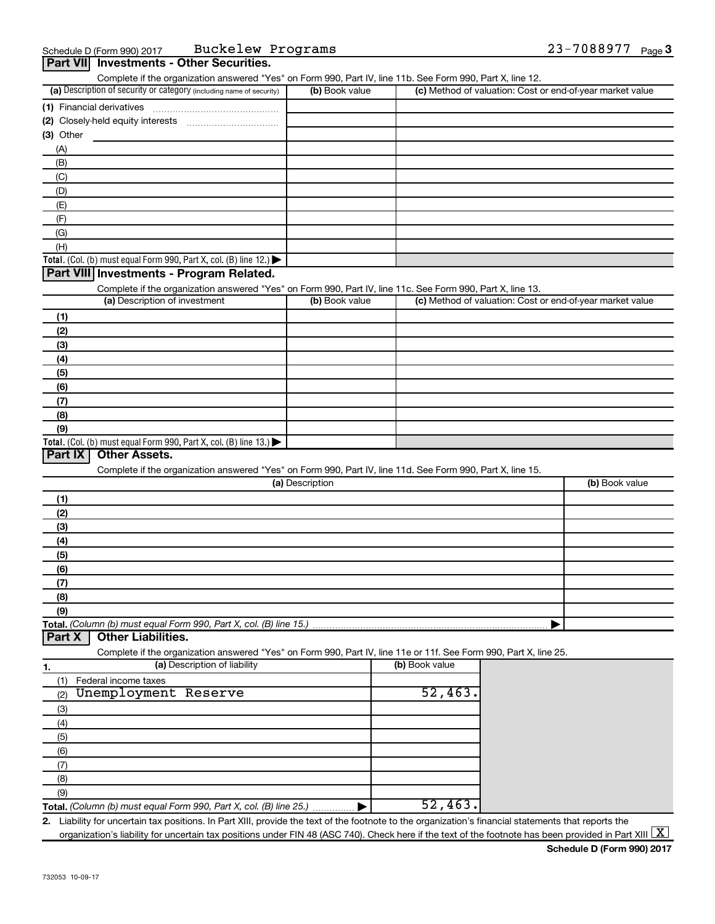| Part VII Investments - Other Securities.<br>Complete if the organization answered "Yes" on Form 990, Part IV, line 11b. See Form 990, Part X, line 12. |                 |                |                                                           |
|--------------------------------------------------------------------------------------------------------------------------------------------------------|-----------------|----------------|-----------------------------------------------------------|
| (a) Description of security or category (including name of security)                                                                                   | (b) Book value  |                | (c) Method of valuation: Cost or end-of-year market value |
| (1) Financial derivatives                                                                                                                              |                 |                |                                                           |
|                                                                                                                                                        |                 |                |                                                           |
| $(3)$ Other                                                                                                                                            |                 |                |                                                           |
| (A)                                                                                                                                                    |                 |                |                                                           |
| (B)                                                                                                                                                    |                 |                |                                                           |
| (C)                                                                                                                                                    |                 |                |                                                           |
| (D)                                                                                                                                                    |                 |                |                                                           |
| (E)                                                                                                                                                    |                 |                |                                                           |
| (F)                                                                                                                                                    |                 |                |                                                           |
| (G)                                                                                                                                                    |                 |                |                                                           |
| (H)                                                                                                                                                    |                 |                |                                                           |
| Total. (Col. (b) must equal Form 990, Part X, col. (B) line 12.) $\blacktriangleright$                                                                 |                 |                |                                                           |
| Part VIII Investments - Program Related.                                                                                                               |                 |                |                                                           |
| Complete if the organization answered "Yes" on Form 990, Part IV, line 11c. See Form 990, Part X, line 13.                                             |                 |                |                                                           |
| (a) Description of investment                                                                                                                          | (b) Book value  |                | (c) Method of valuation: Cost or end-of-year market value |
| (1)                                                                                                                                                    |                 |                |                                                           |
| (2)                                                                                                                                                    |                 |                |                                                           |
| (3)                                                                                                                                                    |                 |                |                                                           |
| (4)                                                                                                                                                    |                 |                |                                                           |
| (5)                                                                                                                                                    |                 |                |                                                           |
| (6)                                                                                                                                                    |                 |                |                                                           |
| (7)                                                                                                                                                    |                 |                |                                                           |
| (8)                                                                                                                                                    |                 |                |                                                           |
| (9)                                                                                                                                                    |                 |                |                                                           |
| Total. (Col. (b) must equal Form 990, Part X, col. (B) line 13.) $\blacktriangleright$                                                                 |                 |                |                                                           |
| Part IX<br><b>Other Assets.</b>                                                                                                                        |                 |                |                                                           |
| Complete if the organization answered "Yes" on Form 990, Part IV, line 11d. See Form 990, Part X, line 15.                                             | (a) Description |                | (b) Book value                                            |
|                                                                                                                                                        |                 |                |                                                           |
| (1)                                                                                                                                                    |                 |                |                                                           |
| (2)                                                                                                                                                    |                 |                |                                                           |
| (3)                                                                                                                                                    |                 |                |                                                           |
| (4)                                                                                                                                                    |                 |                |                                                           |
| (5)                                                                                                                                                    |                 |                |                                                           |
| (6)                                                                                                                                                    |                 |                |                                                           |
| (7)                                                                                                                                                    |                 |                |                                                           |
| (8)                                                                                                                                                    |                 |                |                                                           |
| (9)                                                                                                                                                    |                 |                |                                                           |
| Total. (Column (b) must equal Form 990, Part X, col. (B) line 15.)<br><b>Other Liabilities.</b><br>Part X                                              |                 |                |                                                           |
|                                                                                                                                                        |                 |                |                                                           |
| Complete if the organization answered "Yes" on Form 990, Part IV, line 11e or 11f. See Form 990, Part X, line 25.<br>(a) Description of liability      |                 | (b) Book value |                                                           |
| 1.                                                                                                                                                     |                 |                |                                                           |
| Federal income taxes<br>(1)<br>Unemployment Reserve                                                                                                    |                 | 52,463.        |                                                           |
| (2)                                                                                                                                                    |                 |                |                                                           |
| (3)                                                                                                                                                    |                 |                |                                                           |
|                                                                                                                                                        |                 |                |                                                           |
| (4)                                                                                                                                                    |                 |                |                                                           |
| (5)                                                                                                                                                    |                 |                |                                                           |
| (6)                                                                                                                                                    |                 |                |                                                           |
| (7)                                                                                                                                                    |                 |                |                                                           |
| (8)                                                                                                                                                    |                 |                |                                                           |
| (9)<br>Total. (Column (b) must equal Form 990, Part X, col. (B) line 25.)                                                                              |                 | 52,463.        |                                                           |

organization's liability for uncertain tax positions under FIN 48 (ASC 740). Check here if the text of the footnote has been provided in Part XIII  $\boxed{\text{X}}$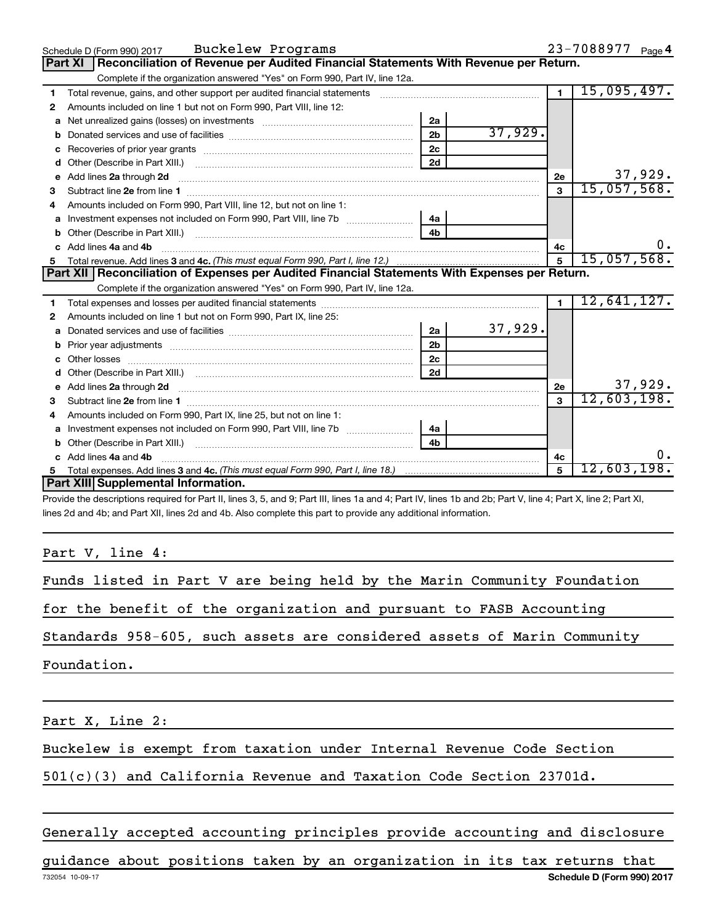|   | Buckelew Programs<br>Schedule D (Form 990) 2017                                                                                                                                                                                     |                |         |                | 23-7088977 Page 4           |
|---|-------------------------------------------------------------------------------------------------------------------------------------------------------------------------------------------------------------------------------------|----------------|---------|----------------|-----------------------------|
|   | Reconciliation of Revenue per Audited Financial Statements With Revenue per Return.<br><b>Part XI</b>                                                                                                                               |                |         |                |                             |
|   | Complete if the organization answered "Yes" on Form 990, Part IV, line 12a.                                                                                                                                                         |                |         |                |                             |
| 1 | Total revenue, gains, and other support per audited financial statements [[[[[[[[[[[[[[[[[[[[[[[]]]]]]]]]]]]]                                                                                                                       |                |         | $\blacksquare$ | 15,095,497.                 |
| 2 | Amounts included on line 1 but not on Form 990, Part VIII, line 12:                                                                                                                                                                 |                |         |                |                             |
| a |                                                                                                                                                                                                                                     | 2a             |         |                |                             |
| b |                                                                                                                                                                                                                                     | 2 <sub>b</sub> | 37,929. |                |                             |
| C |                                                                                                                                                                                                                                     | 2c             |         |                |                             |
| d |                                                                                                                                                                                                                                     | 2d             |         |                |                             |
| е |                                                                                                                                                                                                                                     |                |         | 2е             | 37,929.                     |
| з |                                                                                                                                                                                                                                     |                |         | $\mathbf{a}$   | 15,057,568.                 |
|   | Amounts included on Form 990, Part VIII, line 12, but not on line 1:                                                                                                                                                                |                |         |                |                             |
| a | Investment expenses not included on Form 990, Part VIII, line 7b [100] [100] [100] [100] [100] [100] [100] [10                                                                                                                      | 4a             |         |                |                             |
| b |                                                                                                                                                                                                                                     | 4 <sub>h</sub> |         |                |                             |
|   | Add lines 4a and 4b                                                                                                                                                                                                                 |                |         | 4c             |                             |
|   |                                                                                                                                                                                                                                     |                |         | $5^{\circ}$    | 15,057,568.                 |
| 5 |                                                                                                                                                                                                                                     |                |         |                |                             |
|   | Part XII   Reconciliation of Expenses per Audited Financial Statements With Expenses per Return.                                                                                                                                    |                |         |                |                             |
|   | Complete if the organization answered "Yes" on Form 990, Part IV, line 12a.                                                                                                                                                         |                |         |                |                             |
| 1 |                                                                                                                                                                                                                                     |                |         | $\blacksquare$ | 12,641,127.                 |
| 2 | Amounts included on line 1 but not on Form 990, Part IX, line 25:                                                                                                                                                                   |                |         |                |                             |
| a |                                                                                                                                                                                                                                     | 2a             | 37,929. |                |                             |
|   |                                                                                                                                                                                                                                     | 2 <sub>b</sub> |         |                |                             |
| с |                                                                                                                                                                                                                                     | 2 <sub>c</sub> |         |                |                             |
| d |                                                                                                                                                                                                                                     | 2d             |         |                |                             |
| е | Add lines 2a through 2d <b>contained a contained a contained a contained a</b> contained a contained a contained a contained a contained a contained a contained a contained a contained a contained a contained a contained a cont |                |         | 2e             |                             |
| 3 | Subtract line 2e from line 1 <b>Manual Community of the Community of the Community Community</b> Subtract line 2e from line 1                                                                                                       |                |         |                | $\frac{37,929}{12,603,198}$ |
| 4 | Amounts included on Form 990, Part IX, line 25, but not on line 1:                                                                                                                                                                  |                |         |                |                             |
| а |                                                                                                                                                                                                                                     | 4a             |         |                |                             |
| b |                                                                                                                                                                                                                                     | 4 <sub>h</sub> |         |                |                             |
|   | Add lines 4a and 4b                                                                                                                                                                                                                 |                |         | 4c             |                             |
|   | Part XIII Supplemental Information.                                                                                                                                                                                                 |                |         | $\mathbf{5}$   | 12,603,198.                 |

Provide the descriptions required for Part II, lines 3, 5, and 9; Part III, lines 1a and 4; Part IV, lines 1b and 2b; Part V, line 4; Part X, line 2; Part XI, lines 2d and 4b; and Part XII, lines 2d and 4b. Also complete this part to provide any additional information.

Part V, line 4:

Funds listed in Part V are being held by the Marin Community Foundation

for the benefit of the organization and pursuant to FASB Accounting

Standards 958-605, such assets are considered assets of Marin Community

Foundation.

Part X, Line 2:

Buckelew is exempt from taxation under Internal Revenue Code Section

501(c)(3) and California Revenue and Taxation Code Section 23701d.

Generally accepted accounting principles provide accounting and disclosure

732054 10-09-17 **Schedule D (Form 990) 2017** guidance about positions taken by an organization in its tax returns that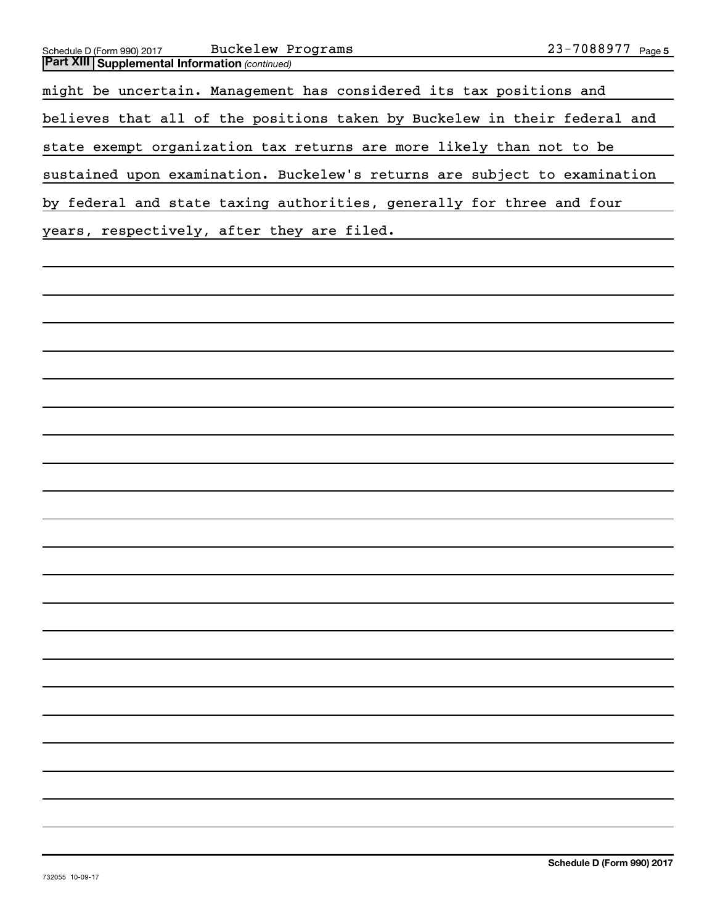| Schedule D (Form 990) 2017                            | <b>Buckelew Programs</b>                                                  | 23-7088977 Page 5 |  |  |  |  |
|-------------------------------------------------------|---------------------------------------------------------------------------|-------------------|--|--|--|--|
| <b>Part XIII Supplemental Information (continued)</b> |                                                                           |                   |  |  |  |  |
|                                                       | might be uncertain. Management has considered its tax positions and       |                   |  |  |  |  |
|                                                       | believes that all of the positions taken by Buckelew in their federal and |                   |  |  |  |  |
|                                                       | state exempt organization tax returns are more likely than not to be      |                   |  |  |  |  |
|                                                       | sustained upon examination. Buckelew's returns are subject to examination |                   |  |  |  |  |
|                                                       | by federal and state taxing authorities, generally for three and four     |                   |  |  |  |  |
| years, respectively, after they are filed.            |                                                                           |                   |  |  |  |  |
|                                                       |                                                                           |                   |  |  |  |  |
|                                                       |                                                                           |                   |  |  |  |  |
|                                                       |                                                                           |                   |  |  |  |  |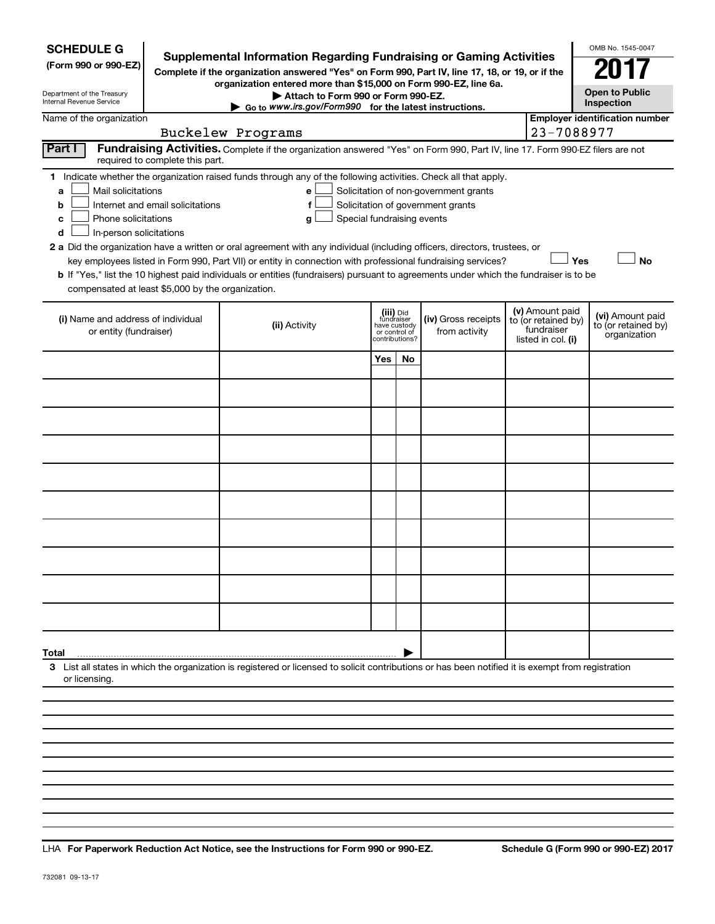| <b>SCHEDULE G</b><br>(Form 990 or 990-EZ)<br>Department of the Treasury<br>Internal Revenue Service                                           |                                  | <b>Supplemental Information Regarding Fundraising or Gaming Activities</b><br>Complete if the organization answered "Yes" on Form 990, Part IV, line 17, 18, or 19, or if the<br>organization entered more than \$15,000 on Form 990-EZ, line 6a.<br>Attach to Form 990 or Form 990-EZ.<br>Go to www.irs.gov/Form990 for the latest instructions.                                                                                                                                                                            |                            |                                                           |                                                                            |                                                                            | OMB No. 1545-0047<br><b>Open to Public</b><br>Inspection |
|-----------------------------------------------------------------------------------------------------------------------------------------------|----------------------------------|------------------------------------------------------------------------------------------------------------------------------------------------------------------------------------------------------------------------------------------------------------------------------------------------------------------------------------------------------------------------------------------------------------------------------------------------------------------------------------------------------------------------------|----------------------------|-----------------------------------------------------------|----------------------------------------------------------------------------|----------------------------------------------------------------------------|----------------------------------------------------------|
| Name of the organization                                                                                                                      |                                  |                                                                                                                                                                                                                                                                                                                                                                                                                                                                                                                              |                            |                                                           |                                                                            |                                                                            | <b>Employer identification number</b>                    |
|                                                                                                                                               |                                  | Buckelew Programs                                                                                                                                                                                                                                                                                                                                                                                                                                                                                                            |                            |                                                           |                                                                            | 23-7088977                                                                 |                                                          |
| Part I                                                                                                                                        | required to complete this part.  | Fundraising Activities. Complete if the organization answered "Yes" on Form 990, Part IV, line 17. Form 990-EZ filers are not                                                                                                                                                                                                                                                                                                                                                                                                |                            |                                                           |                                                                            |                                                                            |                                                          |
| Mail solicitations<br>a<br>b<br>Phone solicitations<br>с<br>In-person solicitations<br>d<br>compensated at least \$5,000 by the organization. | Internet and email solicitations | 1 Indicate whether the organization raised funds through any of the following activities. Check all that apply.<br>e.<br>f<br>g<br>2 a Did the organization have a written or oral agreement with any individual (including officers, directors, trustees, or<br>key employees listed in Form 990, Part VII) or entity in connection with professional fundraising services?<br><b>b</b> If "Yes," list the 10 highest paid individuals or entities (fundraisers) pursuant to agreements under which the fundraiser is to be | Special fundraising events |                                                           | Solicitation of non-government grants<br>Solicitation of government grants |                                                                            | Yes<br><b>No</b>                                         |
| (i) Name and address of individual<br>or entity (fundraiser)                                                                                  |                                  | (ii) Activity                                                                                                                                                                                                                                                                                                                                                                                                                                                                                                                | or control of              | (iii) Did<br>fundraiser<br>have custody<br>contributions? | (iv) Gross receipts<br>from activity                                       | (v) Amount paid<br>to (or retained by)<br>fundraiser<br>listed in col. (i) | (vi) Amount paid<br>to (or retained by)<br>organization  |
|                                                                                                                                               |                                  |                                                                                                                                                                                                                                                                                                                                                                                                                                                                                                                              | Yes                        | No                                                        |                                                                            |                                                                            |                                                          |
|                                                                                                                                               |                                  |                                                                                                                                                                                                                                                                                                                                                                                                                                                                                                                              |                            |                                                           |                                                                            |                                                                            |                                                          |
|                                                                                                                                               |                                  |                                                                                                                                                                                                                                                                                                                                                                                                                                                                                                                              |                            |                                                           |                                                                            |                                                                            |                                                          |
|                                                                                                                                               |                                  |                                                                                                                                                                                                                                                                                                                                                                                                                                                                                                                              |                            |                                                           |                                                                            |                                                                            |                                                          |
|                                                                                                                                               |                                  |                                                                                                                                                                                                                                                                                                                                                                                                                                                                                                                              |                            |                                                           |                                                                            |                                                                            |                                                          |
|                                                                                                                                               |                                  |                                                                                                                                                                                                                                                                                                                                                                                                                                                                                                                              |                            |                                                           |                                                                            |                                                                            |                                                          |
|                                                                                                                                               |                                  |                                                                                                                                                                                                                                                                                                                                                                                                                                                                                                                              |                            |                                                           |                                                                            |                                                                            |                                                          |
|                                                                                                                                               |                                  |                                                                                                                                                                                                                                                                                                                                                                                                                                                                                                                              |                            |                                                           |                                                                            |                                                                            |                                                          |
|                                                                                                                                               |                                  |                                                                                                                                                                                                                                                                                                                                                                                                                                                                                                                              |                            |                                                           |                                                                            |                                                                            |                                                          |
|                                                                                                                                               |                                  |                                                                                                                                                                                                                                                                                                                                                                                                                                                                                                                              |                            |                                                           |                                                                            |                                                                            |                                                          |
| Total                                                                                                                                         |                                  |                                                                                                                                                                                                                                                                                                                                                                                                                                                                                                                              |                            |                                                           |                                                                            |                                                                            |                                                          |
| or licensing.                                                                                                                                 |                                  | 3 List all states in which the organization is registered or licensed to solicit contributions or has been notified it is exempt from registration                                                                                                                                                                                                                                                                                                                                                                           |                            |                                                           |                                                                            |                                                                            |                                                          |
|                                                                                                                                               |                                  |                                                                                                                                                                                                                                                                                                                                                                                                                                                                                                                              |                            |                                                           |                                                                            |                                                                            |                                                          |
|                                                                                                                                               |                                  |                                                                                                                                                                                                                                                                                                                                                                                                                                                                                                                              |                            |                                                           |                                                                            |                                                                            |                                                          |

**For Paperwork Reduction Act Notice, see the Instructions for Form 990 or 990-EZ. Schedule G (Form 990 or 990-EZ) 2017** LHA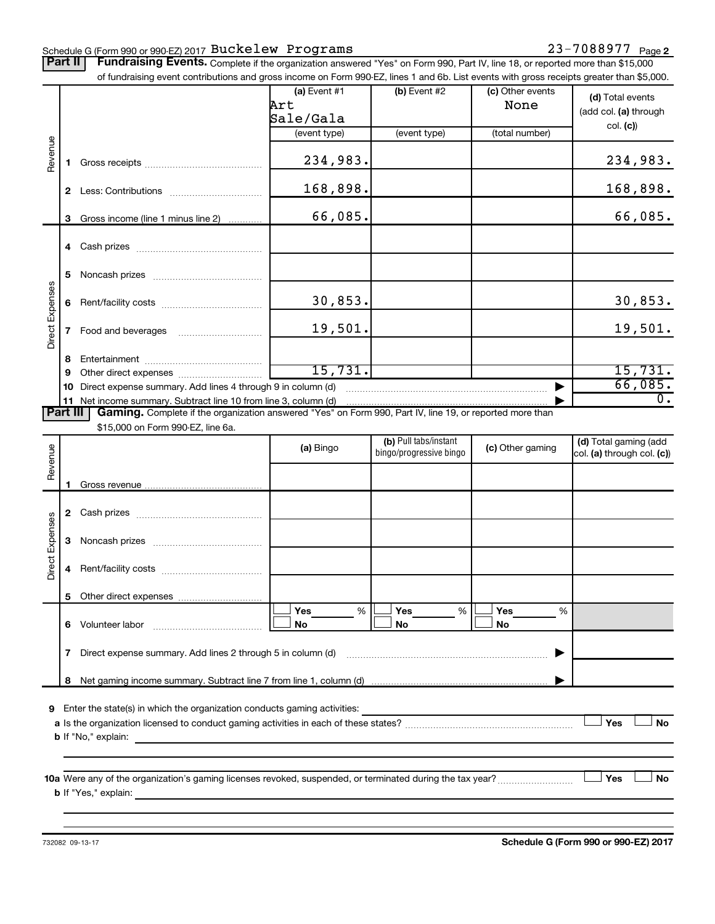#### Schedule G (Form 990 or 990-EZ) 2017 BUCKellew Programs National Mexico Material Mexico Additional Mexico Additional Mexico Additional Mexico Additional Mexico Additional Mexico Additional Mexico Mexico Additional Mexico A Buckelew Programs 23-7088977

Part II | Fundraising Events. Complete if the organization answered "Yes" on Form 990, Part IV, line 18, or reported more than \$15,000 of the fundations on the group of the gross income on Form 1 and 6 and 6 and 6 and 6 and 6 and 6 and 6 and 6 a<br>In the grows receipts with groups and that in the form of the switch greater than \$5,000. List with greater tha

|                 |    | of fundraising event contributions and gross income on Form 990-EZ, lines 1 and 6b. List events with gross receipts greater than \$5,000. |                       |                         |                          |                            |
|-----------------|----|-------------------------------------------------------------------------------------------------------------------------------------------|-----------------------|-------------------------|--------------------------|----------------------------|
|                 |    |                                                                                                                                           | (a) Event $#1$<br>Art | $(b)$ Event #2          | (c) Other events<br>None | (d) Total events           |
|                 |    |                                                                                                                                           | Sale/Gala             |                         |                          | (add col. (a) through      |
|                 |    |                                                                                                                                           | (event type)          | (event type)            | (total number)           | col. (c)                   |
|                 |    |                                                                                                                                           |                       |                         |                          |                            |
| Revenue         | 1. |                                                                                                                                           | 234,983.              |                         |                          | 234,983.                   |
|                 |    |                                                                                                                                           | 168,898.              |                         |                          | 168,898.                   |
|                 | 3  | Gross income (line 1 minus line 2)                                                                                                        | 66,085.               |                         |                          | 66,085.                    |
|                 |    |                                                                                                                                           |                       |                         |                          |                            |
|                 |    |                                                                                                                                           |                       |                         |                          |                            |
|                 |    |                                                                                                                                           |                       |                         |                          |                            |
|                 | 5  |                                                                                                                                           |                       |                         |                          |                            |
| Direct Expenses |    |                                                                                                                                           |                       |                         |                          |                            |
|                 | 6  |                                                                                                                                           | 30,853.               |                         |                          | 30,853.                    |
|                 |    |                                                                                                                                           | 19,501.               |                         |                          | 19,501.                    |
|                 | 7  | Food and beverages                                                                                                                        |                       |                         |                          |                            |
|                 | 8  |                                                                                                                                           |                       |                         |                          |                            |
|                 | 9  |                                                                                                                                           | 15,731.               |                         |                          | 15,731.                    |
|                 | 10 | Direct expense summary. Add lines 4 through 9 in column (d)                                                                               |                       |                         |                          | 66,085.                    |
|                 |    | 11 Net income summary. Subtract line 10 from line 3, column (d)                                                                           |                       |                         |                          | $\overline{0}$ .           |
| <b>Part III</b> |    | Gaming. Complete if the organization answered "Yes" on Form 990, Part IV, line 19, or reported more than                                  |                       |                         |                          |                            |
|                 |    | \$15,000 on Form 990-EZ, line 6a.                                                                                                         |                       |                         |                          |                            |
|                 |    |                                                                                                                                           |                       | (b) Pull tabs/instant   |                          | (d) Total gaming (add      |
| Revenue         |    |                                                                                                                                           | (a) Bingo             | bingo/progressive bingo | (c) Other gaming         | col. (a) through col. (c)) |
|                 |    |                                                                                                                                           |                       |                         |                          |                            |
|                 | 1  |                                                                                                                                           |                       |                         |                          |                            |
|                 |    |                                                                                                                                           |                       |                         |                          |                            |
|                 |    |                                                                                                                                           |                       |                         |                          |                            |
|                 |    |                                                                                                                                           |                       |                         |                          |                            |
|                 | 3  |                                                                                                                                           |                       |                         |                          |                            |
| Direct Expenses | 4  |                                                                                                                                           |                       |                         |                          |                            |
|                 |    |                                                                                                                                           |                       |                         |                          |                            |
|                 |    | 5 Other direct expenses                                                                                                                   |                       |                         |                          |                            |
|                 |    |                                                                                                                                           | %<br>Yes              | Yes<br>$\%$             | Yes<br>%                 |                            |
|                 |    | 6 Volunteer labor                                                                                                                         | No                    | No                      | No                       |                            |
|                 |    |                                                                                                                                           |                       |                         |                          |                            |
|                 | 7  | Direct expense summary. Add lines 2 through 5 in column (d)                                                                               |                       |                         |                          |                            |
|                 |    |                                                                                                                                           |                       |                         |                          |                            |
|                 |    |                                                                                                                                           |                       |                         |                          |                            |
|                 |    | <b>9</b> Enter the state(s) in which the organization conducts gaming activities:                                                         |                       |                         |                          |                            |
|                 |    |                                                                                                                                           |                       |                         |                          | Yes<br><b>No</b>           |
|                 |    |                                                                                                                                           |                       |                         |                          |                            |
|                 |    |                                                                                                                                           |                       |                         |                          |                            |
|                 |    |                                                                                                                                           |                       |                         |                          |                            |
|                 |    |                                                                                                                                           |                       |                         |                          | Yes<br>No                  |
|                 |    |                                                                                                                                           |                       |                         |                          |                            |
|                 |    |                                                                                                                                           |                       |                         |                          |                            |
|                 |    |                                                                                                                                           |                       |                         |                          |                            |

732082 09-13-17

**Schedule G (Form 990 or 990-EZ) 2017**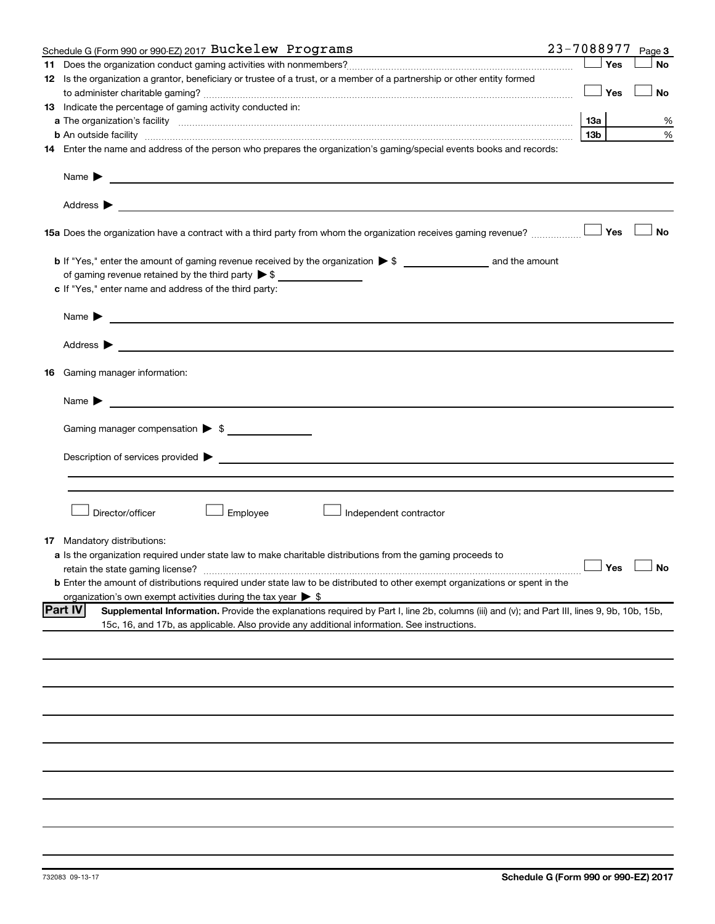|    | Schedule G (Form 990 or 990-EZ) 2017 Buckelew Programs                                                                                                                                                                                                                | 23-7088977 |     |     | Page 3               |
|----|-----------------------------------------------------------------------------------------------------------------------------------------------------------------------------------------------------------------------------------------------------------------------|------------|-----|-----|----------------------|
|    |                                                                                                                                                                                                                                                                       |            |     | Yes | <b>No</b>            |
|    | 12 Is the organization a grantor, beneficiary or trustee of a trust, or a member of a partnership or other entity formed                                                                                                                                              |            |     |     |                      |
|    |                                                                                                                                                                                                                                                                       |            |     | Yes | <b>No</b>            |
|    | 13 Indicate the percentage of gaming activity conducted in:                                                                                                                                                                                                           |            |     |     |                      |
|    |                                                                                                                                                                                                                                                                       |            | 1За |     | %                    |
|    | <b>b</b> An outside facility <i>www.communicality www.communicality.communicality www.communicality www.communicality.communicality www.communicality.com</i>                                                                                                         |            | 13b |     | %                    |
|    | 14 Enter the name and address of the person who prepares the organization's gaming/special events books and records:                                                                                                                                                  |            |     |     |                      |
|    |                                                                                                                                                                                                                                                                       |            |     |     |                      |
|    | Name $\blacktriangleright$<br><u>and the control of the control of the control of the control of the control of the control of</u>                                                                                                                                    |            |     |     |                      |
|    | Address $\blacktriangleright$<br><u>and the contract of the contract of the contract of the contract of the contract of the contract of the contract of</u>                                                                                                           |            |     |     |                      |
|    | <b>15a</b> Does the organization have a contract with a third party from whom the organization receives gaming revenue? $\ldots$                                                                                                                                      |            |     |     | <b>No</b>            |
|    |                                                                                                                                                                                                                                                                       |            |     |     |                      |
|    |                                                                                                                                                                                                                                                                       |            |     |     |                      |
|    | c If "Yes," enter name and address of the third party:                                                                                                                                                                                                                |            |     |     |                      |
|    | Name $\blacktriangleright$<br><u>and the contract of the contract of the contract of the contract of the contract of the contract of the contract of</u>                                                                                                              |            |     |     |                      |
|    |                                                                                                                                                                                                                                                                       |            |     |     |                      |
|    | Address $\blacktriangleright$<br><u>and the state of the state of the state of the state of the state of the state of the state of the state of the state of the state of the state of the state of the state of the state of the state of the state of the state</u> |            |     |     |                      |
| 16 | Gaming manager information:                                                                                                                                                                                                                                           |            |     |     |                      |
|    | <u> 1989 - Johann Barbara, martin amerikan basal dan berasal dan berasal dalam basal dalam basal dan berasal dala</u><br>Name $\blacktriangleright$                                                                                                                   |            |     |     |                      |
|    | Gaming manager compensation > \$                                                                                                                                                                                                                                      |            |     |     |                      |
|    |                                                                                                                                                                                                                                                                       |            |     |     |                      |
|    |                                                                                                                                                                                                                                                                       |            |     |     |                      |
|    |                                                                                                                                                                                                                                                                       |            |     |     |                      |
|    |                                                                                                                                                                                                                                                                       |            |     |     |                      |
|    | Director/officer<br>Employee<br>Independent contractor                                                                                                                                                                                                                |            |     |     |                      |
| 17 | Mandatory distributions:                                                                                                                                                                                                                                              |            |     |     |                      |
|    | a Is the organization required under state law to make charitable distributions from the gaming proceeds to                                                                                                                                                           |            |     |     |                      |
|    | retain the state gaming license?                                                                                                                                                                                                                                      |            |     |     | $\Box$ Yes $\Box$ No |
|    | <b>b</b> Enter the amount of distributions required under state law to be distributed to other exempt organizations or spent in the                                                                                                                                   |            |     |     |                      |
|    | organization's own exempt activities during the tax year $\triangleright$ \$                                                                                                                                                                                          |            |     |     |                      |
|    | <b>Part IV</b><br>Supplemental Information. Provide the explanations required by Part I, line 2b, columns (iii) and (v); and Part III, lines 9, 9b, 10b, 15b,                                                                                                         |            |     |     |                      |
|    | 15c, 16, and 17b, as applicable. Also provide any additional information. See instructions.                                                                                                                                                                           |            |     |     |                      |
|    |                                                                                                                                                                                                                                                                       |            |     |     |                      |
|    |                                                                                                                                                                                                                                                                       |            |     |     |                      |
|    |                                                                                                                                                                                                                                                                       |            |     |     |                      |
|    |                                                                                                                                                                                                                                                                       |            |     |     |                      |
|    |                                                                                                                                                                                                                                                                       |            |     |     |                      |
|    |                                                                                                                                                                                                                                                                       |            |     |     |                      |
|    |                                                                                                                                                                                                                                                                       |            |     |     |                      |
|    |                                                                                                                                                                                                                                                                       |            |     |     |                      |
|    |                                                                                                                                                                                                                                                                       |            |     |     |                      |
|    |                                                                                                                                                                                                                                                                       |            |     |     |                      |
|    |                                                                                                                                                                                                                                                                       |            |     |     |                      |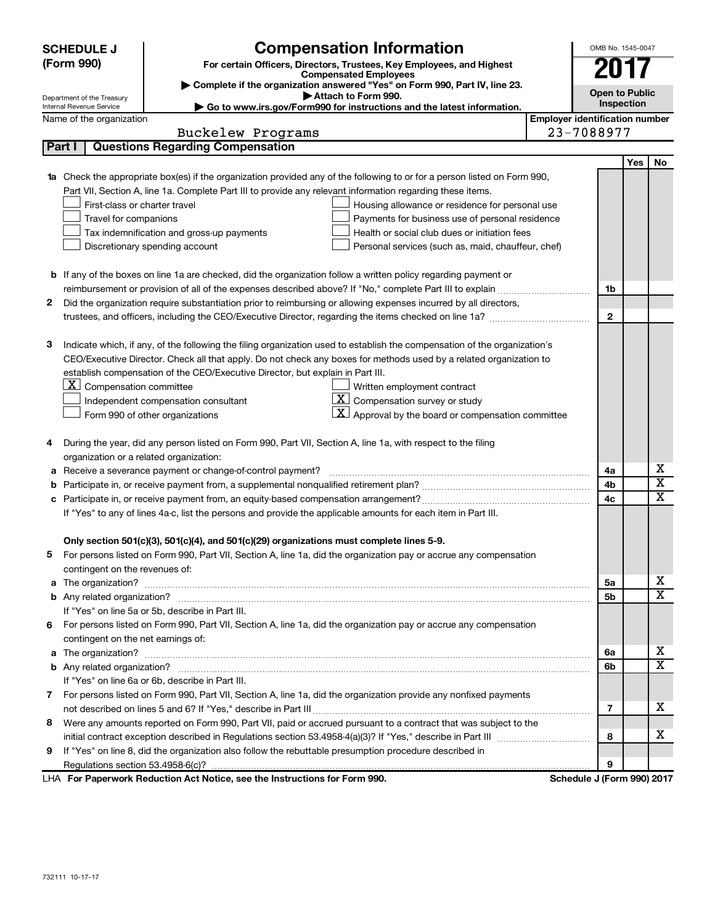|    | <b>Compensation Information</b><br><b>SCHEDULE J</b>                                                                                                                                                                                            |                                       | OMB No. 1545-0047          |     |                         |  |  |
|----|-------------------------------------------------------------------------------------------------------------------------------------------------------------------------------------------------------------------------------------------------|---------------------------------------|----------------------------|-----|-------------------------|--|--|
|    | (Form 990)<br>For certain Officers, Directors, Trustees, Key Employees, and Highest                                                                                                                                                             |                                       |                            |     |                         |  |  |
|    | <b>Compensated Employees</b><br>Complete if the organization answered "Yes" on Form 990, Part IV, line 23.                                                                                                                                      |                                       |                            |     |                         |  |  |
|    | Attach to Form 990.<br>Department of the Treasury                                                                                                                                                                                               |                                       | <b>Open to Public</b>      |     |                         |  |  |
|    | ► Go to www.irs.gov/Form990 for instructions and the latest information.<br>Internal Revenue Service                                                                                                                                            |                                       | Inspection                 |     |                         |  |  |
|    | Name of the organization                                                                                                                                                                                                                        | <b>Employer identification number</b> |                            |     |                         |  |  |
|    | Buckelew Programs                                                                                                                                                                                                                               |                                       | 23-7088977                 |     |                         |  |  |
|    | <b>Questions Regarding Compensation</b><br>Part I                                                                                                                                                                                               |                                       |                            |     |                         |  |  |
|    |                                                                                                                                                                                                                                                 |                                       |                            | Yes | No                      |  |  |
| 1a | Check the appropriate box(es) if the organization provided any of the following to or for a person listed on Form 990,                                                                                                                          |                                       |                            |     |                         |  |  |
|    | Part VII, Section A, line 1a. Complete Part III to provide any relevant information regarding these items.                                                                                                                                      |                                       |                            |     |                         |  |  |
|    | First-class or charter travel<br>Housing allowance or residence for personal use                                                                                                                                                                |                                       |                            |     |                         |  |  |
|    | Travel for companions<br>Payments for business use of personal residence                                                                                                                                                                        |                                       |                            |     |                         |  |  |
|    | Health or social club dues or initiation fees<br>Tax indemnification and gross-up payments                                                                                                                                                      |                                       |                            |     |                         |  |  |
|    | Discretionary spending account<br>Personal services (such as, maid, chauffeur, chef)                                                                                                                                                            |                                       |                            |     |                         |  |  |
|    |                                                                                                                                                                                                                                                 |                                       |                            |     |                         |  |  |
|    | <b>b</b> If any of the boxes on line 1a are checked, did the organization follow a written policy regarding payment or                                                                                                                          |                                       |                            |     |                         |  |  |
|    |                                                                                                                                                                                                                                                 |                                       | 1b                         |     |                         |  |  |
| 2  | Did the organization require substantiation prior to reimbursing or allowing expenses incurred by all directors,                                                                                                                                |                                       |                            |     |                         |  |  |
|    | trustees, and officers, including the CEO/Executive Director, regarding the items checked on line 1a?                                                                                                                                           |                                       | $\mathbf{2}$               |     |                         |  |  |
|    |                                                                                                                                                                                                                                                 |                                       |                            |     |                         |  |  |
| з  | Indicate which, if any, of the following the filing organization used to establish the compensation of the organization's<br>CEO/Executive Director. Check all that apply. Do not check any boxes for methods used by a related organization to |                                       |                            |     |                         |  |  |
|    |                                                                                                                                                                                                                                                 |                                       |                            |     |                         |  |  |
|    | establish compensation of the CEO/Executive Director, but explain in Part III.<br> X                                                                                                                                                            |                                       |                            |     |                         |  |  |
|    | Compensation committee<br>Written employment contract<br>$\boxed{\textbf{X}}$ Compensation survey or study                                                                                                                                      |                                       |                            |     |                         |  |  |
|    | Independent compensation consultant<br>$\mathbf{X}$                                                                                                                                                                                             |                                       |                            |     |                         |  |  |
|    | Approval by the board or compensation committee<br>Form 990 of other organizations                                                                                                                                                              |                                       |                            |     |                         |  |  |
| 4  | During the year, did any person listed on Form 990, Part VII, Section A, line 1a, with respect to the filing                                                                                                                                    |                                       |                            |     |                         |  |  |
|    | organization or a related organization:                                                                                                                                                                                                         |                                       |                            |     |                         |  |  |
| а  | Receive a severance payment or change-of-control payment?                                                                                                                                                                                       |                                       | 4a                         |     | x                       |  |  |
| b  |                                                                                                                                                                                                                                                 |                                       | 4b                         |     | X                       |  |  |
| с  |                                                                                                                                                                                                                                                 |                                       | 4c                         |     | $\overline{\textbf{x}}$ |  |  |
|    | If "Yes" to any of lines 4a-c, list the persons and provide the applicable amounts for each item in Part III.                                                                                                                                   |                                       |                            |     |                         |  |  |
|    |                                                                                                                                                                                                                                                 |                                       |                            |     |                         |  |  |
|    | Only section 501(c)(3), 501(c)(4), and 501(c)(29) organizations must complete lines 5-9.                                                                                                                                                        |                                       |                            |     |                         |  |  |
|    | 5 For persons listed on Form 990, Part VII, Section A, line 1a, did the organization pay or accrue any compensation                                                                                                                             |                                       |                            |     |                         |  |  |
|    | contingent on the revenues of:                                                                                                                                                                                                                  |                                       |                            |     |                         |  |  |
|    |                                                                                                                                                                                                                                                 |                                       | 5a                         |     | x                       |  |  |
|    |                                                                                                                                                                                                                                                 |                                       | 5b                         |     | $\overline{\textbf{X}}$ |  |  |
|    | If "Yes" on line 5a or 5b, describe in Part III.                                                                                                                                                                                                |                                       |                            |     |                         |  |  |
| 6  | For persons listed on Form 990, Part VII, Section A, line 1a, did the organization pay or accrue any compensation                                                                                                                               |                                       |                            |     |                         |  |  |
|    | contingent on the net earnings of:                                                                                                                                                                                                              |                                       |                            |     |                         |  |  |
| a  |                                                                                                                                                                                                                                                 |                                       | 6a                         |     | х                       |  |  |
|    |                                                                                                                                                                                                                                                 |                                       | 6b                         |     | X                       |  |  |
|    | If "Yes" on line 6a or 6b, describe in Part III.                                                                                                                                                                                                |                                       |                            |     |                         |  |  |
|    | 7 For persons listed on Form 990, Part VII, Section A, line 1a, did the organization provide any nonfixed payments                                                                                                                              |                                       |                            |     |                         |  |  |
|    |                                                                                                                                                                                                                                                 |                                       | 7                          |     | х                       |  |  |
| 8  | Were any amounts reported on Form 990, Part VII, paid or accrued pursuant to a contract that was subject to the                                                                                                                                 |                                       |                            |     |                         |  |  |
|    |                                                                                                                                                                                                                                                 |                                       | 8                          |     | х                       |  |  |
| 9  | If "Yes" on line 8, did the organization also follow the rebuttable presumption procedure described in                                                                                                                                          |                                       |                            |     |                         |  |  |
|    |                                                                                                                                                                                                                                                 |                                       | 9                          |     |                         |  |  |
|    | LHA For Paperwork Reduction Act Notice, see the Instructions for Form 990.                                                                                                                                                                      |                                       | Schedule J (Form 990) 2017 |     |                         |  |  |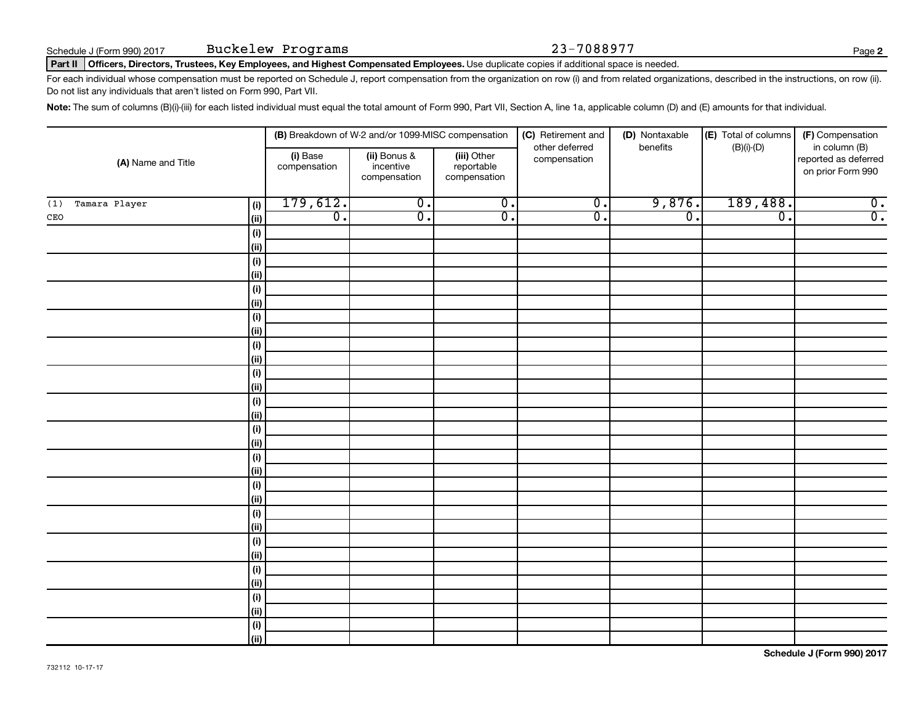### Part II | Officers, Directors, Trustees, Key Employees, and Highest Compensated Employees. Use duplicate copies if additional space is needed.

For each individual whose compensation must be reported on Schedule J, report compensation from the organization on row (i) and from related organizations, described in the instructions, on row (ii). Do not list any individuals that aren't listed on Form 990, Part VII.

Note: The sum of columns (B)(i)-(iii) for each listed individual must equal the total amount of Form 990, Part VII, Section A, line 1a, applicable column (D) and (E) amounts for that individual.

|                                |                             | (B) Breakdown of W-2 and/or 1099-MISC compensation |                                           | (C) Retirement and<br>other deferred | (D) Nontaxable<br>benefits | (E) Total of columns        | (F) Compensation<br>in column (B)         |
|--------------------------------|-----------------------------|----------------------------------------------------|-------------------------------------------|--------------------------------------|----------------------------|-----------------------------|-------------------------------------------|
| (A) Name and Title             | (i) Base<br>compensation    | (ii) Bonus &<br>incentive<br>compensation          | (iii) Other<br>reportable<br>compensation | compensation                         |                            | $(B)(i)$ - $(D)$            | reported as deferred<br>on prior Form 990 |
| Tamara Player<br>(1)<br>(i)    | 179,612.                    | $\overline{0}$ .                                   | $\overline{0}$ .                          | $\overline{0}$ .                     | 9,876.                     | 189,488.                    | $\overline{0}$ .                          |
| $\vert$ (ii)<br>$\mathtt{CEO}$ | $\overline{\mathfrak{o}}$ . | $\overline{0}$ .                                   | $\overline{0}$ .                          | $\overline{0}$ .                     | $\overline{0}$ .           | $\overline{\mathfrak{o}}$ . | $\overline{0}$ .                          |
| (i)                            |                             |                                                    |                                           |                                      |                            |                             |                                           |
| $\vert$ (ii)                   |                             |                                                    |                                           |                                      |                            |                             |                                           |
| (i)                            |                             |                                                    |                                           |                                      |                            |                             |                                           |
| (ii)                           |                             |                                                    |                                           |                                      |                            |                             |                                           |
| (i)                            |                             |                                                    |                                           |                                      |                            |                             |                                           |
| (ii)                           |                             |                                                    |                                           |                                      |                            |                             |                                           |
| $(\sf{i})$                     |                             |                                                    |                                           |                                      |                            |                             |                                           |
| (ii)                           |                             |                                                    |                                           |                                      |                            |                             |                                           |
| $(\sf{i})$                     |                             |                                                    |                                           |                                      |                            |                             |                                           |
| (ii)                           |                             |                                                    |                                           |                                      |                            |                             |                                           |
| $(\sf{i})$                     |                             |                                                    |                                           |                                      |                            |                             |                                           |
| (ii)                           |                             |                                                    |                                           |                                      |                            |                             |                                           |
| $(\sf{i})$                     |                             |                                                    |                                           |                                      |                            |                             |                                           |
| (ii)                           |                             |                                                    |                                           |                                      |                            |                             |                                           |
| (i)                            |                             |                                                    |                                           |                                      |                            |                             |                                           |
| (ii)                           |                             |                                                    |                                           |                                      |                            |                             |                                           |
| $(\sf{i})$<br>(ii)             |                             |                                                    |                                           |                                      |                            |                             |                                           |
| $(\sf{i})$                     |                             |                                                    |                                           |                                      |                            |                             |                                           |
| (ii)                           |                             |                                                    |                                           |                                      |                            |                             |                                           |
| $(\sf{i})$                     |                             |                                                    |                                           |                                      |                            |                             |                                           |
| (ii)                           |                             |                                                    |                                           |                                      |                            |                             |                                           |
| (i)                            |                             |                                                    |                                           |                                      |                            |                             |                                           |
| (ii)                           |                             |                                                    |                                           |                                      |                            |                             |                                           |
| (i)                            |                             |                                                    |                                           |                                      |                            |                             |                                           |
| (ii)                           |                             |                                                    |                                           |                                      |                            |                             |                                           |
| $(\sf{i})$                     |                             |                                                    |                                           |                                      |                            |                             |                                           |
| (ii)                           |                             |                                                    |                                           |                                      |                            |                             |                                           |
| $(\sf{i})$                     |                             |                                                    |                                           |                                      |                            |                             |                                           |
| (ii)                           |                             |                                                    |                                           |                                      |                            |                             |                                           |

**Schedule J (Form 990) 2017**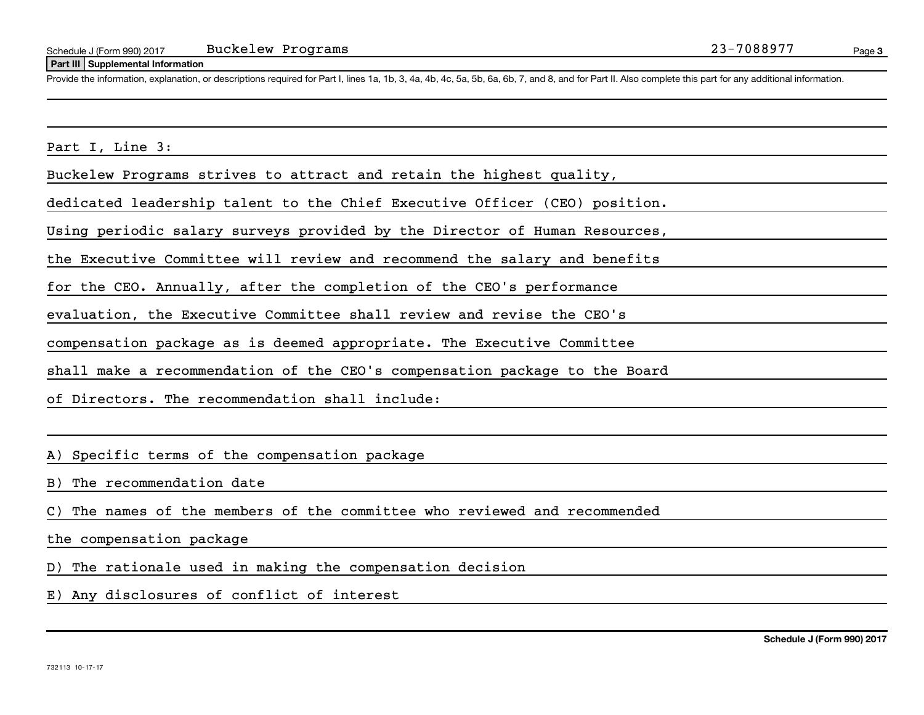### **Part III Supplemental Information**

Provide the information, explanation, or descriptions required for Part I, lines 1a, 1b, 3, 4a, 4b, 4c, 5a, 5b, 6a, 6b, 7, and 8, and for Part II. Also complete this part for any additional information.

Part I, Line 3:

Buckelew Programs strives to attract and retain the highest quality,

dedicated leadership talent to the Chief Executive Officer (CEO) position.

Using periodic salary surveys provided by the Director of Human Resources,

the Executive Committee will review and recommend the salary and benefits

for the CEO. Annually, after the completion of the CEO's performance

evaluation, the Executive Committee shall review and revise the CEO's

compensation package as is deemed appropriate. The Executive Committee

shall make a recommendation of the CEO's compensation package to the Board

of Directors. The recommendation shall include:

A) Specific terms of the compensation package

B) The recommendation date

C) The names of the members of the committee who reviewed and recommended

the compensation package

D) The rationale used in making the compensation decision

E) Any disclosures of conflict of interest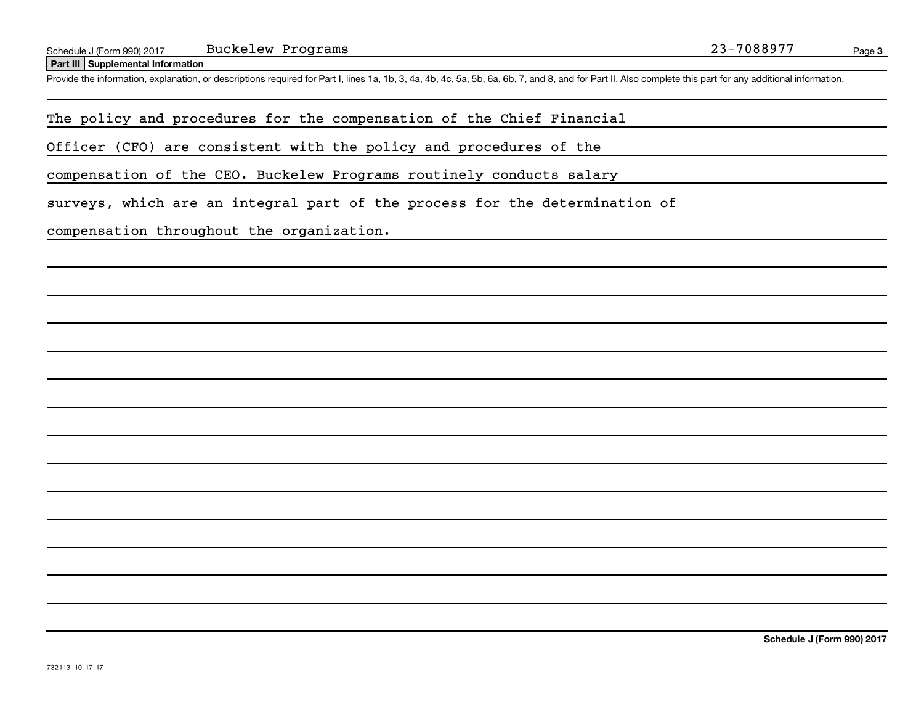**Part III Supplemental Information**

Provide the information, explanation, or descriptions required for Part I, lines 1a, 1b, 3, 4a, 4b, 4c, 5a, 5b, 6a, 6b, 7, and 8, and for Part II. Also complete this part for any additional information.

The policy and procedures for the compensation of the Chief Financial

Officer (CFO) are consistent with the policy and procedures of the

compensation of the CEO. Buckelew Programs routinely conducts salary

surveys, which are an integral part of the process for the determination of

compensation throughout the organization.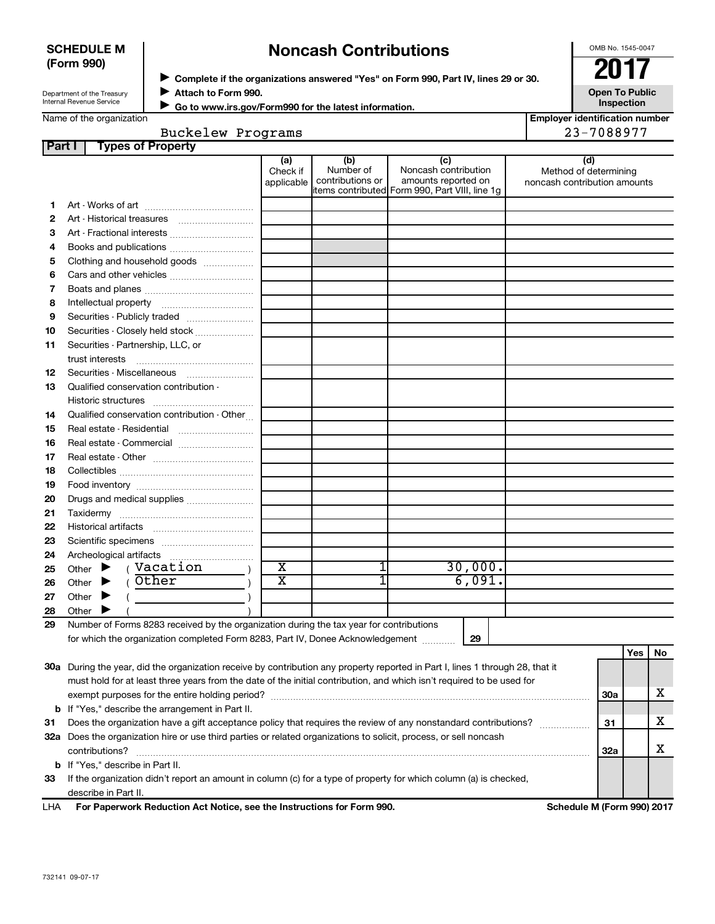## **SCHEDULE M (Form 990)**

## ◆ Complete if the organizations answered "Yes" on Form 990, Part IV, lines 29 or 30.<br>▶ Complete if the organizations answered "Yes" on Form 990, Part IV, lines 29 or 30. **Noncash Contributions**

OMB No. 1545-0047

**Employer identification number**

Department of the Treasury Internal Revenue Service

**Attach to Form 990.** J

 **Go to www.irs.gov/Form990 for the latest information.** J

**Open To Public Inspection**

Name of the organization

## Buckelew Programs 23-7088977

| Part I | <b>Types of Property</b>                                                                                                       |                               |                                      |                                                                                                      |                                                              |     |    |
|--------|--------------------------------------------------------------------------------------------------------------------------------|-------------------------------|--------------------------------------|------------------------------------------------------------------------------------------------------|--------------------------------------------------------------|-----|----|
|        |                                                                                                                                | (a)<br>Check if<br>applicable | (b)<br>Number of<br>contributions or | (c)<br>Noncash contribution<br>amounts reported on<br>items contributed Form 990, Part VIII, line 1g | (d)<br>Method of determining<br>noncash contribution amounts |     |    |
| 1.     |                                                                                                                                |                               |                                      |                                                                                                      |                                                              |     |    |
| 2      |                                                                                                                                |                               |                                      |                                                                                                      |                                                              |     |    |
| З      | Art - Fractional interests                                                                                                     |                               |                                      |                                                                                                      |                                                              |     |    |
| 4      | Books and publications                                                                                                         |                               |                                      |                                                                                                      |                                                              |     |    |
| 5      | Clothing and household goods                                                                                                   |                               |                                      |                                                                                                      |                                                              |     |    |
| 6      | Cars and other vehicles                                                                                                        |                               |                                      |                                                                                                      |                                                              |     |    |
| 7      |                                                                                                                                |                               |                                      |                                                                                                      |                                                              |     |    |
| 8      |                                                                                                                                |                               |                                      |                                                                                                      |                                                              |     |    |
| 9      | Securities - Publicly traded                                                                                                   |                               |                                      |                                                                                                      |                                                              |     |    |
| 10     | Securities - Closely held stock                                                                                                |                               |                                      |                                                                                                      |                                                              |     |    |
| 11     | Securities - Partnership, LLC, or                                                                                              |                               |                                      |                                                                                                      |                                                              |     |    |
|        | trust interests                                                                                                                |                               |                                      |                                                                                                      |                                                              |     |    |
| 12     |                                                                                                                                |                               |                                      |                                                                                                      |                                                              |     |    |
| 13     | Qualified conservation contribution -                                                                                          |                               |                                      |                                                                                                      |                                                              |     |    |
|        |                                                                                                                                |                               |                                      |                                                                                                      |                                                              |     |    |
| 14     | Qualified conservation contribution - Other                                                                                    |                               |                                      |                                                                                                      |                                                              |     |    |
| 15     |                                                                                                                                |                               |                                      |                                                                                                      |                                                              |     |    |
| 16     | Real estate - Commercial                                                                                                       |                               |                                      |                                                                                                      |                                                              |     |    |
| 17     |                                                                                                                                |                               |                                      |                                                                                                      |                                                              |     |    |
| 18     |                                                                                                                                |                               |                                      |                                                                                                      |                                                              |     |    |
| 19     |                                                                                                                                |                               |                                      |                                                                                                      |                                                              |     |    |
| 20     | Drugs and medical supplies                                                                                                     |                               |                                      |                                                                                                      |                                                              |     |    |
| 21     |                                                                                                                                |                               |                                      |                                                                                                      |                                                              |     |    |
| 22     |                                                                                                                                |                               |                                      |                                                                                                      |                                                              |     |    |
| 23     |                                                                                                                                |                               |                                      |                                                                                                      |                                                              |     |    |
| 24     |                                                                                                                                |                               |                                      |                                                                                                      |                                                              |     |    |
| 25     | (Vacation<br>Other $\blacktriangleright$                                                                                       | $\overline{\textbf{x}}$       | 1                                    | 30,000.                                                                                              |                                                              |     |    |
| 26     | ( Other)<br>Other $\blacktriangleright$                                                                                        | $\overline{\textbf{x}}$       | 1                                    | 6,091.                                                                                               |                                                              |     |    |
| 27     | Other $\blacktriangleright$                                                                                                    |                               |                                      |                                                                                                      |                                                              |     |    |
| 28     | Other $\blacktriangleright$                                                                                                    |                               |                                      |                                                                                                      |                                                              |     |    |
| 29     | Number of Forms 8283 received by the organization during the tax year for contributions                                        |                               |                                      |                                                                                                      |                                                              |     |    |
|        | for which the organization completed Form 8283, Part IV, Donee Acknowledgement [10001]                                         |                               |                                      | 29                                                                                                   |                                                              |     |    |
|        |                                                                                                                                |                               |                                      |                                                                                                      |                                                              | Yes | No |
|        | 30a During the year, did the organization receive by contribution any property reported in Part I, lines 1 through 28, that it |                               |                                      |                                                                                                      |                                                              |     |    |
|        | must hold for at least three years from the date of the initial contribution, and which isn't required to be used for          |                               |                                      |                                                                                                      |                                                              |     |    |
|        |                                                                                                                                |                               |                                      |                                                                                                      | <b>30a</b>                                                   |     | х  |
|        | <b>b</b> If "Yes," describe the arrangement in Part II.                                                                        |                               |                                      |                                                                                                      |                                                              |     |    |
| 31     | Does the organization have a gift acceptance policy that requires the review of any nonstandard contributions?                 |                               |                                      |                                                                                                      |                                                              | 31  | х  |
|        | 32a Does the organization hire or use third parties or related organizations to solicit, process, or sell noncash              |                               |                                      |                                                                                                      |                                                              |     |    |
|        | contributions?                                                                                                                 |                               |                                      |                                                                                                      | 32a                                                          |     | х  |
|        | <b>b</b> If "Yes," describe in Part II.                                                                                        |                               |                                      |                                                                                                      |                                                              |     |    |

**33** If the organization didn't report an amount in column (c) for a type of property for which column (a) is checked, describe in Part II.

**For Paperwork Reduction Act Notice, see the Instructions for Form 990. Schedule M (Form 990) 2017** LHA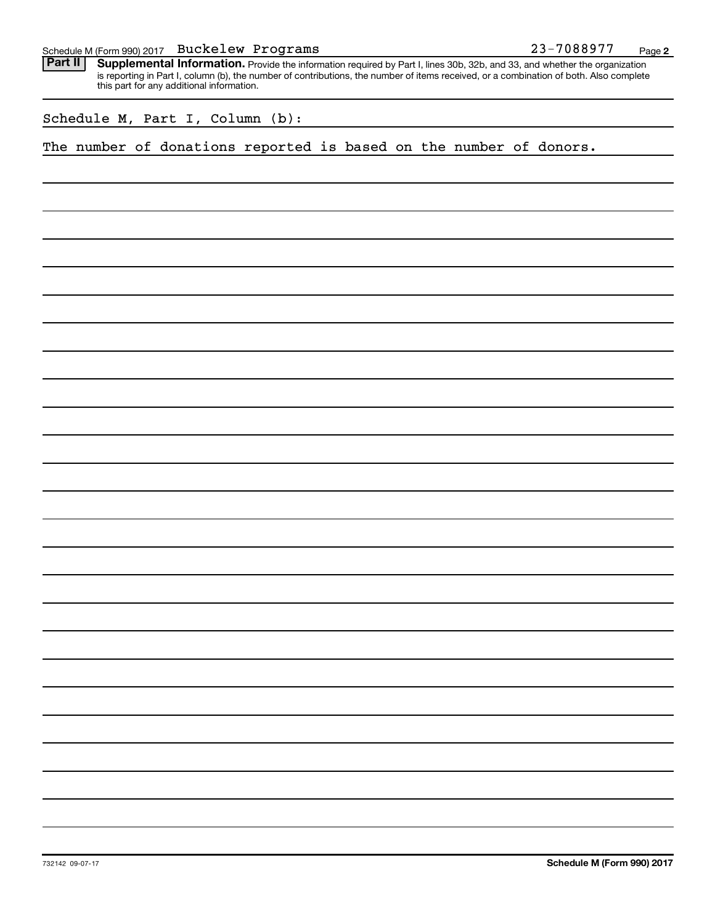|  |  |  |  | Schedule M (Form 990) 2017 Buckelew Programs | 23-7088977 | Page |  |
|--|--|--|--|----------------------------------------------|------------|------|--|
|--|--|--|--|----------------------------------------------|------------|------|--|

Provide the information required by Part I, lines 30b, 32b, and 33, and whether the organization is reporting in Part I, column (b), the number of contributions, the number of items received, or a combination of both. Also complete this part for any additional information. **Part II Supplemental Information.** 

Schedule M, Part I, Column (b):

The number of donations reported is based on the number of donors.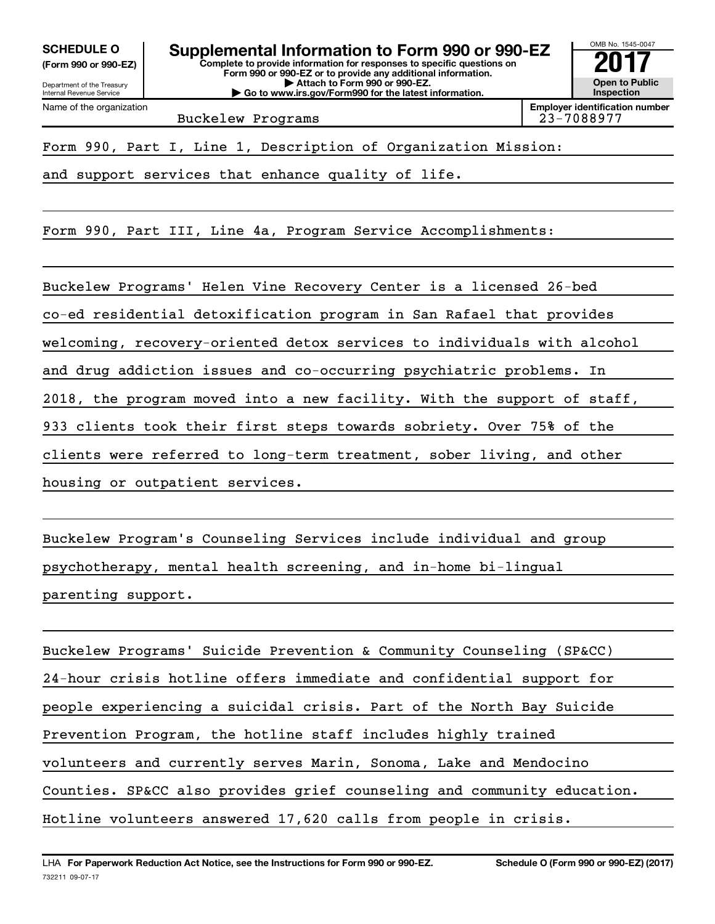**(Form 990 or 990-EZ)**

Name of the organization



Buckelew Programs

Form 990, Part I, Line 1, Description of Organization Mission:

and support services that enhance quality of life.

Form 990, Part III, Line 4a, Program Service Accomplishments:

Buckelew Programs' Helen Vine Recovery Center is a licensed 26-bed co-ed residential detoxification program in San Rafael that provides welcoming, recovery-oriented detox services to individuals with alcohol and drug addiction issues and co-occurring psychiatric problems. In 2018, the program moved into a new facility. With the support of staff, 933 clients took their first steps towards sobriety. Over 75% of the clients were referred to long-term treatment, sober living, and other housing or outpatient services.

Buckelew Program's Counseling Services include individual and group psychotherapy, mental health screening, and in-home bi-lingual parenting support.

Buckelew Programs' Suicide Prevention & Community Counseling (SP&CC) 24-hour crisis hotline offers immediate and confidential support for people experiencing a suicidal crisis. Part of the North Bay Suicide Prevention Program, the hotline staff includes highly trained volunteers and currently serves Marin, Sonoma, Lake and Mendocino Counties. SP&CC also provides grief counseling and community education. Hotline volunteers answered 17,620 calls from people in crisis.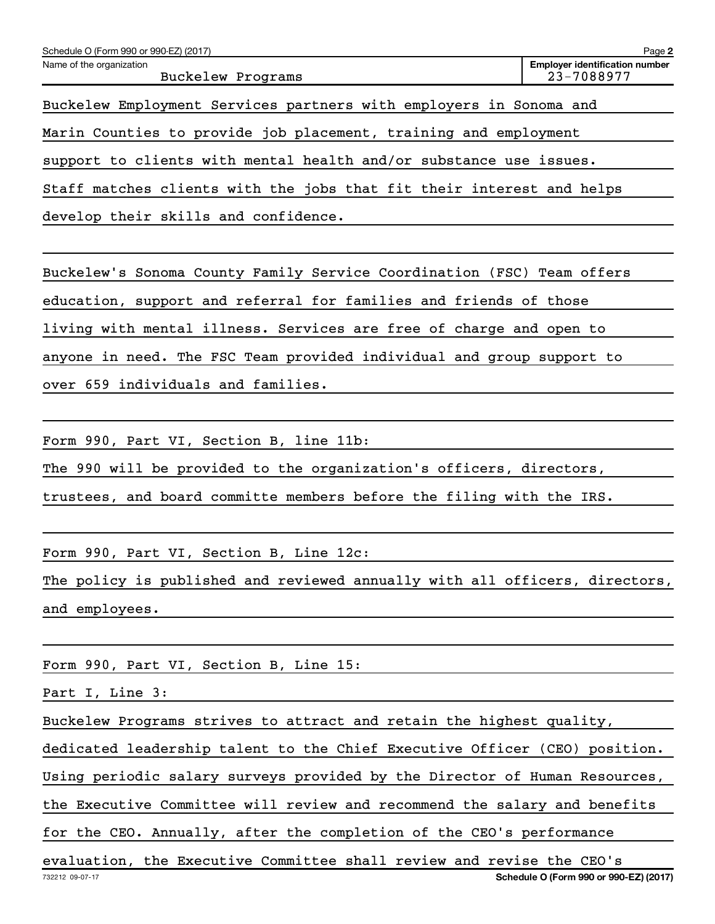| Schedule O (Form 990 or 990-EZ) (2017)                                | Page 2                                              |
|-----------------------------------------------------------------------|-----------------------------------------------------|
| Name of the organization<br>Buckelew Programs                         | <b>Employer identification number</b><br>23-7088977 |
| Buckelew Employment Services partners with employers in Sonoma and    |                                                     |
| Marin Counties to provide job placement, training and employment      |                                                     |
| support to clients with mental health and/or substance use issues.    |                                                     |
| Staff matches clients with the jobs that fit their interest and helps |                                                     |
| develop their skills and confidence.                                  |                                                     |

Buckelew's Sonoma County Family Service Coordination (FSC) Team offers education, support and referral for families and friends of those

living with mental illness. Services are free of charge and open to

anyone in need. The FSC Team provided individual and group support to

over 659 individuals and families.

Form 990, Part VI, Section B, line 11b:

The 990 will be provided to the organization's officers, directors,

trustees, and board committe members before the filing with the IRS.

Form 990, Part VI, Section B, Line 12c:

The policy is published and reviewed annually with all officers, directors, and employees.

Form 990, Part VI, Section B, Line 15:

Part I, Line 3:

Buckelew Programs strives to attract and retain the highest quality,

dedicated leadership talent to the Chief Executive Officer (CEO) position.

Using periodic salary surveys provided by the Director of Human Resources,

the Executive Committee will review and recommend the salary and benefits

for the CEO. Annually, after the completion of the CEO's performance

732212 09-07-17 **Schedule O (Form 990 or 990-EZ) (2017)** evaluation, the Executive Committee shall review and revise the CEO's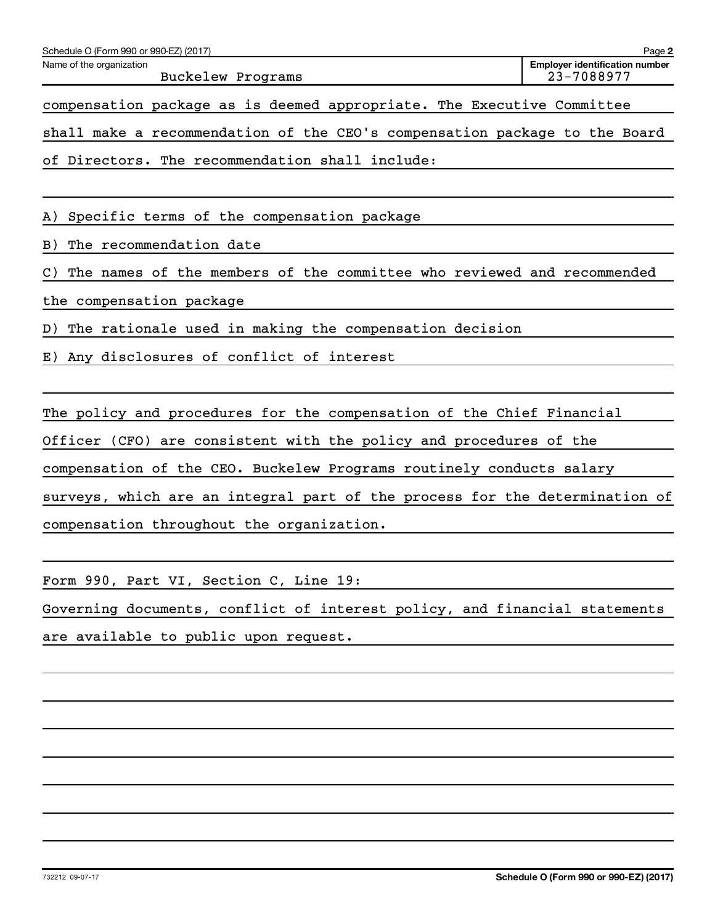| Schedule O (Form 990 or 990-EZ) (2017)                                 | Page 2                                              |
|------------------------------------------------------------------------|-----------------------------------------------------|
| Name of the organization<br>Buckelew Programs                          | <b>Employer identification number</b><br>23-7088977 |
| compensation package as is deemed appropriate. The Executive Committee |                                                     |

shall make a recommendation of the CEO's compensation package to the Board

of Directors. The recommendation shall include:

A) Specific terms of the compensation package

B) The recommendation date

C) The names of the members of the committee who reviewed and recommended

the compensation package

D) The rationale used in making the compensation decision

E) Any disclosures of conflict of interest

The policy and procedures for the compensation of the Chief Financial

Officer (CFO) are consistent with the policy and procedures of the

compensation of the CEO. Buckelew Programs routinely conducts salary

surveys, which are an integral part of the process for the determination of

compensation throughout the organization.

Form 990, Part VI, Section C, Line 19:

Governing documents, conflict of interest policy, and financial statements are available to public upon request.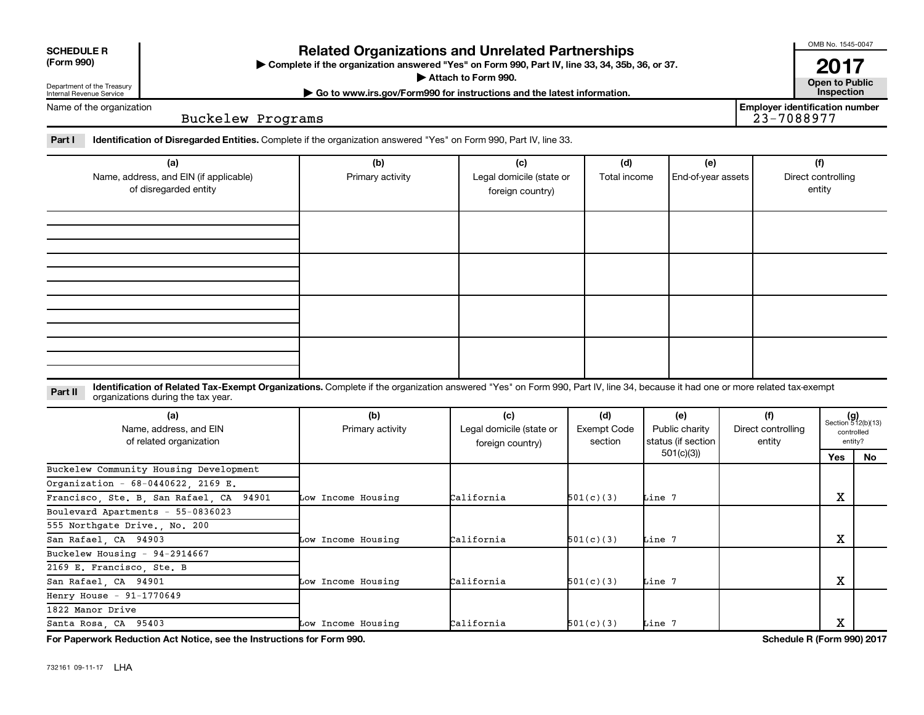| (a)                                     | (b)<br>(c)         |                          | (d)         | (e)                | (f)                | $(g)$<br>Section 512(b)(13) |            |
|-----------------------------------------|--------------------|--------------------------|-------------|--------------------|--------------------|-----------------------------|------------|
| Name, address, and EIN                  | Primary activity   | Legal domicile (state or | Exempt Code | Public charity     | Direct controlling |                             | controlled |
| of related organization                 |                    | foreign country)         | section     | status (if section | entity             | entity?                     |            |
|                                         |                    |                          |             | 501(c)(3))         |                    | <b>Yes</b>                  | No         |
| Buckelew Community Housing Development  |                    |                          |             |                    |                    |                             |            |
| Organization - 68-0440622, 2169 E.      |                    |                          |             |                    |                    |                             |            |
| Francisco, Ste. B, San Rafael, CA 94901 | Low Income Housing | California               | 501(c)(3)   | Line 7             |                    | x                           |            |
| Boulevard Apartments - 55-0836023       |                    |                          |             |                    |                    |                             |            |
| 555 Northgate Drive., No. 200           |                    |                          |             |                    |                    |                             |            |
| San Rafael, CA 94903                    | Low Income Housing | California               | 501(c)(3)   | Line 7             |                    | x                           |            |
| Buckelew Housing $-94-2914667$          |                    |                          |             |                    |                    |                             |            |
| 2169 E. Francisco, Ste. B               |                    |                          |             |                    |                    |                             |            |
| San Rafael, CA 94901                    | Low Income Housing | California               | 501(c)(3)   | Line 7             |                    | X                           |            |
| Henry House $-91-1770649$               |                    |                          |             |                    |                    |                             |            |
| 1822 Manor Drive                        |                    |                          |             |                    |                    |                             |            |
| Santa Rosa, CA 95403                    | Low Income Housing | California               | 501(c)(3)   | Line 7             |                    | x                           |            |

**Part II** Identification of Related Tax-Exempt Organizations. Complete if the organization answered "Yes" on Form 990, Part IV, line 34, because it had one or more related tax-exempt<br>Part II acconizations during the tax ye

## Department of the Treasury Internal Revenue Service

Name of the organization

Buckelew Programs

Name, address, and EIN (if applicable) of disregarded entity

organizations during the tax year.

Part I ldentification of Disregarded Entities. Complete if the organization answered "Yes" on Form 990, Part IV, line 33.

| SCHEDULE R | <b>Related Organizations and Unrelated Partnerships</b>                                          |
|------------|--------------------------------------------------------------------------------------------------|
| (Form 990) | ► Complete if the organization answered "Yes" on Form 990, Part IV, line 33, 34, 35b, 36, or 37. |

▶ Attach to Form 990. **Open to Public** 

**| Go to www.irs.gov/Form990 for instructions and the latest information. Inspection**

**(a) (b) (c) (d) (e) (f)**

foreign country)

**Employer identification number**

entity

Total income | End-of-year assets | Direct controlling

Primary activity **Legal domicile (state or** 

732161 09-11-17 LHA



OMB No. 1545-0047

**2017**<br>Open to Public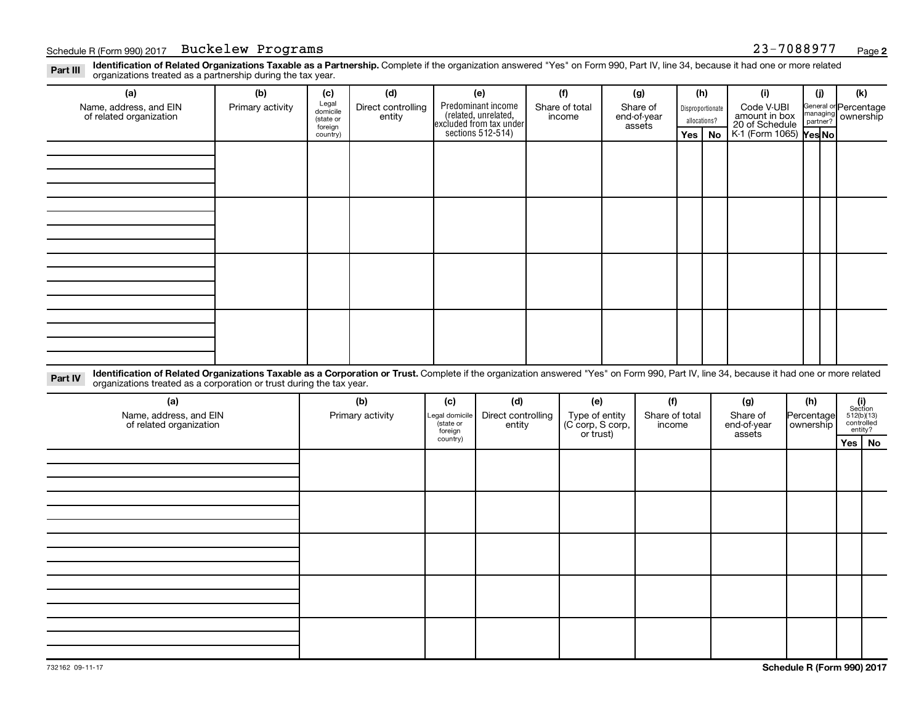Part III Identification of Related Organizations Taxable as a Partnership. Complete if the organization answered "Yes" on Form 990, Part IV, line 34, because it had one or more related<br>Part III International tracted as a p organizations treated as a partnership during the tax year.

| (a)                                                                                                                                                                                                                                                                         | (b)              | (c)                                       | (d)                          | (e)                                                                   | (f)                      | (g)                               |                                  | (h) | (i)                                           | (i) | (k)                                         |
|-----------------------------------------------------------------------------------------------------------------------------------------------------------------------------------------------------------------------------------------------------------------------------|------------------|-------------------------------------------|------------------------------|-----------------------------------------------------------------------|--------------------------|-----------------------------------|----------------------------------|-----|-----------------------------------------------|-----|---------------------------------------------|
| Name, address, and EIN<br>of related organization                                                                                                                                                                                                                           | Primary activity | Legal<br>domicile<br>(state or<br>foreign | Direct controlling<br>entity | Predominant income<br>(related, unrelated,<br>excluded from tax under | Share of total<br>income | Share of<br>end-of-year<br>assets | Disproportionate<br>allocations? |     | Code V-UBI<br>amount in box<br>20 of Schedule |     | General or Percentage<br>managing ownership |
|                                                                                                                                                                                                                                                                             |                  | country)                                  |                              | sections 512-514)                                                     |                          |                                   | Yes                              | No  | K-1 (Form 1065) Yes No                        |     |                                             |
|                                                                                                                                                                                                                                                                             |                  |                                           |                              |                                                                       |                          |                                   |                                  |     |                                               |     |                                             |
|                                                                                                                                                                                                                                                                             |                  |                                           |                              |                                                                       |                          |                                   |                                  |     |                                               |     |                                             |
|                                                                                                                                                                                                                                                                             |                  |                                           |                              |                                                                       |                          |                                   |                                  |     |                                               |     |                                             |
|                                                                                                                                                                                                                                                                             |                  |                                           |                              |                                                                       |                          |                                   |                                  |     |                                               |     |                                             |
|                                                                                                                                                                                                                                                                             |                  |                                           |                              |                                                                       |                          |                                   |                                  |     |                                               |     |                                             |
|                                                                                                                                                                                                                                                                             |                  |                                           |                              |                                                                       |                          |                                   |                                  |     |                                               |     |                                             |
|                                                                                                                                                                                                                                                                             |                  |                                           |                              |                                                                       |                          |                                   |                                  |     |                                               |     |                                             |
|                                                                                                                                                                                                                                                                             |                  |                                           |                              |                                                                       |                          |                                   |                                  |     |                                               |     |                                             |
|                                                                                                                                                                                                                                                                             |                  |                                           |                              |                                                                       |                          |                                   |                                  |     |                                               |     |                                             |
|                                                                                                                                                                                                                                                                             |                  |                                           |                              |                                                                       |                          |                                   |                                  |     |                                               |     |                                             |
|                                                                                                                                                                                                                                                                             |                  |                                           |                              |                                                                       |                          |                                   |                                  |     |                                               |     |                                             |
|                                                                                                                                                                                                                                                                             |                  |                                           |                              |                                                                       |                          |                                   |                                  |     |                                               |     |                                             |
|                                                                                                                                                                                                                                                                             |                  |                                           |                              |                                                                       |                          |                                   |                                  |     |                                               |     |                                             |
|                                                                                                                                                                                                                                                                             |                  |                                           |                              |                                                                       |                          |                                   |                                  |     |                                               |     |                                             |
|                                                                                                                                                                                                                                                                             |                  |                                           |                              |                                                                       |                          |                                   |                                  |     |                                               |     |                                             |
|                                                                                                                                                                                                                                                                             |                  |                                           |                              |                                                                       |                          |                                   |                                  |     |                                               |     |                                             |
| Identification of Related Organizations Taxable as a Corporation or Trust. Complete if the organization answered "Yes" on Form 990, Part IV, line 34, because it had one or more related<br>Part IV<br>organizations treated as a corporation or trust during the tax year. |                  |                                           |                              |                                                                       |                          |                                   |                                  |     |                                               |     |                                             |

 $\frac{1}{2}$ 512(b)(13) controlled Legal domicile (state or **(a) (b) (c) (d) (e) (f) (g) (h) (i)** Name, address, and EIN of related organization Primary activity | Legal domicile | Direct controlling entity Type of entity (C corp, S corp, Share of total income Share of end-of-year Percentage ownership

| Name, address, and EIN<br>of related organization | Primary activity | Legal domicile<br>(state or<br>foreign | Direct controlling<br>entity | Type of entity<br>(C corp, S corp,<br>or trust) | Share of total<br>income | Share of<br>end-of-year<br>assets | Percentage<br>ownership | $512(b)(13)$ controlled<br>entity? |
|---------------------------------------------------|------------------|----------------------------------------|------------------------------|-------------------------------------------------|--------------------------|-----------------------------------|-------------------------|------------------------------------|
|                                                   |                  | country)                               |                              |                                                 |                          |                                   |                         | Yes No                             |
|                                                   |                  |                                        |                              |                                                 |                          |                                   |                         |                                    |
|                                                   |                  |                                        |                              |                                                 |                          |                                   |                         |                                    |
|                                                   |                  |                                        |                              |                                                 |                          |                                   |                         |                                    |
|                                                   |                  |                                        |                              |                                                 |                          |                                   |                         |                                    |
|                                                   |                  |                                        |                              |                                                 |                          |                                   |                         |                                    |
|                                                   |                  |                                        |                              |                                                 |                          |                                   |                         |                                    |
|                                                   |                  |                                        |                              |                                                 |                          |                                   |                         |                                    |
|                                                   |                  |                                        |                              |                                                 |                          |                                   |                         |                                    |
|                                                   |                  |                                        |                              |                                                 |                          |                                   |                         |                                    |
|                                                   |                  |                                        |                              |                                                 |                          |                                   |                         |                                    |
|                                                   |                  |                                        |                              |                                                 |                          |                                   |                         |                                    |
|                                                   |                  |                                        |                              |                                                 |                          |                                   |                         |                                    |
|                                                   |                  |                                        |                              |                                                 |                          |                                   |                         |                                    |
|                                                   |                  |                                        |                              |                                                 |                          |                                   |                         |                                    |
|                                                   |                  |                                        |                              |                                                 |                          |                                   |                         |                                    |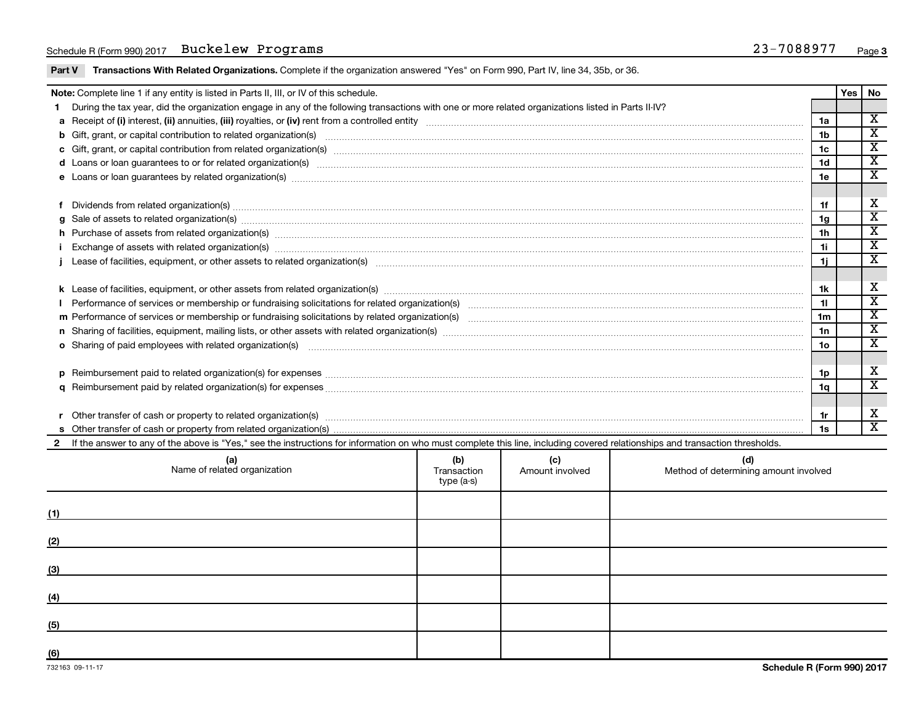## Schedule R (Form 990) 2017 Page Buckelew Programs 23-7088977

Part V Transactions With Related Organizations. Complete if the organization answered "Yes" on Form 990, Part IV, line 34, 35b, or 36.

|  | Note: Complete line 1 if any entity is listed in Parts II, III, or IV of this schedule.                                                                                                                                        |  |  |  |                 | Yes | No                      |  |
|--|--------------------------------------------------------------------------------------------------------------------------------------------------------------------------------------------------------------------------------|--|--|--|-----------------|-----|-------------------------|--|
|  | During the tax year, did the organization engage in any of the following transactions with one or more related organizations listed in Parts II-IV?                                                                            |  |  |  |                 |     |                         |  |
|  |                                                                                                                                                                                                                                |  |  |  | 1a              |     | $\overline{\mathbf{X}}$ |  |
|  |                                                                                                                                                                                                                                |  |  |  | 1 <sub>b</sub>  |     | $\overline{\mathbf{x}}$ |  |
|  |                                                                                                                                                                                                                                |  |  |  | 1c              |     | $\overline{\texttt{x}}$ |  |
|  |                                                                                                                                                                                                                                |  |  |  | 1 <sub>d</sub>  |     | $\overline{\mathbf{x}}$ |  |
|  |                                                                                                                                                                                                                                |  |  |  | 1e              |     | $\overline{\mathbf{x}}$ |  |
|  |                                                                                                                                                                                                                                |  |  |  |                 |     |                         |  |
|  |                                                                                                                                                                                                                                |  |  |  | 1f              |     | X                       |  |
|  | $g$ Sale of assets to related organization(s) with the contraction control of the control of the control of the control of the control of the control of the control of the control of the control of the control of the cont  |  |  |  | 1 <sub>g</sub>  |     | $\overline{\texttt{x}}$ |  |
|  | h Purchase of assets from related organization(s) manufactured and content to content the content of assets from related organization(s) manufactured and content of the content of the content of the content of the content  |  |  |  | 1 <sub>h</sub>  |     | $\overline{\texttt{x}}$ |  |
|  | Exchange of assets with related organization(s) www.assettion.com/www.assettion.com/www.assettion.com/www.assettion.com/www.assettion.com/www.assettion.com/www.assettion.com/www.assettion.com/www.assettion.com/www.assettio |  |  |  | 1i.             |     | $\mathbf x$             |  |
|  |                                                                                                                                                                                                                                |  |  |  | 1j              |     | $\overline{\mathbf{x}}$ |  |
|  |                                                                                                                                                                                                                                |  |  |  |                 |     |                         |  |
|  |                                                                                                                                                                                                                                |  |  |  | 1k              |     | X                       |  |
|  |                                                                                                                                                                                                                                |  |  |  | 11              |     | $\overline{\texttt{x}}$ |  |
|  |                                                                                                                                                                                                                                |  |  |  |                 |     | $\overline{\textbf{x}}$ |  |
|  |                                                                                                                                                                                                                                |  |  |  | 1n              |     | $\overline{\texttt{x}}$ |  |
|  | o Sharing of paid employees with related organization(s) <i>maching machines are machines are machines are machines with related organization</i> (s)                                                                          |  |  |  | 10 <sub>o</sub> |     | $\overline{\mathbf{x}}$ |  |
|  |                                                                                                                                                                                                                                |  |  |  |                 |     |                         |  |
|  |                                                                                                                                                                                                                                |  |  |  | 1p              |     | $\overline{\mathbf{X}}$ |  |
|  |                                                                                                                                                                                                                                |  |  |  | 1q              |     | X                       |  |
|  |                                                                                                                                                                                                                                |  |  |  |                 |     |                         |  |
|  | Other transfer of cash or property to related organization(s) manufactured content to the content of the content of the content of the content of the content of the content of the content of the content of the content of t |  |  |  | 1r              |     | X                       |  |
|  |                                                                                                                                                                                                                                |  |  |  | 1s              |     | X                       |  |
|  | 2 If the answer to any of the above is "Yes," see the instructions for information on who must complete this line, including covered relationships and transaction thresholds.                                                 |  |  |  |                 |     |                         |  |
|  | (b)<br>(d)<br>(c)<br>(a)<br>Name of related organization<br>Amount involved<br>Method of determining amount involved<br>Transaction                                                                                            |  |  |  |                 |     |                         |  |

| Name of related organization | \∾≀<br>Transaction<br>type (a-s) | Amount involved | Method of determining amount involved |
|------------------------------|----------------------------------|-----------------|---------------------------------------|
| (1)                          |                                  |                 |                                       |
| (2)                          |                                  |                 |                                       |
| (3)                          |                                  |                 |                                       |
| (4)                          |                                  |                 |                                       |
| (5)                          |                                  |                 |                                       |
| (6)                          |                                  |                 |                                       |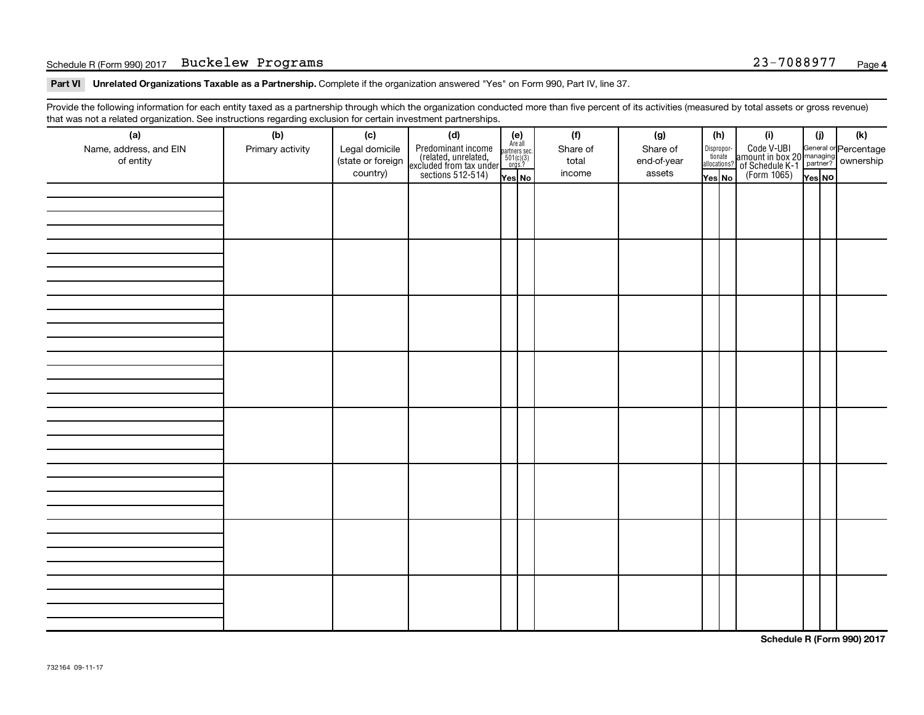## Schedule R (Form 990) 2017 Page Buckelew Programs 23-7088977

Part VI Unrelated Organizations Taxable as a Partnership. Complete if the organization answered "Yes" on Form 990, Part IV, line 37.

Provide the following information for each entity taxed as a partnership through which the organization conducted more than five percent of its activities (measured by total assets or gross revenue) that was not a related organization. See instructions regarding exclusion for certain investment partnerships.

| .                      |                  |                   | .<br>. <del>.</del>                                                                        |                                                          |  |          |             | (h)    |                       |                                                                                                      |        |                |
|------------------------|------------------|-------------------|--------------------------------------------------------------------------------------------|----------------------------------------------------------|--|----------|-------------|--------|-----------------------|------------------------------------------------------------------------------------------------------|--------|----------------|
| (a)                    | (b)              | (c)               | (d)                                                                                        | (e)<br>Are all<br>partners sec.<br>$501(c)(3)$<br>orgs.? |  | (f)      | (g)         |        |                       | (i)                                                                                                  | (j)    | $(\mathsf{k})$ |
| Name, address, and EIN | Primary activity | Legal domicile    | Predominant income<br>(related, unrelated,<br>excluded from tax under<br>sections 512-514) |                                                          |  | Share of | Share of    |        | Dispropor-<br>tionate | Code V-UBI<br>amount in box 20 managing<br>of Schedule K-1<br>(Form 1065)<br>$\overline{Y}_{res}$ No |        |                |
| of entity              |                  | (state or foreign |                                                                                            |                                                          |  | total    | end-of-year |        | allocations?          |                                                                                                      |        |                |
|                        |                  | country)          |                                                                                            | Yes No                                                   |  | income   | assets      | Yes No |                       |                                                                                                      | Yes No |                |
|                        |                  |                   |                                                                                            |                                                          |  |          |             |        |                       |                                                                                                      |        |                |
|                        |                  |                   |                                                                                            |                                                          |  |          |             |        |                       |                                                                                                      |        |                |
|                        |                  |                   |                                                                                            |                                                          |  |          |             |        |                       |                                                                                                      |        |                |
|                        |                  |                   |                                                                                            |                                                          |  |          |             |        |                       |                                                                                                      |        |                |
|                        |                  |                   |                                                                                            |                                                          |  |          |             |        |                       |                                                                                                      |        |                |
|                        |                  |                   |                                                                                            |                                                          |  |          |             |        |                       |                                                                                                      |        |                |
|                        |                  |                   |                                                                                            |                                                          |  |          |             |        |                       |                                                                                                      |        |                |
|                        |                  |                   |                                                                                            |                                                          |  |          |             |        |                       |                                                                                                      |        |                |
|                        |                  |                   |                                                                                            |                                                          |  |          |             |        |                       |                                                                                                      |        |                |
|                        |                  |                   |                                                                                            |                                                          |  |          |             |        |                       |                                                                                                      |        |                |
|                        |                  |                   |                                                                                            |                                                          |  |          |             |        |                       |                                                                                                      |        |                |
|                        |                  |                   |                                                                                            |                                                          |  |          |             |        |                       |                                                                                                      |        |                |
|                        |                  |                   |                                                                                            |                                                          |  |          |             |        |                       |                                                                                                      |        |                |
|                        |                  |                   |                                                                                            |                                                          |  |          |             |        |                       |                                                                                                      |        |                |
|                        |                  |                   |                                                                                            |                                                          |  |          |             |        |                       |                                                                                                      |        |                |
|                        |                  |                   |                                                                                            |                                                          |  |          |             |        |                       |                                                                                                      |        |                |
|                        |                  |                   |                                                                                            |                                                          |  |          |             |        |                       |                                                                                                      |        |                |
|                        |                  |                   |                                                                                            |                                                          |  |          |             |        |                       |                                                                                                      |        |                |
|                        |                  |                   |                                                                                            |                                                          |  |          |             |        |                       |                                                                                                      |        |                |
|                        |                  |                   |                                                                                            |                                                          |  |          |             |        |                       |                                                                                                      |        |                |
|                        |                  |                   |                                                                                            |                                                          |  |          |             |        |                       |                                                                                                      |        |                |
|                        |                  |                   |                                                                                            |                                                          |  |          |             |        |                       |                                                                                                      |        |                |
|                        |                  |                   |                                                                                            |                                                          |  |          |             |        |                       |                                                                                                      |        |                |
|                        |                  |                   |                                                                                            |                                                          |  |          |             |        |                       |                                                                                                      |        |                |
|                        |                  |                   |                                                                                            |                                                          |  |          |             |        |                       |                                                                                                      |        |                |
|                        |                  |                   |                                                                                            |                                                          |  |          |             |        |                       |                                                                                                      |        |                |
|                        |                  |                   |                                                                                            |                                                          |  |          |             |        |                       |                                                                                                      |        |                |
|                        |                  |                   |                                                                                            |                                                          |  |          |             |        |                       |                                                                                                      |        |                |
|                        |                  |                   |                                                                                            |                                                          |  |          |             |        |                       |                                                                                                      |        |                |
|                        |                  |                   |                                                                                            |                                                          |  |          |             |        |                       |                                                                                                      |        |                |
|                        |                  |                   |                                                                                            |                                                          |  |          |             |        |                       |                                                                                                      |        |                |
|                        |                  |                   |                                                                                            |                                                          |  |          |             |        |                       |                                                                                                      |        |                |
|                        |                  |                   |                                                                                            |                                                          |  |          |             |        |                       |                                                                                                      |        |                |
|                        |                  |                   |                                                                                            |                                                          |  |          |             |        |                       |                                                                                                      |        |                |
|                        |                  |                   |                                                                                            |                                                          |  |          |             |        |                       |                                                                                                      |        |                |
|                        |                  |                   |                                                                                            |                                                          |  |          |             |        |                       |                                                                                                      |        |                |
|                        |                  |                   |                                                                                            |                                                          |  |          |             |        |                       |                                                                                                      |        |                |
|                        |                  |                   |                                                                                            |                                                          |  |          |             |        |                       |                                                                                                      |        |                |
|                        |                  |                   |                                                                                            |                                                          |  |          |             |        |                       |                                                                                                      |        |                |
|                        |                  |                   |                                                                                            |                                                          |  |          |             |        |                       |                                                                                                      |        |                |
|                        |                  |                   |                                                                                            |                                                          |  |          |             |        |                       |                                                                                                      |        |                |

**Schedule R (Form 990) 2017**